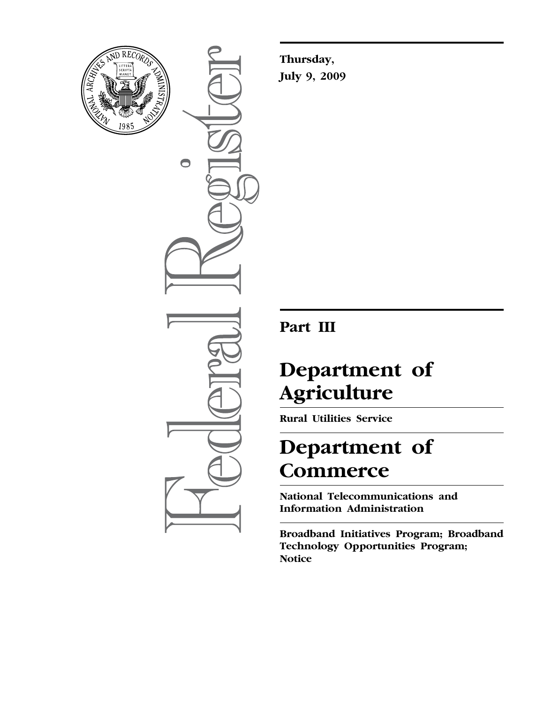

 $\bullet$ 

**Thursday, July 9, 2009** 

### **Part III**

# **Department of Agriculture**

**Rural Utilities Service** 

## **Department of Commerce**

**National Telecommunications and Information Administration** 

**Broadband Initiatives Program; Broadband Technology Opportunities Program; Notice**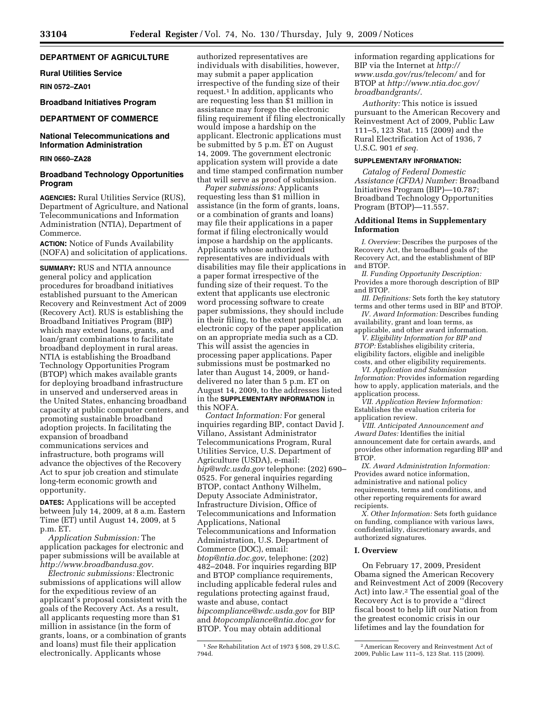#### **DEPARTMENT OF AGRICULTURE**

**Rural Utilities Service** 

**RIN 0572–ZA01** 

#### **Broadband Initiatives Program**

#### **DEPARTMENT OF COMMERCE**

#### **National Telecommunications and Information Administration**

**RIN 0660–ZA28** 

#### **Broadband Technology Opportunities Program**

**AGENCIES:** Rural Utilities Service (RUS), Department of Agriculture, and National Telecommunications and Information Administration (NTIA), Department of Commerce.

**ACTION:** Notice of Funds Availability (NOFA) and solicitation of applications.

**SUMMARY:** RUS and NTIA announce general policy and application procedures for broadband initiatives established pursuant to the American Recovery and Reinvestment Act of 2009 (Recovery Act). RUS is establishing the Broadband Initiatives Program (BIP) which may extend loans, grants, and loan/grant combinations to facilitate broadband deployment in rural areas. NTIA is establishing the Broadband Technology Opportunities Program (BTOP) which makes available grants for deploying broadband infrastructure in unserved and underserved areas in the United States, enhancing broadband capacity at public computer centers, and promoting sustainable broadband adoption projects. In facilitating the expansion of broadband communications services and infrastructure, both programs will advance the objectives of the Recovery Act to spur job creation and stimulate long-term economic growth and opportunity.

**DATES:** Applications will be accepted between July 14, 2009, at 8 a.m. Eastern Time (ET) until August 14, 2009, at 5 p.m. ET.

*Application Submission:* The application packages for electronic and paper submissions will be available at *http://www.broadbandusa.gov*.

*Electronic submissions:* Electronic submissions of applications will allow for the expeditious review of an applicant's proposal consistent with the goals of the Recovery Act. As a result, all applicants requesting more than \$1 million in assistance (in the form of grants, loans, or a combination of grants and loans) must file their application electronically. Applicants whose

authorized representatives are individuals with disabilities, however, may submit a paper application irrespective of the funding size of their request.1 In addition, applicants who are requesting less than \$1 million in assistance may forego the electronic filing requirement if filing electronically would impose a hardship on the applicant. Electronic applications must be submitted by 5 p.m. ET on August 14, 2009. The government electronic application system will provide a date and time stamped confirmation number that will serve as proof of submission.

*Paper submissions:* Applicants requesting less than \$1 million in assistance (in the form of grants, loans, or a combination of grants and loans) may file their applications in a paper format if filing electronically would impose a hardship on the applicants. Applicants whose authorized representatives are individuals with disabilities may file their applications in a paper format irrespective of the funding size of their request. To the extent that applicants use electronic word processing software to create paper submissions, they should include in their filing, to the extent possible, an electronic copy of the paper application on an appropriate media such as a CD. This will assist the agencies in processing paper applications. Paper submissions must be postmarked no later than August 14, 2009, or handdelivered no later than 5 p.m. ET on August 14, 2009, to the addresses listed in the **SUPPLEMENTARY INFORMATION** in this NOFA.

*Contact Information:* For general inquiries regarding BIP, contact David J. Villano, Assistant Administrator Telecommunications Program, Rural Utilities Service, U.S. Department of Agriculture (USDA), e-mail: *bip@wdc.usda.gov* telephone: (202) 690– 0525. For general inquiries regarding BTOP, contact Anthony Wilhelm, Deputy Associate Administrator, Infrastructure Division, Office of Telecommunications and Information Applications, National Telecommunications and Information Administration, U.S. Department of Commerce (DOC), email: *btop@ntia.doc.gov*, telephone: (202) 482–2048. For inquiries regarding BIP and BTOP compliance requirements, including applicable federal rules and regulations protecting against fraud, waste and abuse, contact *bipcompliance@wdc.usda.gov* for BIP and *btopcompliance@ntia.doc.gov* for BTOP. You may obtain additional

information regarding applications for BIP via the Internet at *http:// www.usda.gov/rus/telecom/* and for BTOP at *http://www.ntia.doc.gov/ broadbandgrants/*.

*Authority:* This notice is issued pursuant to the American Recovery and Reinvestment Act of 2009, Public Law 111–5, 123 Stat. 115 (2009) and the Rural Electrification Act of 1936, 7 U.S.C. 901 *et seq.* 

#### **SUPPLEMENTARY INFORMATION:**

*Catalog of Federal Domestic Assistance (CFDA) Number:* Broadband Initiatives Program (BIP)—10.787; Broadband Technology Opportunities Program (BTOP)—11.557.

#### **Additional Items in Supplementary Information**

*I. Overview:* Describes the purposes of the Recovery Act, the broadband goals of the Recovery Act, and the establishment of BIP and BTOP.

*II. Funding Opportunity Description:*  Provides a more thorough description of BIP and BTOP.

*III. Definitions:* Sets forth the key statutory terms and other terms used in BIP and BTOP.

*IV. Award Information:* Describes funding availability, grant and loan terms, as applicable, and other award information.

*V. Eligibility Information for BIP and BTOP:* Establishes eligibility criteria, eligibility factors, eligible and ineligible costs, and other eligibility requirements.

*VI. Application and Submission Information:* Provides information regarding how to apply, application materials, and the application process.

*VII. Application Review Information:*  Establishes the evaluation criteria for application review.

*VIII. Anticipated Announcement and Award Dates:* Identifies the initial announcement date for certain awards, and provides other information regarding BIP and BTOP.

*IX. Award Administration Information:*  Provides award notice information, administrative and national policy requirements, terms and conditions, and other reporting requirements for award recipients.

*X. Other Information:* Sets forth guidance on funding, compliance with various laws, confidentiality, discretionary awards, and authorized signatures.

#### **I. Overview**

On February 17, 2009, President Obama signed the American Recovery and Reinvestment Act of 2009 (Recovery Act) into law.2 The essential goal of the Recovery Act is to provide a ''direct fiscal boost to help lift our Nation from the greatest economic crisis in our lifetimes and lay the foundation for

<sup>1</sup>*See* Rehabilitation Act of 1973 § 508, 29 U.S.C. 794d.

<sup>2</sup>American Recovery and Reinvestment Act of 2009, Public Law 111–5, 123 Stat. 115 (2009).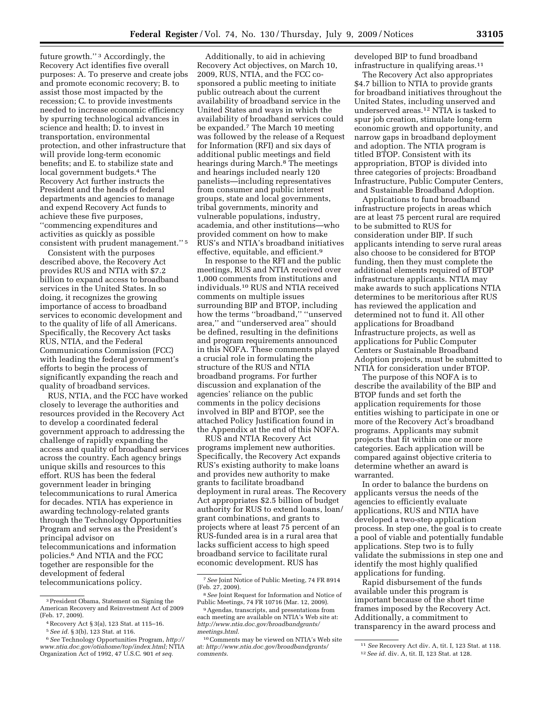future growth.'' 3 Accordingly, the Recovery Act identifies five overall purposes: A. To preserve and create jobs and promote economic recovery; B. to assist those most impacted by the recession; C. to provide investments needed to increase economic efficiency by spurring technological advances in science and health; D. to invest in transportation, environmental protection, and other infrastructure that will provide long-term economic benefits; and E. to stabilize state and local government budgets.4 The Recovery Act further instructs the President and the heads of federal departments and agencies to manage and expend Recovery Act funds to achieve these five purposes, ''commencing expenditures and activities as quickly as possible consistent with prudent management.'' 5

Consistent with the purposes described above, the Recovery Act provides RUS and NTIA with \$7.2 billion to expand access to broadband services in the United States. In so doing, it recognizes the growing importance of access to broadband services to economic development and to the quality of life of all Americans. Specifically, the Recovery Act tasks RUS, NTIA, and the Federal Communications Commission (FCC) with leading the federal government's efforts to begin the process of significantly expanding the reach and quality of broadband services.

RUS, NTIA, and the FCC have worked closely to leverage the authorities and resources provided in the Recovery Act to develop a coordinated federal government approach to addressing the challenge of rapidly expanding the access and quality of broadband services across the country. Each agency brings unique skills and resources to this effort. RUS has been the federal government leader in bringing telecommunications to rural America for decades. NTIA has experience in awarding technology-related grants through the Technology Opportunities Program and serves as the President's principal advisor on telecommunications and information policies.6 And NTIA and the FCC together are responsible for the development of federal telecommunications policy.

Additionally, to aid in achieving Recovery Act objectives, on March 10, 2009, RUS, NTIA, and the FCC cosponsored a public meeting to initiate public outreach about the current availability of broadband service in the United States and ways in which the availability of broadband services could be expanded.7 The March 10 meeting was followed by the release of a Request for Information (RFI) and six days of additional public meetings and field hearings during March.<sup>8</sup> The meetings and hearings included nearly 120 panelists—including representatives from consumer and public interest groups, state and local governments, tribal governments, minority and vulnerable populations, industry, academia, and other institutions—who provided comment on how to make RUS's and NTIA's broadband initiatives effective, equitable, and efficient.9

In response to the RFI and the public meetings, RUS and NTIA received over 1,000 comments from institutions and individuals.10 RUS and NTIA received comments on multiple issues surrounding BIP and BTOP, including how the terms ''broadband,'' ''unserved area,'' and ''underserved area'' should be defined, resulting in the definitions and program requirements announced in this NOFA. These comments played a crucial role in formulating the structure of the RUS and NTIA broadband programs. For further discussion and explanation of the agencies' reliance on the public comments in the policy decisions involved in BIP and BTOP, see the attached Policy Justification found in the Appendix at the end of this NOFA.

RUS and NTIA Recovery Act programs implement new authorities. Specifically, the Recovery Act expands RUS's existing authority to make loans and provides new authority to make grants to facilitate broadband deployment in rural areas. The Recovery Act appropriates \$2.5 billion of budget authority for RUS to extend loans, loan/ grant combinations, and grants to projects where at least 75 percent of an RUS-funded area is in a rural area that lacks sufficient access to high speed broadband service to facilitate rural economic development. RUS has

developed BIP to fund broadband infrastructure in qualifying areas.11

The Recovery Act also appropriates \$4.7 billion to NTIA to provide grants for broadband initiatives throughout the United States, including unserved and underserved areas.12 NTIA is tasked to spur job creation, stimulate long-term economic growth and opportunity, and narrow gaps in broadband deployment and adoption. The NTIA program is titled BTOP. Consistent with its appropriation, BTOP is divided into three categories of projects: Broadband Infrastructure, Public Computer Centers, and Sustainable Broadband Adoption.

Applications to fund broadband infrastructure projects in areas which are at least 75 percent rural are required to be submitted to RUS for consideration under BIP. If such applicants intending to serve rural areas also choose to be considered for BTOP funding, then they must complete the additional elements required of BTOP infrastructure applicants. NTIA may make awards to such applications NTIA determines to be meritorious after RUS has reviewed the application and determined not to fund it. All other applications for Broadband Infrastructure projects, as well as applications for Public Computer Centers or Sustainable Broadband Adoption projects, must be submitted to NTIA for consideration under BTOP.

The purpose of this NOFA is to describe the availability of the BIP and BTOP funds and set forth the application requirements for those entities wishing to participate in one or more of the Recovery Act's broadband programs. Applicants may submit projects that fit within one or more categories. Each application will be compared against objective criteria to determine whether an award is warranted.

In order to balance the burdens on applicants versus the needs of the agencies to efficiently evaluate applications, RUS and NTIA have developed a two-step application process. In step one, the goal is to create a pool of viable and potentially fundable applications. Step two is to fully validate the submissions in step one and identify the most highly qualified applications for funding.

Rapid disbursement of the funds available under this program is important because of the short time frames imposed by the Recovery Act. Additionally, a commitment to transparency in the award process and

<sup>3</sup>President Obama, Statement on Signing the American Recovery and Reinvestment Act of 2009 (Feb. 17, 2009).

 $4$  Recovery Act § 3(a), 123 Stat. at 115–16.

<sup>5</sup>*See id.* § 3(b), 123 Stat. at 116.

<sup>6</sup>*See* Technology Opportunities Program, *http:// www.ntia.doc.gov/otiahome/top/index.html;* NTIA Organization Act of 1992, 47 U.S.C. 901 *et seq.* 

<sup>7</sup>*See* Joint Notice of Public Meeting, 74 FR 8914 (Feb. 27, 2009).

<sup>8</sup>*See* Joint Request for Information and Notice of Public Meetings, 74 FR 10716 (Mar. 12, 2009).

<sup>9</sup>Agendas, transcripts, and presentations from each meeting are available on NTIA's Web site at: *http://www.ntia.doc.gov/broadbandgrants/ meetings.html*.

<sup>10</sup>Comments may be viewed on NTIA's Web site at: *http://www.ntia.doc.gov/broadbandgrants/ comments*.

<sup>11</sup> *See* Recovery Act div. A, tit. I, 123 Stat. at 118. 12*See id.* div. A, tit. II, 123 Stat. at 128.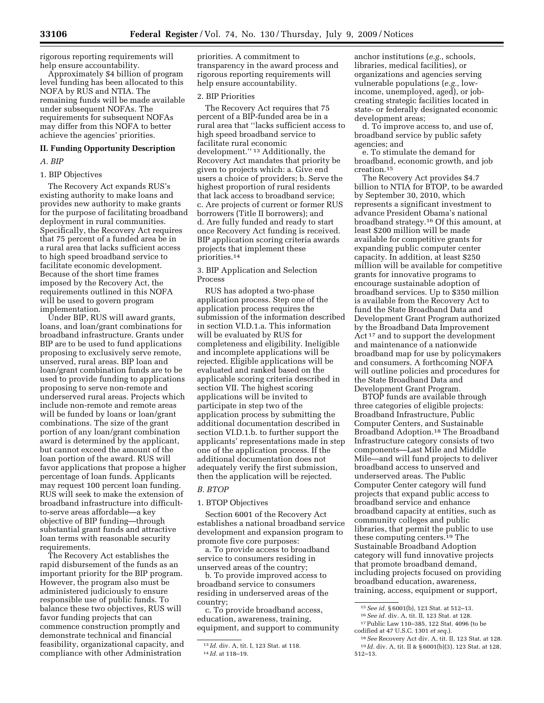rigorous reporting requirements will help ensure accountability.

Approximately \$4 billion of program level funding has been allocated to this NOFA by RUS and NTIA. The remaining funds will be made available under subsequent NOFAs. The requirements for subsequent NOFAs may differ from this NOFA to better achieve the agencies' priorities.

#### **II. Funding Opportunity Description**

#### *A. BIP*

#### 1. BIP Objectives

The Recovery Act expands RUS's existing authority to make loans and provides new authority to make grants for the purpose of facilitating broadband deployment in rural communities. Specifically, the Recovery Act requires that 75 percent of a funded area be in a rural area that lacks sufficient access to high speed broadband service to facilitate economic development. Because of the short time frames imposed by the Recovery Act, the requirements outlined in this NOFA will be used to govern program implementation.

Under BIP, RUS will award grants, loans, and loan/grant combinations for broadband infrastructure. Grants under BIP are to be used to fund applications proposing to exclusively serve remote, unserved, rural areas. BIP loan and loan/grant combination funds are to be used to provide funding to applications proposing to serve non-remote and underserved rural areas. Projects which include non-remote and remote areas will be funded by loans or loan/grant combinations. The size of the grant portion of any loan/grant combination award is determined by the applicant, but cannot exceed the amount of the loan portion of the award. RUS will favor applications that propose a higher percentage of loan funds. Applicants may request 100 percent loan funding. RUS will seek to make the extension of broadband infrastructure into difficultto-serve areas affordable—a key objective of BIP funding—through substantial grant funds and attractive loan terms with reasonable security requirements.

The Recovery Act establishes the rapid disbursement of the funds as an important priority for the BIP program. However, the program also must be administered judiciously to ensure responsible use of public funds. To balance these two objectives, RUS will favor funding projects that can commence construction promptly and demonstrate technical and financial feasibility, organizational capacity, and compliance with other Administration

priorities. A commitment to transparency in the award process and rigorous reporting requirements will help ensure accountability.

#### 2. BIP Priorities

The Recovery Act requires that 75 percent of a BIP-funded area be in a rural area that ''lacks sufficient access to high speed broadband service to facilitate rural economic development.'' 13 Additionally, the Recovery Act mandates that priority be given to projects which: a. Give end users a choice of providers; b. Serve the highest proportion of rural residents that lack access to broadband service; c. Are projects of current or former RUS borrowers (Title II borrowers); and d. Are fully funded and ready to start once Recovery Act funding is received. BIP application scoring criteria awards projects that implement these priorities.14

3. BIP Application and Selection Process

RUS has adopted a two-phase application process. Step one of the application process requires the submission of the information described in section VI.D.1.a. This information will be evaluated by RUS for completeness and eligibility. Ineligible and incomplete applications will be rejected. Eligible applications will be evaluated and ranked based on the applicable scoring criteria described in section VII. The highest scoring applications will be invited to participate in step two of the application process by submitting the additional documentation described in section VI.D.1.b. to further support the applicants' representations made in step one of the application process. If the additional documentation does not adequately verify the first submission, then the application will be rejected.

#### *B. BTOP*

#### 1. BTOP Objectives

Section 6001 of the Recovery Act establishes a national broadband service development and expansion program to promote five core purposes:

a. To provide access to broadband service to consumers residing in unserved areas of the country;

b. To provide improved access to broadband service to consumers residing in underserved areas of the country;

c. To provide broadband access, education, awareness, training, equipment, and support to community

anchor institutions (*e.g.,* schools, libraries, medical facilities), or organizations and agencies serving vulnerable populations (*e.g.,* lowincome, unemployed, aged), or jobcreating strategic facilities located in state- or federally designated economic development areas;

d. To improve access to, and use of, broadband service by public safety agencies; and

e. To stimulate the demand for broadband, economic growth, and job creation.15

The Recovery Act provides \$4.7 billion to NTIA for BTOP, to be awarded by September 30, 2010, which represents a significant investment to advance President Obama's national broadband strategy.16 Of this amount, at least \$200 million will be made available for competitive grants for expanding public computer center capacity. In addition, at least \$250 million will be available for competitive grants for innovative programs to encourage sustainable adoption of broadband services. Up to \$350 million is available from the Recovery Act to fund the State Broadband Data and Development Grant Program authorized by the Broadband Data Improvement Act 17 and to support the development and maintenance of a nationwide broadband map for use by policymakers and consumers. A forthcoming NOFA will outline policies and procedures for the State Broadband Data and Development Grant Program.

BTOP funds are available through three categories of eligible projects: Broadband Infrastructure, Public Computer Centers, and Sustainable Broadband Adoption.18 The Broadband Infrastructure category consists of two components—Last Mile and Middle Mile—and will fund projects to deliver broadband access to unserved and underserved areas. The Public Computer Center category will fund projects that expand public access to broadband service and enhance broadband capacity at entities, such as community colleges and public libraries, that permit the public to use these computing centers.19 The Sustainable Broadband Adoption category will fund innovative projects that promote broadband demand, including projects focused on providing broadband education, awareness, training, access, equipment or support,

<sup>13</sup> *Id.* div. A, tit. I, 123 Stat. at 118. 14 *Id.* at 118–19.

<sup>15</sup>*See id.* § 6001(b), 123 Stat. at 512–13.

<sup>16</sup>*See id.* div. A, tit. II, 123 Stat. at 128. 17Public Law 110–385, 122 Stat. 4096 (to be

codified at 47 U.S.C. 1301 *et seq.*).

<sup>18</sup>*See* Recovery Act div. A, tit. II, 123 Stat. at 128. 19 *Id.* div. A, tit. II & § 6001(b)(3), 123 Stat. at 128, 512–13.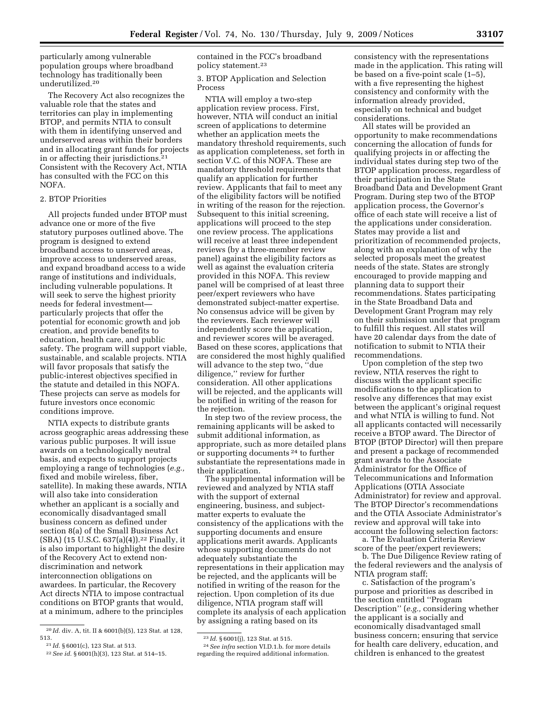particularly among vulnerable population groups where broadband technology has traditionally been underutilized.20

The Recovery Act also recognizes the valuable role that the states and territories can play in implementing BTOP, and permits NTIA to consult with them in identifying unserved and underserved areas within their borders and in allocating grant funds for projects in or affecting their jurisdictions.21 Consistent with the Recovery Act, NTIA has consulted with the FCC on this NOFA.

#### 2. BTOP Priorities

All projects funded under BTOP must advance one or more of the five statutory purposes outlined above. The program is designed to extend broadband access to unserved areas, improve access to underserved areas, and expand broadband access to a wide range of institutions and individuals, including vulnerable populations. It will seek to serve the highest priority needs for federal investment particularly projects that offer the potential for economic growth and job creation, and provide benefits to education, health care, and public safety. The program will support viable, sustainable, and scalable projects. NTIA will favor proposals that satisfy the public-interest objectives specified in the statute and detailed in this NOFA. These projects can serve as models for future investors once economic conditions improve.

NTIA expects to distribute grants across geographic areas addressing these various public purposes. It will issue awards on a technologically neutral basis, and expects to support projects employing a range of technologies (*e.g.,*  fixed and mobile wireless, fiber, satellite). In making these awards, NTIA will also take into consideration whether an applicant is a socially and economically disadvantaged small business concern as defined under section 8(a) of the Small Business Act (SBA) (15 U.S.C. 637(a)(4)).22 Finally, it is also important to highlight the desire of the Recovery Act to extend nondiscrimination and network interconnection obligations on awardees. In particular, the Recovery Act directs NTIA to impose contractual conditions on BTOP grants that would, at a minimum, adhere to the principles

contained in the FCC's broadband policy statement.23

3. BTOP Application and Selection Process

NTIA will employ a two-step application review process. First, however, NTIA will conduct an initial screen of applications to determine whether an application meets the mandatory threshold requirements, such as application completeness, set forth in section V.C. of this NOFA. These are mandatory threshold requirements that qualify an application for further review. Applicants that fail to meet any of the eligibility factors will be notified in writing of the reason for the rejection. Subsequent to this initial screening, applications will proceed to the step one review process. The applications will receive at least three independent reviews (by a three-member review panel) against the eligibility factors as well as against the evaluation criteria provided in this NOFA. This review panel will be comprised of at least three peer/expert reviewers who have demonstrated subject-matter expertise. No consensus advice will be given by the reviewers. Each reviewer will independently score the application, and reviewer scores will be averaged. Based on these scores, applications that are considered the most highly qualified will advance to the step two, ''due diligence,'' review for further consideration. All other applications will be rejected, and the applicants will be notified in writing of the reason for the rejection.

In step two of the review process, the remaining applicants will be asked to submit additional information, as appropriate, such as more detailed plans or supporting documents 24 to further substantiate the representations made in their application.

The supplemental information will be reviewed and analyzed by NTIA staff with the support of external engineering, business, and subjectmatter experts to evaluate the consistency of the applications with the supporting documents and ensure applications merit awards. Applicants whose supporting documents do not adequately substantiate the representations in their application may be rejected, and the applicants will be notified in writing of the reason for the rejection. Upon completion of its due diligence, NTIA program staff will complete its analysis of each application by assigning a rating based on its

24*See infra* section VI.D.1.b. for more details regarding the required additional information.

consistency with the representations made in the application. This rating will be based on a five-point scale (1–5), with a five representing the highest consistency and conformity with the information already provided, especially on technical and budget considerations.

All states will be provided an opportunity to make recommendations concerning the allocation of funds for qualifying projects in or affecting the individual states during step two of the BTOP application process, regardless of their participation in the State Broadband Data and Development Grant Program. During step two of the BTOP application process, the Governor's office of each state will receive a list of the applications under consideration. States may provide a list and prioritization of recommended projects, along with an explanation of why the selected proposals meet the greatest needs of the state. States are strongly encouraged to provide mapping and planning data to support their recommendations. States participating in the State Broadband Data and Development Grant Program may rely on their submission under that program to fulfill this request. All states will have 20 calendar days from the date of notification to submit to NTIA their recommendations.

Upon completion of the step two review, NTIA reserves the right to discuss with the applicant specific modifications to the application to resolve any differences that may exist between the applicant's original request and what NTIA is willing to fund. Not all applicants contacted will necessarily receive a BTOP award. The Director of BTOP (BTOP Director) will then prepare and present a package of recommended grant awards to the Associate Administrator for the Office of Telecommunications and Information Applications (OTIA Associate Administrator) for review and approval. The BTOP Director's recommendations and the OTIA Associate Administrator's review and approval will take into account the following selection factors:

a. The Evaluation Criteria Review score of the peer/expert reviewers;

b. The Due Diligence Review rating of the federal reviewers and the analysis of NTIA program staff;

c. Satisfaction of the program's purpose and priorities as described in the section entitled ''Program Description'' (*e.g.,* considering whether the applicant is a socially and economically disadvantaged small business concern; ensuring that service for health care delivery, education, and children is enhanced to the greatest

<sup>20</sup> *Id.* div. A, tit. II & 6001(b)(5), 123 Stat. at 128, 513.

<sup>21</sup> *Id.* § 6001(c), 123 Stat. at 513.

<sup>22</sup>*See id.* § 6001(h)(3), 123 Stat. at 514–15.

<sup>23</sup> *Id.* § 6001(j), 123 Stat. at 515.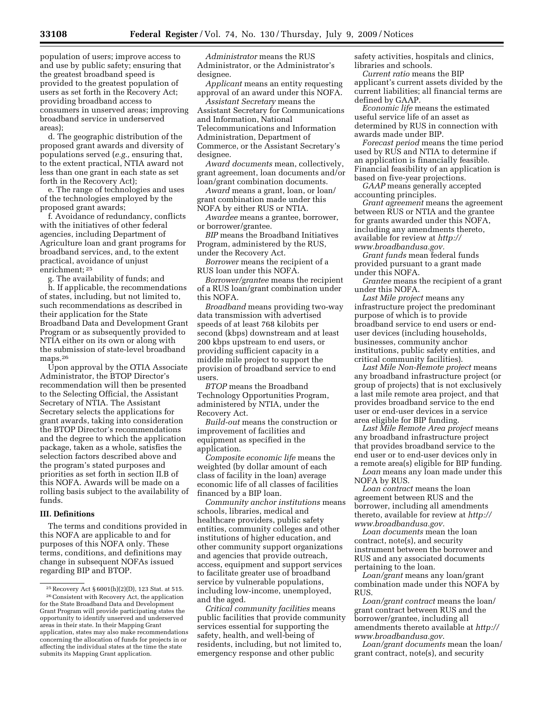population of users; improve access to and use by public safety; ensuring that the greatest broadband speed is provided to the greatest population of users as set forth in the Recovery Act; providing broadband access to consumers in unserved areas; improving broadband service in underserved areas);

d. The geographic distribution of the proposed grant awards and diversity of populations served (*e.g.,* ensuring that, to the extent practical, NTIA award not less than one grant in each state as set forth in the Recovery Act);

e. The range of technologies and uses of the technologies employed by the proposed grant awards;

f. Avoidance of redundancy, conflicts with the initiatives of other federal agencies, including Department of Agriculture loan and grant programs for broadband services, and, to the extent practical, avoidance of unjust enrichment; 25

g. The availability of funds; and

h. If applicable, the recommendations of states, including, but not limited to, such recommendations as described in their application for the State Broadband Data and Development Grant Program or as subsequently provided to NTIA either on its own or along with the submission of state-level broadband maps.26

Upon approval by the OTIA Associate Administrator, the BTOP Director's recommendation will then be presented to the Selecting Official, the Assistant Secretary of NTIA. The Assistant Secretary selects the applications for grant awards, taking into consideration the BTOP Director's recommendations and the degree to which the application package, taken as a whole, satisfies the selection factors described above and the program's stated purposes and priorities as set forth in section II.B of this NOFA. Awards will be made on a rolling basis subject to the availability of funds.

#### **III. Definitions**

The terms and conditions provided in this NOFA are applicable to and for purposes of this NOFA only. These terms, conditions, and definitions may change in subsequent NOFAs issued regarding BIP and BTOP.

*Administrator* means the RUS Administrator, or the Administrator's designee.

*Applicant* means an entity requesting approval of an award under this NOFA.

*Assistant Secretary* means the Assistant Secretary for Communications and Information, National Telecommunications and Information Administration, Department of Commerce, or the Assistant Secretary's designee.

*Award documents* mean, collectively, grant agreement, loan documents and/or loan/grant combination documents.

*Award* means a grant, loan, or loan/ grant combination made under this NOFA by either RUS or NTIA.

*Awardee* means a grantee, borrower, or borrower/grantee.

*BIP* means the Broadband Initiatives Program, administered by the RUS, under the Recovery Act.

*Borrower* means the recipient of a RUS loan under this NOFA.

*Borrower/grantee* means the recipient of a RUS loan/grant combination under this NOFA.

*Broadband* means providing two-way data transmission with advertised speeds of at least 768 kilobits per second (kbps) downstream and at least 200 kbps upstream to end users, or providing sufficient capacity in a middle mile project to support the provision of broadband service to end users.

*BTOP* means the Broadband Technology Opportunities Program, administered by NTIA, under the Recovery Act.

*Build-out* means the construction or improvement of facilities and equipment as specified in the application.

*Composite economic life* means the weighted (by dollar amount of each class of facility in the loan) average economic life of all classes of facilities financed by a BIP loan.

*Community anchor institutions* means schools, libraries, medical and healthcare providers, public safety entities, community colleges and other institutions of higher education, and other community support organizations and agencies that provide outreach, access, equipment and support services to facilitate greater use of broadband service by vulnerable populations, including low-income, unemployed, and the aged.

*Critical community facilities* means public facilities that provide community services essential for supporting the safety, health, and well-being of residents, including, but not limited to, emergency response and other public

safety activities, hospitals and clinics, libraries and schools.

*Current ratio* means the BIP applicant's current assets divided by the current liabilities; all financial terms are defined by GAAP.

*Economic life* means the estimated useful service life of an asset as determined by RUS in connection with awards made under BIP.

*Forecast period* means the time period used by RUS and NTIA to determine if an application is financially feasible. Financial feasibility of an application is based on five-year projections.

*GAAP* means generally accepted accounting principles.

*Grant agreement* means the agreement between RUS or NTIA and the grantee for grants awarded under this NOFA, including any amendments thereto, available for review at *http:// www.broadbandusa.gov.* 

*Grant funds* mean federal funds provided pursuant to a grant made under this NOFA.

*Grantee* means the recipient of a grant under this NOFA.

*Last Mile project* means any infrastructure project the predominant purpose of which is to provide broadband service to end users or enduser devices (including households, businesses, community anchor institutions, public safety entities, and critical community facilities).

*Last Mile Non-Remote project* means any broadband infrastructure project (or group of projects) that is not exclusively a last mile remote area project, and that provides broadband service to the end user or end-user devices in a service area eligible for BIP funding.

*Last Mile Remote Area project* means any broadband infrastructure project that provides broadband service to the end user or to end-user devices only in a remote area(s) eligible for BIP funding.

*Loan* means any loan made under this NOFA by RUS.

*Loan contract* means the loan agreement between RUS and the borrower, including all amendments thereto, available for review at *http:// www.broadbandusa.gov.* 

*Loan documents* mean the loan contract, note(s), and security instrument between the borrower and RUS and any associated documents pertaining to the loan.

*Loan/grant* means any loan/grant combination made under this NOFA by RUS.

*Loan/grant contract* means the loan/ grant contract between RUS and the borrower/grantee, including all amendments thereto available at *http:// www.broadbandusa.gov*.

*Loan/grant documents* mean the loan/ grant contract, note(s), and security

<sup>25</sup>Recovery Act § 6001(h)(2)(D), 123 Stat. at 515. 26Consistent with Recovery Act, the application for the State Broadband Data and Development Grant Program will provide participating states the opportunity to identify unserved and underserved areas in their state. In their Mapping Grant application, states may also make recommendations concerning the allocation of funds for projects in or affecting the individual states at the time the state submits its Mapping Grant application.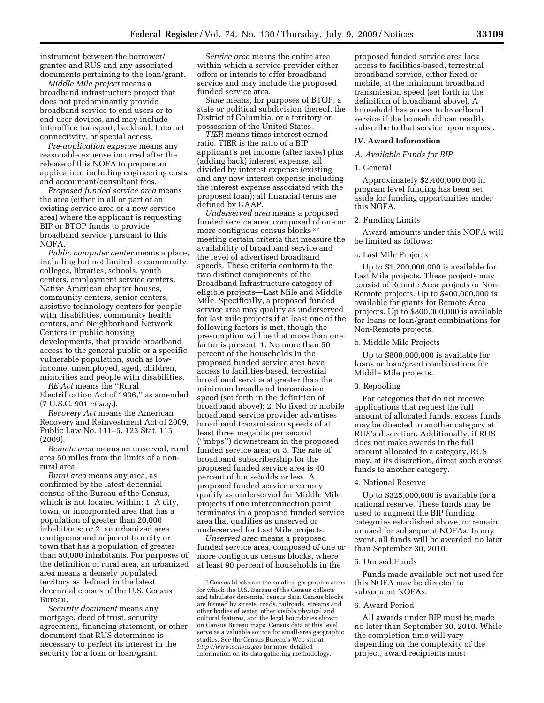instrument between the borrower/ grantee and RUS and any associated documents pertaining to the loan/grant.

*Middle Mile project* means a broadband infrastructure project that does not predominantly provide broadband service to end users or to end-user devices, and may include interoffice transport, backhaul, Internet connectivity, or special access.

*Pre-application expense* means any reasonable expense incurred after the release of this NOFA to prepare an application, including engineering costs and accountant/consultant fees.

*Proposed funded service area* means the area (either in all or part of an existing service area or a new service area) where the applicant is requesting BIP or BTOP funds to provide broadband service pursuant to this NOFA.

*Public computer center* means a place, including but not limited to community colleges, libraries, schools, youth centers, employment service centers, Native American chapter houses, community centers, senior centers, assistive technology centers for people with disabilities, community health centers, and Neighborhood Network Centers in public housing developments, that provide broadband access to the general public or a specific vulnerable population, such as lowincome, unemployed, aged, children, minorities and people with disabilities.

*RE Act* means the ''Rural Electrification Act of 1936,'' as amended (7 U.S.C. 901 *et seq.*).

*Recovery Act* means the American Recovery and Reinvestment Act of 2009, Public Law No. 111–5, 123 Stat. 115 (2009).

*Remote area* means an unserved, rural area 50 miles from the limits of a nonrural area.

*Rural area* means any area, as confirmed by the latest decennial census of the Bureau of the Census, which is not located within: 1. A city, town, or incorporated area that has a population of greater than 20,000 inhabitants; or 2. an urbanized area contiguous and adjacent to a city or town that has a population of greater than 50,000 inhabitants. For purposes of the definition of rural area, an urbanized area means a densely populated territory as defined in the latest decennial census of the U.S. Census Bureau.

*Security document* means any mortgage, deed of trust, security agreement, financing statement, or other document that RUS determines is necessary to perfect its interest in the security for a loan or loan/grant.

*Service area* means the entire area within which a service provider either offers or intends to offer broadband service and may include the proposed funded service area.

*State* means, for purposes of BTOP, a state or political subdivision thereof, the District of Columbia, or a territory or possession of the United States.

*TIER* means times interest earned ratio. TIER is the ratio of a BIP applicant's net income (after taxes) plus (adding back) interest expense, all divided by interest expense (existing and any new interest expense including the interest expense associated with the proposed loan); all financial terms are defined by GAAP.

*Underserved area* means a proposed funded service area, composed of one or more contiguous census blocks 27 meeting certain criteria that measure the availability of broadband service and the level of advertised broadband speeds. These criteria conform to the two distinct components of the Broadband Infrastructure category of eligible projects—Last Mile and Middle Mile. Specifically, a proposed funded service area may qualify as underserved for last mile projects if at least one of the following factors is met, though the presumption will be that more than one factor is present: 1. No more than 50 percent of the households in the proposed funded service area have access to facilities-based, terrestrial broadband service at greater than the minimum broadband transmission speed (set forth in the definition of broadband above); 2. No fixed or mobile broadband service provider advertises broadband transmission speeds of at least three megabits per second (''mbps'') downstream in the proposed funded service area; or 3. The rate of broadband subscribership for the proposed funded service area is 40 percent of households or less. A proposed funded service area may qualify as underserved for Middle Mile projects if one interconnection point terminates in a proposed funded service area that qualifies as unserved or underserved for Last Mile projects.

*Unserved area* means a proposed funded service area, composed of one or more contiguous census blocks, where at least 90 percent of households in the

proposed funded service area lack access to facilities-based, terrestrial broadband service, either fixed or mobile, at the minimum broadband transmission speed (set forth in the definition of broadband above). A household has access to broadband service if the household can readily subscribe to that service upon request.

#### **IV. Award Information**

#### *A. Available Funds for BIP*

#### 1. General

Approximately \$2,400,000,000 in program level funding has been set aside for funding opportunities under this NOFA.

#### 2. Funding Limits

Award amounts under this NOFA will be limited as follows:

#### a. Last Mile Projects

Up to \$1,200,000,000 is available for Last Mile projects. These projects may consist of Remote Area projects or Non-Remote projects. Up to \$400,000,000 is available for grants for Remote Area projects. Up to \$800,000,000 is available for loans or loan/grant combinations for Non-Remote projects.

#### b. Middle Mile Projects

Up to \$800,000,000 is available for loans or loan/grant combinations for Middle Mile projects.

#### 3. Repooling

For categories that do not receive applications that request the full amount of allocated funds, excess funds may be directed to another category at RUS's discretion. Additionally, if RUS does not make awards in the full amount allocated to a category, RUS may, at its discretion, direct such excess funds to another category.

#### 4. National Reserve

Up to \$325,000,000 is available for a national reserve. These funds may be used to augment the BIP funding categories established above, or remain unused for subsequent NOFAs. In any event, all funds will be awarded no later than September 30, 2010.

#### 5. Unused Funds

Funds made available but not used for this NOFA may be directed to subsequent NOFAs.

#### 6. Award Period

All awards under BIP must be made no later than September 30, 2010. While the completion time will vary depending on the complexity of the project, award recipients must

<sup>27</sup>Census blocks are the smallest geographic areas for which the U.S. Bureau of the Census collects and tabulates decennial census data. Census blocks are formed by streets, roads, railroads, streams and other bodies of water, other visible physical and cultural features, and the legal boundaries shown on Census Bureau maps. Census data at this level serve as a valuable source for small-area geographic studies. See the Census Bureau's Web site at *http://www.census.gov* for more detailed information on its data gathering methodology.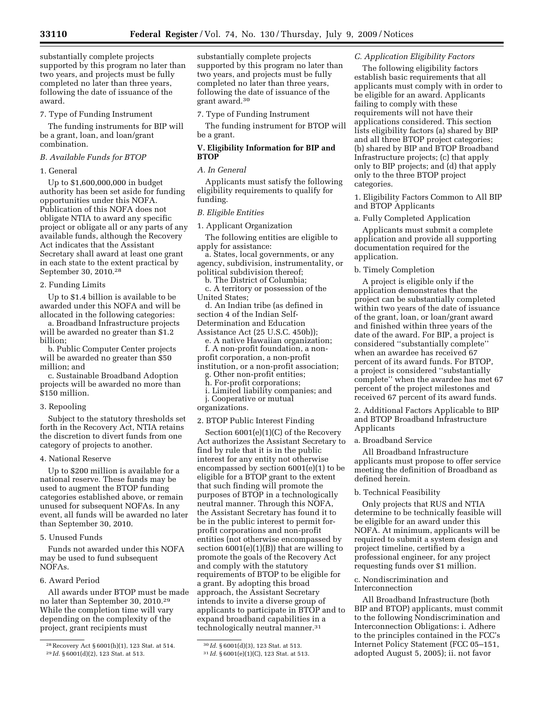substantially complete projects supported by this program no later than two years, and projects must be fully completed no later than three years, following the date of issuance of the award.

7. Type of Funding Instrument

The funding instruments for BIP will be a grant, loan, and loan/grant combination.

#### *B. Available Funds for BTOP*

#### 1. General

Up to \$1,600,000,000 in budget authority has been set aside for funding opportunities under this NOFA. Publication of this NOFA does not obligate NTIA to award any specific project or obligate all or any parts of any available funds, although the Recovery Act indicates that the Assistant Secretary shall award at least one grant in each state to the extent practical by September 30, 2010.28

#### 2. Funding Limits

Up to \$1.4 billion is available to be awarded under this NOFA and will be allocated in the following categories:

a. Broadband Infrastructure projects will be awarded no greater than \$1.2 billion;

b. Public Computer Center projects will be awarded no greater than \$50 million; and

c. Sustainable Broadband Adoption projects will be awarded no more than \$150 million.

3. Repooling

Subject to the statutory thresholds set forth in the Recovery Act, NTIA retains the discretion to divert funds from one category of projects to another.

#### 4. National Reserve

Up to \$200 million is available for a national reserve. These funds may be used to augment the BTOP funding categories established above, or remain unused for subsequent NOFAs. In any event, all funds will be awarded no later than September 30, 2010.

#### 5. Unused Funds

Funds not awarded under this NOFA may be used to fund subsequent NOFAs.

#### 6. Award Period

All awards under BTOP must be made no later than September 30, 2010.29 While the completion time will vary depending on the complexity of the project, grant recipients must

substantially complete projects supported by this program no later than two years, and projects must be fully completed no later than three years, following the date of issuance of the grant award.30

7. Type of Funding Instrument

The funding instrument for BTOP will be a grant.

#### **V. Eligibility Information for BIP and BTOP**

#### *A. In General*

Applicants must satisfy the following eligibility requirements to qualify for funding.

#### *B. Eligible Entities*

1. Applicant Organization

The following entities are eligible to apply for assistance:

a. States, local governments, or any agency, subdivision, instrumentality, or political subdivision thereof;

b. The District of Columbia;

c. A territory or possession of the United States;

d. An Indian tribe (as defined in section 4 of the Indian Self-Determination and Education

Assistance Act (25 U.S.C. 450b));

e. A native Hawaiian organization;

f. A non-profit foundation, a nonprofit corporation, a non-profit institution, or a non-profit association;

Other non-profit entities;

h. For-profit corporations;

i. Limited liability companies; and j. Cooperative or mutual

organizations.

#### 2. BTOP Public Interest Finding

Section 6001(e)(1)(C) of the Recovery Act authorizes the Assistant Secretary to find by rule that it is in the public interest for any entity not otherwise encompassed by section 6001(e)(1) to be eligible for a BTOP grant to the extent that such finding will promote the purposes of BTOP in a technologically neutral manner. Through this NOFA, the Assistant Secretary has found it to be in the public interest to permit forprofit corporations and non-profit entities (not otherwise encompassed by section  $6001(e)(1)(B)$  that are willing to promote the goals of the Recovery Act and comply with the statutory requirements of BTOP to be eligible for a grant. By adopting this broad approach, the Assistant Secretary intends to invite a diverse group of applicants to participate in BTOP and to expand broadband capabilities in a technologically neutral manner.<sup>31</sup>

#### *C. Application Eligibility Factors*

The following eligibility factors establish basic requirements that all applicants must comply with in order to be eligible for an award. Applicants failing to comply with these requirements will not have their applications considered. This section lists eligibility factors (a) shared by BIP and all three BTOP project categories; (b) shared by BIP and BTOP Broadband Infrastructure projects; (c) that apply only to BIP projects; and (d) that apply only to the three BTOP project categories.

1. Eligibility Factors Common to All BIP and BTOP Applicants

a. Fully Completed Application

Applicants must submit a complete application and provide all supporting documentation required for the application.

b. Timely Completion

A project is eligible only if the application demonstrates that the project can be substantially completed within two years of the date of issuance of the grant, loan, or loan/grant award and finished within three years of the date of the award. For BIP, a project is considered ''substantially complete'' when an awardee has received 67 percent of its award funds. For BTOP, a project is considered ''substantially complete'' when the awardee has met 67 percent of the project milestones and received 67 percent of its award funds.

2. Additional Factors Applicable to BIP and BTOP Broadband Infrastructure Applicants

#### a. Broadband Service

All Broadband Infrastructure applicants must propose to offer service meeting the definition of Broadband as defined herein.

b. Technical Feasibility

Only projects that RUS and NTIA determine to be technically feasible will be eligible for an award under this NOFA. At minimum, applicants will be required to submit a system design and project timeline, certified by a professional engineer, for any project requesting funds over \$1 million.

### c. Nondiscrimination and

#### Interconnection

All Broadband Infrastructure (both BIP and BTOP) applicants, must commit to the following Nondiscrimination and Interconnection Obligations: i. Adhere to the principles contained in the FCC's Internet Policy Statement (FCC 05–151, adopted August 5, 2005); ii. not favor

<sup>28</sup>Recovery Act § 6001(h)(1), 123 Stat. at 514. 29 *Id.* § 6001(d)(2), 123 Stat. at 513.

<sup>30</sup> *Id.* § 6001(d)(3), 123 Stat. at 513.

<sup>31</sup> *Id.* § 6001(e)(1)(C), 123 Stat. at 513.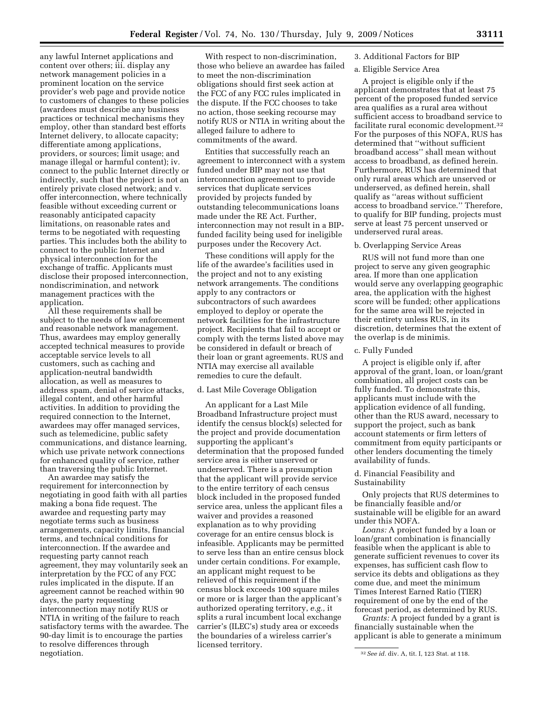any lawful Internet applications and content over others; iii. display any network management policies in a prominent location on the service provider's web page and provide notice to customers of changes to these policies (awardees must describe any business practices or technical mechanisms they employ, other than standard best efforts Internet delivery, to allocate capacity; differentiate among applications, providers, or sources; limit usage; and manage illegal or harmful content); iv. connect to the public Internet directly or indirectly, such that the project is not an entirely private closed network; and v. offer interconnection, where technically feasible without exceeding current or reasonably anticipated capacity limitations, on reasonable rates and terms to be negotiated with requesting parties. This includes both the ability to connect to the public Internet and physical interconnection for the exchange of traffic. Applicants must disclose their proposed interconnection, nondiscrimination, and network management practices with the application.

All these requirements shall be subject to the needs of law enforcement and reasonable network management. Thus, awardees may employ generally accepted technical measures to provide acceptable service levels to all customers, such as caching and application-neutral bandwidth allocation, as well as measures to address spam, denial of service attacks, illegal content, and other harmful activities. In addition to providing the required connection to the Internet, awardees may offer managed services, such as telemedicine, public safety communications, and distance learning, which use private network connections for enhanced quality of service, rather than traversing the public Internet.

An awardee may satisfy the requirement for interconnection by negotiating in good faith with all parties making a bona fide request. The awardee and requesting party may negotiate terms such as business arrangements, capacity limits, financial terms, and technical conditions for interconnection. If the awardee and requesting party cannot reach agreement, they may voluntarily seek an interpretation by the FCC of any FCC rules implicated in the dispute. If an agreement cannot be reached within 90 days, the party requesting interconnection may notify RUS or NTIA in writing of the failure to reach satisfactory terms with the awardee. The 90-day limit is to encourage the parties to resolve differences through negotiation.

With respect to non-discrimination, those who believe an awardee has failed to meet the non-discrimination obligations should first seek action at the FCC of any FCC rules implicated in the dispute. If the FCC chooses to take no action, those seeking recourse may notify RUS or NTIA in writing about the alleged failure to adhere to commitments of the award.

Entities that successfully reach an agreement to interconnect with a system funded under BIP may not use that interconnection agreement to provide services that duplicate services provided by projects funded by outstanding telecommunications loans made under the RE Act. Further, interconnection may not result in a BIPfunded facility being used for ineligible purposes under the Recovery Act.

These conditions will apply for the life of the awardee's facilities used in the project and not to any existing network arrangements. The conditions apply to any contractors or subcontractors of such awardees employed to deploy or operate the network facilities for the infrastructure project. Recipients that fail to accept or comply with the terms listed above may be considered in default or breach of their loan or grant agreements. RUS and NTIA may exercise all available remedies to cure the default.

#### d. Last Mile Coverage Obligation

An applicant for a Last Mile Broadband Infrastructure project must identify the census block(s) selected for the project and provide documentation supporting the applicant's determination that the proposed funded service area is either unserved or underserved. There is a presumption that the applicant will provide service to the entire territory of each census block included in the proposed funded service area, unless the applicant files a waiver and provides a reasoned explanation as to why providing coverage for an entire census block is infeasible. Applicants may be permitted to serve less than an entire census block under certain conditions. For example, an applicant might request to be relieved of this requirement if the census block exceeds 100 square miles or more or is larger than the applicant's authorized operating territory, *e.g.,* it splits a rural incumbent local exchange carrier's (ILEC's) study area or exceeds the boundaries of a wireless carrier's licensed territory.

#### 3. Additional Factors for BIP

#### a. Eligible Service Area

A project is eligible only if the applicant demonstrates that at least 75 percent of the proposed funded service area qualifies as a rural area without sufficient access to broadband service to facilitate rural economic development.32 For the purposes of this NOFA, RUS has determined that ''without sufficient broadband access'' shall mean without access to broadband, as defined herein. Furthermore, RUS has determined that only rural areas which are unserved or underserved, as defined herein, shall qualify as ''areas without sufficient access to broadband service.'' Therefore, to qualify for BIP funding, projects must serve at least 75 percent unserved or underserved rural areas.

#### b. Overlapping Service Areas

RUS will not fund more than one project to serve any given geographic area. If more than one application would serve any overlapping geographic area, the application with the highest score will be funded; other applications for the same area will be rejected in their entirety unless RUS, in its discretion, determines that the extent of the overlap is de minimis.

#### c. Fully Funded

A project is eligible only if, after approval of the grant, loan, or loan/grant combination, all project costs can be fully funded. To demonstrate this, applicants must include with the application evidence of all funding, other than the RUS award, necessary to support the project, such as bank account statements or firm letters of commitment from equity participants or other lenders documenting the timely availability of funds.

#### d. Financial Feasibility and Sustainability

Only projects that RUS determines to be financially feasible and/or sustainable will be eligible for an award under this NOFA.

*Loans:* A project funded by a loan or loan/grant combination is financially feasible when the applicant is able to generate sufficient revenues to cover its expenses, has sufficient cash flow to service its debts and obligations as they come due, and meet the minimum Times Interest Earned Ratio (TIER) requirement of one by the end of the forecast period, as determined by RUS.

*Grants:* A project funded by a grant is financially sustainable when the applicant is able to generate a minimum

<sup>32</sup>*See id.* div. A, tit. I, 123 Stat. at 118.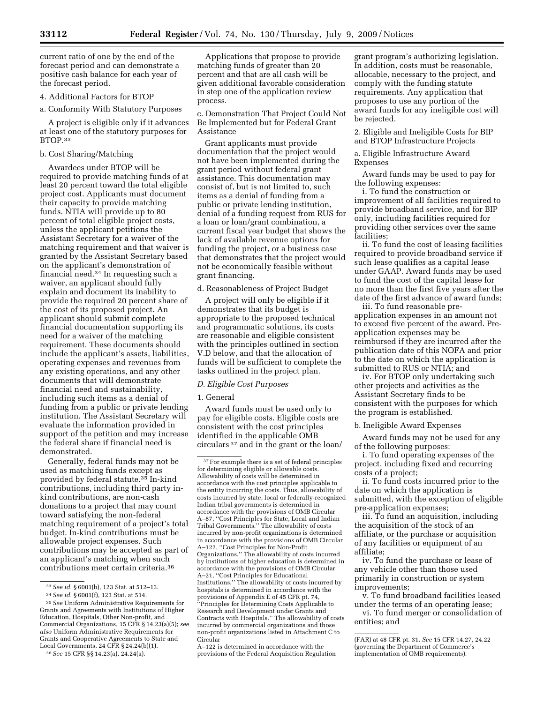current ratio of one by the end of the forecast period and can demonstrate a positive cash balance for each year of the forecast period.

4. Additional Factors for BTOP

a. Conformity With Statutory Purposes

A project is eligible only if it advances at least one of the statutory purposes for BTOP.33

#### b. Cost Sharing/Matching

Awardees under BTOP will be required to provide matching funds of at least 20 percent toward the total eligible project cost. Applicants must document their capacity to provide matching funds. NTIA will provide up to 80 percent of total eligible project costs, unless the applicant petitions the Assistant Secretary for a waiver of the matching requirement and that waiver is granted by the Assistant Secretary based on the applicant's demonstration of financial need.34 In requesting such a waiver, an applicant should fully explain and document its inability to provide the required 20 percent share of the cost of its proposed project. An applicant should submit complete financial documentation supporting its need for a waiver of the matching requirement. These documents should include the applicant's assets, liabilities, operating expenses and revenues from any existing operations, and any other documents that will demonstrate financial need and sustainability, including such items as a denial of funding from a public or private lending institution. The Assistant Secretary will evaluate the information provided in support of the petition and may increase the federal share if financial need is demonstrated.

Generally, federal funds may not be used as matching funds except as provided by federal statute.35 In-kind contributions, including third party inkind contributions, are non-cash donations to a project that may count toward satisfying the non-federal matching requirement of a project's total budget. In-kind contributions must be allowable project expenses. Such contributions may be accepted as part of an applicant's matching when such contributions meet certain criteria.36

Applications that propose to provide matching funds of greater than 20 percent and that are all cash will be given additional favorable consideration in step one of the application review process.

c. Demonstration That Project Could Not Be Implemented but for Federal Grant Assistance

Grant applicants must provide documentation that the project would not have been implemented during the grant period without federal grant assistance. This documentation may consist of, but is not limited to, such items as a denial of funding from a public or private lending institution, denial of a funding request from RUS for a loan or loan/grant combination, a current fiscal year budget that shows the lack of available revenue options for funding the project, or a business case that demonstrates that the project would not be economically feasible without grant financing.

d. Reasonableness of Project Budget

A project will only be eligible if it demonstrates that its budget is appropriate to the proposed technical and programmatic solutions, its costs are reasonable and eligible consistent with the principles outlined in section V.D below, and that the allocation of funds will be sufficient to complete the tasks outlined in the project plan.

#### *D. Eligible Cost Purposes*

#### 1. General

Award funds must be used only to pay for eligible costs. Eligible costs are consistent with the cost principles identified in the applicable OMB circulars 37 and in the grant or the loan/

A–122 is determined in accordance with the provisions of the Federal Acquisition Regulation

grant program's authorizing legislation. In addition, costs must be reasonable, allocable, necessary to the project, and comply with the funding statute requirements. Any application that proposes to use any portion of the award funds for any ineligible cost will be rejected.

2. Eligible and Ineligible Costs for BIP and BTOP Infrastructure Projects

a. Eligible Infrastructure Award Expenses

Award funds may be used to pay for the following expenses:

i. To fund the construction or improvement of all facilities required to provide broadband service, and for BIP only, including facilities required for providing other services over the same facilities;

ii. To fund the cost of leasing facilities required to provide broadband service if such lease qualifies as a capital lease under GAAP. Award funds may be used to fund the cost of the capital lease for no more than the first five years after the date of the first advance of award funds;

iii. To fund reasonable preapplication expenses in an amount not to exceed five percent of the award. Preapplication expenses may be reimbursed if they are incurred after the publication date of this NOFA and prior to the date on which the application is submitted to RUS or NTIA; and

iv. For BTOP only undertaking such other projects and activities as the Assistant Secretary finds to be consistent with the purposes for which the program is established.

#### b. Ineligible Award Expenses

Award funds may not be used for any of the following purposes:

i. To fund operating expenses of the project, including fixed and recurring costs of a project;

ii. To fund costs incurred prior to the date on which the application is submitted, with the exception of eligible pre-application expenses;

iii. To fund an acquisition, including the acquisition of the stock of an affiliate, or the purchase or acquisition of any facilities or equipment of an affiliate;

iv. To fund the purchase or lease of any vehicle other than those used primarily in construction or system improvements;

v. To fund broadband facilities leased under the terms of an operating lease;

vi. To fund merger or consolidation of entities; and

<sup>33</sup>*See id.* § 6001(b), 123 Stat. at 512–13.

<sup>34</sup>*See id.* § 6001(f), 123 Stat. at 514.

<sup>35</sup>*See* Uniform Administrative Requirements for Grants and Agreements with Institutions of Higher Education, Hospitals, Other Non-profit, and Commercial Organizations, 15 CFR § 14.23(a)(5); *see also* Uniform Administrative Requirements for Grants and Cooperative Agreements to State and Local Governments, 24 CFR § 24.24(b)(1).

<sup>36</sup>*See* 15 CFR §§ 14.23(a), 24.24(a).

<sup>37</sup>For example there is a set of federal principles for determining eligible or allowable costs. Allowability of costs will be determined in accordance with the cost principles applicable to the entity incurring the costs. Thus, allowability of costs incurred by state, local or federally-recognized Indian tribal governments is determined in accordance with the provisions of OMB Circular A–87, ''Cost Principles for State, Local and Indian Tribal Governments.'' The allowability of costs incurred by non-profit organizations is determined in accordance with the provisions of OMB Circular A–122, ''Cost Principles for Non-Profit Organizations.'' The allowability of costs incurred by institutions of higher education is determined in accordance with the provisions of OMB Circular A–21, ''Cost Principles for Educational Institutions.'' The allowability of costs incurred by hospitals is determined in accordance with the provisions of Appendix E of 45 CFR pt. 74, ''Principles for Determining Costs Applicable to Research and Development under Grants and Contracts with Hospitals.'' The allowability of costs incurred by commercial organizations and those non-profit organizations listed in Attachment C to Circular

<sup>(</sup>FAR) at 48 CFR pt. 31. *See* 15 CFR 14.27, 24.22 (governing the Department of Commerce's implementation of OMB requirements).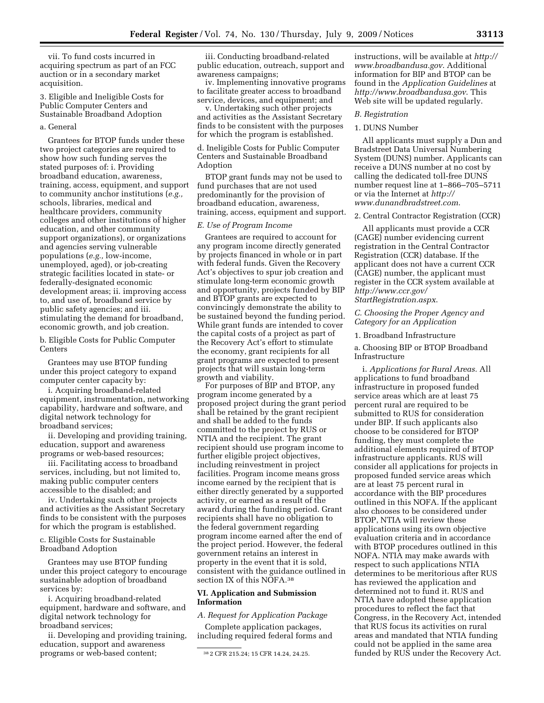vii. To fund costs incurred in acquiring spectrum as part of an FCC auction or in a secondary market acquisition.

3. Eligible and Ineligible Costs for Public Computer Centers and Sustainable Broadband Adoption

#### a. General

Grantees for BTOP funds under these two project categories are required to show how such funding serves the stated purposes of: i. Providing broadband education, awareness, training, access, equipment, and support to community anchor institutions (*e.g.,*  schools, libraries, medical and healthcare providers, community colleges and other institutions of higher education, and other community support organizations), or organizations and agencies serving vulnerable populations (*e.g.,* low-income, unemployed, aged), or job-creating strategic facilities located in state- or federally-designated economic development areas; ii. improving access to, and use of, broadband service by public safety agencies; and iii. stimulating the demand for broadband, economic growth, and job creation.

b. Eligible Costs for Public Computer **Centers** 

Grantees may use BTOP funding under this project category to expand computer center capacity by:

i. Acquiring broadband-related equipment, instrumentation, networking capability, hardware and software, and digital network technology for broadband services;

ii. Developing and providing training, education, support and awareness programs or web-based resources;

iii. Facilitating access to broadband services, including, but not limited to, making public computer centers accessible to the disabled; and

iv. Undertaking such other projects and activities as the Assistant Secretary finds to be consistent with the purposes for which the program is established.

c. Eligible Costs for Sustainable Broadband Adoption

Grantees may use BTOP funding under this project category to encourage sustainable adoption of broadband services by:

i. Acquiring broadband-related equipment, hardware and software, and digital network technology for broadband services;

ii. Developing and providing training, education, support and awareness programs or web-based content;

iii. Conducting broadband-related public education, outreach, support and awareness campaigns;

iv. Implementing innovative programs to facilitate greater access to broadband service, devices, and equipment; and

v. Undertaking such other projects and activities as the Assistant Secretary finds to be consistent with the purposes for which the program is established.

d. Ineligible Costs for Public Computer Centers and Sustainable Broadband Adoption

BTOP grant funds may not be used to fund purchases that are not used predominantly for the provision of broadband education, awareness, training, access, equipment and support.

#### *E. Use of Program Income*

Grantees are required to account for any program income directly generated by projects financed in whole or in part with federal funds. Given the Recovery Act's objectives to spur job creation and stimulate long-term economic growth and opportunity, projects funded by BIP and BTOP grants are expected to convincingly demonstrate the ability to be sustained beyond the funding period. While grant funds are intended to cover the capital costs of a project as part of the Recovery Act's effort to stimulate the economy, grant recipients for all grant programs are expected to present projects that will sustain long-term growth and viability.

For purposes of BIP and BTOP, any program income generated by a proposed project during the grant period shall be retained by the grant recipient and shall be added to the funds committed to the project by RUS or NTIA and the recipient. The grant recipient should use program income to further eligible project objectives, including reinvestment in project facilities. Program income means gross income earned by the recipient that is either directly generated by a supported activity, or earned as a result of the award during the funding period. Grant recipients shall have no obligation to the federal government regarding program income earned after the end of the project period. However, the federal government retains an interest in property in the event that it is sold, consistent with the guidance outlined in section IX of this NOFA.38

#### **VI. Application and Submission Information**

#### *A. Request for Application Package*

Complete application packages, including required federal forms and

instructions, will be available at *http:// www.broadbandusa.gov*. Additional information for BIP and BTOP can be found in the *Application Guidelines* at *http://www.broadbandusa.gov*. This Web site will be updated regularly.

#### *B. Registration*

#### 1. DUNS Number

All applicants must supply a Dun and Bradstreet Data Universal Numbering System (DUNS) number. Applicants can receive a DUNS number at no cost by calling the dedicated toll-free DUNS number request line at 1–866–705–5711 or via the Internet at *http:// www.dunandbradstreet.com*.

#### 2. Central Contractor Registration (CCR)

All applicants must provide a CCR (CAGE) number evidencing current registration in the Central Contractor Registration (CCR) database. If the applicant does not have a current CCR (CAGE) number, the applicant must register in the CCR system available at *http://www.ccr.gov/ StartRegistration.aspx*.

#### *C. Choosing the Proper Agency and Category for an Application*

1. Broadband Infrastructure

a. Choosing BIP or BTOP Broadband Infrastructure

i. *Applications for Rural Areas.* All applications to fund broadband infrastructure in proposed funded service areas which are at least 75 percent rural are required to be submitted to RUS for consideration under BIP. If such applicants also choose to be considered for BTOP funding, they must complete the additional elements required of BTOP infrastructure applicants. RUS will consider all applications for projects in proposed funded service areas which are at least 75 percent rural in accordance with the BIP procedures outlined in this NOFA. If the applicant also chooses to be considered under BTOP, NTIA will review these applications using its own objective evaluation criteria and in accordance with BTOP procedures outlined in this NOFA. NTIA may make awards with respect to such applications NTIA determines to be meritorious after RUS has reviewed the application and determined not to fund it. RUS and NTIA have adopted these application procedures to reflect the fact that Congress, in the Recovery Act, intended that RUS focus its activities on rural areas and mandated that NTIA funding could not be applied in the same area funded by RUS under the Recovery Act.

<sup>38</sup> 2 CFR 215.24; 15 CFR 14.24, 24.25.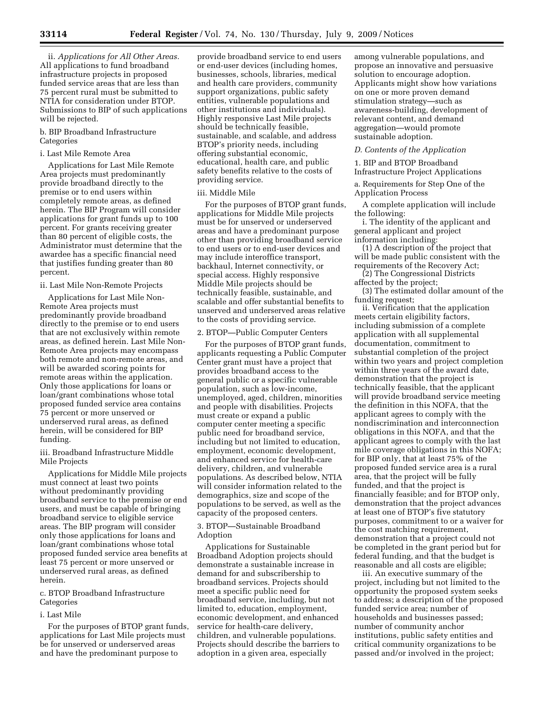ii. *Applications for All Other Areas.*  All applications to fund broadband infrastructure projects in proposed funded service areas that are less than 75 percent rural must be submitted to NTIA for consideration under BTOP. Submissions to BIP of such applications will be rejected.

#### b. BIP Broadband Infrastructure Categories

#### i. Last Mile Remote Area

Applications for Last Mile Remote Area projects must predominantly provide broadband directly to the premise or to end users within completely remote areas, as defined herein. The BIP Program will consider applications for grant funds up to 100 percent. For grants receiving greater than 80 percent of eligible costs, the Administrator must determine that the awardee has a specific financial need that justifies funding greater than 80 percent.

#### ii. Last Mile Non-Remote Projects

Applications for Last Mile Non-Remote Area projects must predominantly provide broadband directly to the premise or to end users that are not exclusively within remote areas, as defined herein. Last Mile Non-Remote Area projects may encompass both remote and non-remote areas, and will be awarded scoring points for remote areas within the application. Only those applications for loans or loan/grant combinations whose total proposed funded service area contains 75 percent or more unserved or underserved rural areas, as defined herein, will be considered for BIP funding.

#### iii. Broadband Infrastructure Middle Mile Projects

Applications for Middle Mile projects must connect at least two points without predominantly providing broadband service to the premise or end users, and must be capable of bringing broadband service to eligible service areas. The BIP program will consider only those applications for loans and loan/grant combinations whose total proposed funded service area benefits at least 75 percent or more unserved or underserved rural areas, as defined herein.

#### c. BTOP Broadband Infrastructure Categories

#### i. Last Mile

For the purposes of BTOP grant funds, applications for Last Mile projects must be for unserved or underserved areas and have the predominant purpose to

provide broadband service to end users or end-user devices (including homes, businesses, schools, libraries, medical and health care providers, community support organizations, public safety entities, vulnerable populations and other institutions and individuals). Highly responsive Last Mile projects should be technically feasible, sustainable, and scalable, and address BTOP's priority needs, including offering substantial economic, educational, health care, and public safety benefits relative to the costs of providing service.

#### iii. Middle Mile

For the purposes of BTOP grant funds, applications for Middle Mile projects must be for unserved or underserved areas and have a predominant purpose other than providing broadband service to end users or to end-user devices and may include interoffice transport, backhaul, Internet connectivity, or special access. Highly responsive Middle Mile projects should be technically feasible, sustainable, and scalable and offer substantial benefits to unserved and underserved areas relative to the costs of providing service.

#### 2. BTOP—Public Computer Centers

For the purposes of BTOP grant funds, applicants requesting a Public Computer Center grant must have a project that provides broadband access to the general public or a specific vulnerable population, such as low-income, unemployed, aged, children, minorities and people with disabilities. Projects must create or expand a public computer center meeting a specific public need for broadband service, including but not limited to education, employment, economic development, and enhanced service for health-care delivery, children, and vulnerable populations. As described below, NTIA will consider information related to the demographics, size and scope of the populations to be served, as well as the capacity of the proposed centers.

#### 3. BTOP—Sustainable Broadband Adoption

Applications for Sustainable Broadband Adoption projects should demonstrate a sustainable increase in demand for and subscribership to broadband services. Projects should meet a specific public need for broadband service, including, but not limited to, education, employment, economic development, and enhanced service for health-care delivery, children, and vulnerable populations. Projects should describe the barriers to adoption in a given area, especially

among vulnerable populations, and propose an innovative and persuasive solution to encourage adoption. Applicants might show how variations on one or more proven demand stimulation strategy—such as awareness-building, development of relevant content, and demand aggregation—would promote sustainable adoption.

#### *D. Contents of the Application*

1. BIP and BTOP Broadband Infrastructure Project Applications

a. Requirements for Step One of the Application Process

A complete application will include the following:

i. The identity of the applicant and general applicant and project information including:

(1) A description of the project that will be made public consistent with the requirements of the Recovery Act;

(2) The Congressional Districts affected by the project;

(3) The estimated dollar amount of the funding request;

ii. Verification that the application meets certain eligibility factors, including submission of a complete application with all supplemental documentation, commitment to substantial completion of the project within two years and project completion within three years of the award date, demonstration that the project is technically feasible, that the applicant will provide broadband service meeting the definition in this NOFA, that the applicant agrees to comply with the nondiscrimination and interconnection obligations in this NOFA, and that the applicant agrees to comply with the last mile coverage obligations in this NOFA; for BIP only, that at least 75% of the proposed funded service area is a rural area, that the project will be fully funded, and that the project is financially feasible; and for BTOP only, demonstration that the project advances at least one of BTOP's five statutory purposes, commitment to or a waiver for the cost matching requirement, demonstration that a project could not be completed in the grant period but for federal funding, and that the budget is reasonable and all costs are eligible;

iii. An executive summary of the project, including but not limited to the opportunity the proposed system seeks to address; a description of the proposed funded service area; number of households and businesses passed; number of community anchor institutions, public safety entities and critical community organizations to be passed and/or involved in the project;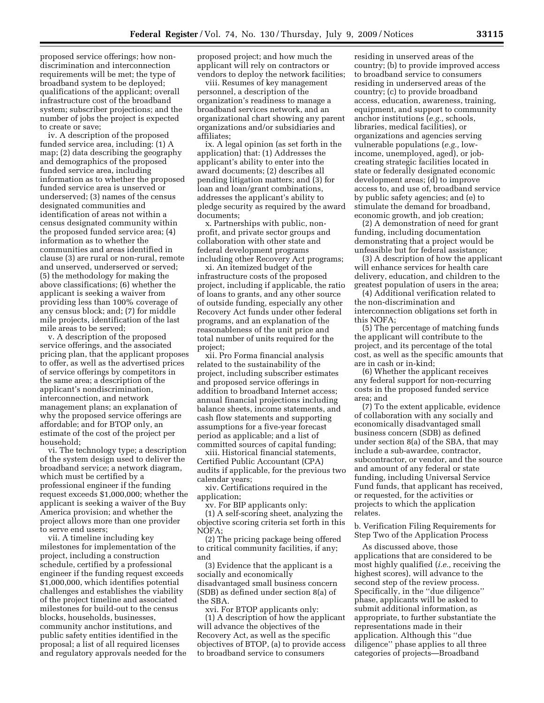proposed service offerings; how nondiscrimination and interconnection requirements will be met; the type of broadband system to be deployed; qualifications of the applicant; overall infrastructure cost of the broadband system; subscriber projections; and the number of jobs the project is expected to create or save;

iv. A description of the proposed funded service area, including: (1) A map; (2) data describing the geography and demographics of the proposed funded service area, including information as to whether the proposed funded service area is unserved or underserved; (3) names of the census designated communities and identification of areas not within a census designated community within the proposed funded service area; (4) information as to whether the communities and areas identified in clause (3) are rural or non-rural, remote and unserved, underserved or served; (5) the methodology for making the above classifications; (6) whether the applicant is seeking a waiver from providing less than 100% coverage of any census block; and; (7) for middle mile projects, identification of the last mile areas to be served;

v. A description of the proposed service offerings, and the associated pricing plan, that the applicant proposes to offer, as well as the advertised prices of service offerings by competitors in the same area; a description of the applicant's nondiscrimination, interconnection, and network management plans; an explanation of why the proposed service offerings are affordable; and for BTOP only, an estimate of the cost of the project per household;

vi. The technology type; a description of the system design used to deliver the broadband service; a network diagram, which must be certified by a professional engineer if the funding request exceeds \$1,000,000; whether the applicant is seeking a waiver of the Buy America provision; and whether the project allows more than one provider to serve end users;

vii. A timeline including key milestones for implementation of the project, including a construction schedule, certified by a professional engineer if the funding request exceeds \$1,000,000, which identifies potential challenges and establishes the viability of the project timeline and associated milestones for build-out to the census blocks, households, businesses, community anchor institutions, and public safety entities identified in the proposal; a list of all required licenses and regulatory approvals needed for the proposed project; and how much the applicant will rely on contractors or vendors to deploy the network facilities;

viii. Resumes of key management personnel, a description of the organization's readiness to manage a broadband services network, and an organizational chart showing any parent organizations and/or subsidiaries and affiliates;

ix. A legal opinion (as set forth in the application) that: (1) Addresses the applicant's ability to enter into the award documents; (2) describes all pending litigation matters; and (3) for loan and loan/grant combinations, addresses the applicant's ability to pledge security as required by the award documents;

x. Partnerships with public, nonprofit, and private sector groups and collaboration with other state and federal development programs including other Recovery Act programs;

xi. An itemized budget of the infrastructure costs of the proposed project, including if applicable, the ratio of loans to grants, and any other source of outside funding, especially any other Recovery Act funds under other federal programs, and an explanation of the reasonableness of the unit price and total number of units required for the project;

xii. Pro Forma financial analysis related to the sustainability of the project, including subscriber estimates and proposed service offerings in addition to broadband Internet access; annual financial projections including balance sheets, income statements, and cash flow statements and supporting assumptions for a five-year forecast period as applicable; and a list of committed sources of capital funding;

xiii. Historical financial statements, Certified Public Accountant (CPA) audits if applicable, for the previous two calendar years;

xiv. Certifications required in the application;

xv. For BIP applicants only:

(1) A self-scoring sheet, analyzing the objective scoring criteria set forth in this NOFA;

(2) The pricing package being offered to critical community facilities, if any; and

(3) Evidence that the applicant is a socially and economically disadvantaged small business concern (SDB) as defined under section 8(a) of the SBA.

xvi. For BTOP applicants only: (1) A description of how the applicant will advance the objectives of the Recovery Act, as well as the specific objectives of BTOP, (a) to provide access to broadband service to consumers

residing in unserved areas of the country; (b) to provide improved access to broadband service to consumers residing in underserved areas of the country; (c) to provide broadband access, education, awareness, training, equipment, and support to community anchor institutions (*e.g.,* schools, libraries, medical facilities), or organizations and agencies serving vulnerable populations (*e.g.,* lowincome, unemployed, aged), or jobcreating strategic facilities located in state or federally designated economic development areas; (d) to improve access to, and use of, broadband service by public safety agencies; and (e) to stimulate the demand for broadband, economic growth, and job creation;

(2) A demonstration of need for grant funding, including documentation demonstrating that a project would be unfeasible but for federal assistance;

(3) A description of how the applicant will enhance services for health care delivery, education, and children to the greatest population of users in the area;

(4) Additional verification related to the non-discrimination and interconnection obligations set forth in this NOFA;

(5) The percentage of matching funds the applicant will contribute to the project, and its percentage of the total cost, as well as the specific amounts that are in cash or in-kind;

(6) Whether the applicant receives any federal support for non-recurring costs in the proposed funded service area; and

(7) To the extent applicable, evidence of collaboration with any socially and economically disadvantaged small business concern (SDB) as defined under section 8(a) of the SBA, that may include a sub-awardee, contractor, subcontractor, or vendor, and the source and amount of any federal or state funding, including Universal Service Fund funds, that applicant has received, or requested, for the activities or projects to which the application relates.

b. Verification Filing Requirements for Step Two of the Application Process

As discussed above, those applications that are considered to be most highly qualified (*i.e.,* receiving the highest scores), will advance to the second step of the review process. Specifically, in the ''due diligence'' phase, applicants will be asked to submit additional information, as appropriate, to further substantiate the representations made in their application. Although this ''due diligence'' phase applies to all three categories of projects—Broadband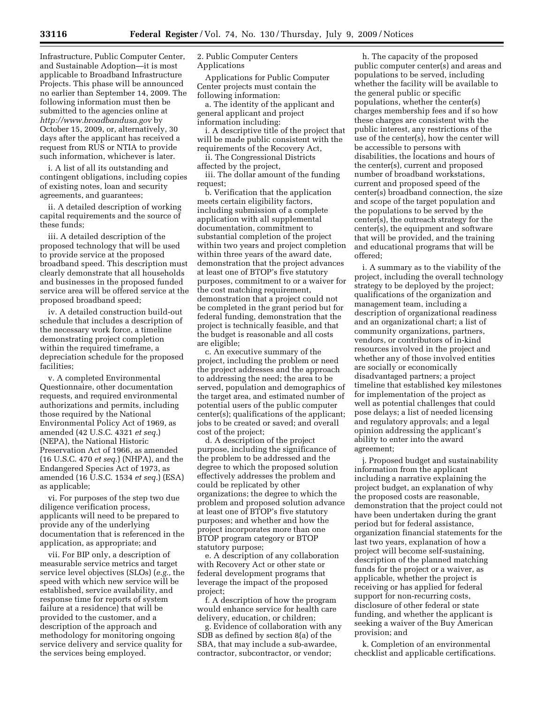Infrastructure, Public Computer Center, and Sustainable Adoption—it is most applicable to Broadband Infrastructure Projects. This phase will be announced no earlier than September 14, 2009. The following information must then be submitted to the agencies online at *http://www.broadbandusa.gov* by October 15, 2009, or, alternatively, 30 days after the applicant has received a request from RUS or NTIA to provide such information, whichever is later.

i. A list of all its outstanding and contingent obligations, including copies of existing notes, loan and security agreements, and guarantees;

ii. A detailed description of working capital requirements and the source of these funds;

iii. A detailed description of the proposed technology that will be used to provide service at the proposed broadband speed. This description must clearly demonstrate that all households and businesses in the proposed funded service area will be offered service at the proposed broadband speed;

iv. A detailed construction build-out schedule that includes a description of the necessary work force, a timeline demonstrating project completion within the required timeframe, a depreciation schedule for the proposed facilities;

v. A completed Environmental Questionnaire, other documentation requests, and required environmental authorizations and permits, including those required by the National Environmental Policy Act of 1969, as amended (42 U.S.C. 4321 *et seq.*) (NEPA), the National Historic Preservation Act of 1966, as amended (16 U.S.C. 470 *et seq.*) (NHPA), and the Endangered Species Act of 1973, as amended (16 U.S.C. 1534 *et seq.*) (ESA) as applicable;

vi. For purposes of the step two due diligence verification process, applicants will need to be prepared to provide any of the underlying documentation that is referenced in the application, as appropriate; and

vii. For BIP only, a description of measurable service metrics and target service level objectives (SLOs) (*e.g.,* the speed with which new service will be established, service availability, and response time for reports of system failure at a residence) that will be provided to the customer, and a description of the approach and methodology for monitoring ongoing service delivery and service quality for the services being employed.

2. Public Computer Centers Applications

Applications for Public Computer Center projects must contain the following information:

a. The identity of the applicant and general applicant and project information including:

i. A descriptive title of the project that will be made public consistent with the requirements of the Recovery Act,

ii. The Congressional Districts affected by the project,

iii. The dollar amount of the funding request;

b. Verification that the application meets certain eligibility factors, including submission of a complete application with all supplemental documentation, commitment to substantial completion of the project within two years and project completion within three years of the award date, demonstration that the project advances at least one of BTOP's five statutory purposes, commitment to or a waiver for the cost matching requirement, demonstration that a project could not be completed in the grant period but for federal funding, demonstration that the project is technically feasible, and that the budget is reasonable and all costs are eligible;

c. An executive summary of the project, including the problem or need the project addresses and the approach to addressing the need; the area to be served, population and demographics of the target area, and estimated number of potential users of the public computer center(s); qualifications of the applicant; jobs to be created or saved; and overall cost of the project;

d. A description of the project purpose, including the significance of the problem to be addressed and the degree to which the proposed solution effectively addresses the problem and could be replicated by other organizations; the degree to which the problem and proposed solution advance at least one of BTOP's five statutory purposes; and whether and how the project incorporates more than one BTOP program category or BTOP statutory purpose;

e. A description of any collaboration with Recovery Act or other state or federal development programs that leverage the impact of the proposed project;

f. A description of how the program would enhance service for health care delivery, education, or children;

g. Evidence of collaboration with any SDB as defined by section 8(a) of the SBA, that may include a sub-awardee, contractor, subcontractor, or vendor;

h. The capacity of the proposed public computer center(s) and areas and populations to be served, including whether the facility will be available to the general public or specific populations, whether the center(s) charges membership fees and if so how these charges are consistent with the public interest, any restrictions of the use of the center(s), how the center will be accessible to persons with disabilities, the locations and hours of the center(s), current and proposed number of broadband workstations, current and proposed speed of the center(s) broadband connection, the size and scope of the target population and the populations to be served by the center(s), the outreach strategy for the center(s), the equipment and software that will be provided, and the training and educational programs that will be offered;

i. A summary as to the viability of the project, including the overall technology strategy to be deployed by the project; qualifications of the organization and management team, including a description of organizational readiness and an organizational chart; a list of community organizations, partners, vendors, or contributors of in-kind resources involved in the project and whether any of those involved entities are socially or economically disadvantaged partners; a project timeline that established key milestones for implementation of the project as well as potential challenges that could pose delays; a list of needed licensing and regulatory approvals; and a legal opinion addressing the applicant's ability to enter into the award agreement;

j. Proposed budget and sustainability information from the applicant including a narrative explaining the project budget, an explanation of why the proposed costs are reasonable, demonstration that the project could not have been undertaken during the grant period but for federal assistance, organization financial statements for the last two years, explanation of how a project will become self-sustaining, description of the planned matching funds for the project or a waiver, as applicable, whether the project is receiving or has applied for federal support for non-recurring costs, disclosure of other federal or state funding, and whether the applicant is seeking a waiver of the Buy American provision; and

k. Completion of an environmental checklist and applicable certifications.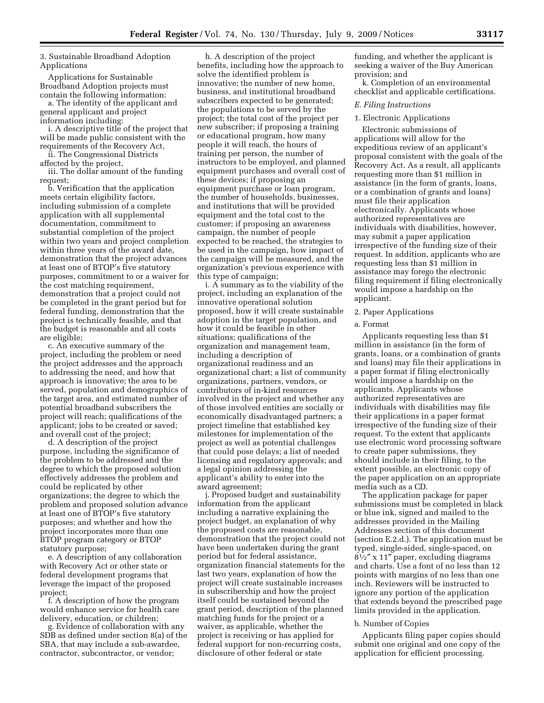3. Sustainable Broadband Adoption Applications

Applications for Sustainable Broadband Adoption projects must contain the following information:

a. The identity of the applicant and general applicant and project information including:

i. A descriptive title of the project that will be made public consistent with the requirements of the Recovery Act,

ii. The Congressional Districts affected by the project,

iii. The dollar amount of the funding request;

b. Verification that the application meets certain eligibility factors, including submission of a complete application with all supplemental documentation, commitment to substantial completion of the project within two years and project completion within three years of the award date, demonstration that the project advances at least one of BTOP's five statutory purposes, commitment to or a waiver for the cost matching requirement, demonstration that a project could not be completed in the grant period but for federal funding, demonstration that the project is technically feasible, and that the budget is reasonable and all costs are eligible;

c. An executive summary of the project, including the problem or need the project addresses and the approach to addressing the need, and how that approach is innovative; the area to be served, population and demographics of the target area, and estimated number of potential broadband subscribers the project will reach; qualifications of the applicant; jobs to be created or saved; and overall cost of the project;

d. A description of the project purpose, including the significance of the problem to be addressed and the degree to which the proposed solution effectively addresses the problem and could be replicated by other organizations; the degree to which the problem and proposed solution advance at least one of BTOP's five statutory purposes; and whether and how the project incorporates more than one BTOP program category or BTOP statutory purpose;

e. A description of any collaboration with Recovery Act or other state or federal development programs that leverage the impact of the proposed project;

f. A description of how the program would enhance service for health care delivery, education, or children;

g. Evidence of collaboration with any SDB as defined under section 8(a) of the SBA, that may include a sub-awardee, contractor, subcontractor, or vendor;

h. A description of the project benefits, including how the approach to solve the identified problem is innovative; the number of new home, business, and institutional broadband subscribers expected to be generated; the populations to be served by the project; the total cost of the project per new subscriber; if proposing a training or educational program, how many people it will reach, the hours of training per person, the number of instructors to be employed, and planned equipment purchases and overall cost of these devices; if proposing an equipment purchase or loan program, the number of households, businesses, and institutions that will be provided equipment and the total cost to the customer; if proposing an awareness campaign, the number of people expected to be reached, the strategies to be used in the campaign, how impact of the campaign will be measured, and the organization's previous experience with this type of campaign;

i. A summary as to the viability of the project, including an explanation of the innovative operational solution proposed, how it will create sustainable adoption in the target population, and how it could be feasible in other situations; qualifications of the organization and management team, including a description of organizational readiness and an organizational chart; a list of community organizations, partners, vendors, or contributors of in-kind resources involved in the project and whether any of those involved entities are socially or economically disadvantaged partners; a project timeline that established key milestones for implementation of the project as well as potential challenges that could pose delays; a list of needed licensing and regulatory approvals; and a legal opinion addressing the applicant's ability to enter into the award agreement;

j. Proposed budget and sustainability information from the applicant including a narrative explaining the project budget, an explanation of why the proposed costs are reasonable, demonstration that the project could not have been undertaken during the grant period but for federal assistance, organization financial statements for the last two years, explanation of how the project will create sustainable increases in subscribership and how the project itself could be sustained beyond the grant period, description of the planned matching funds for the project or a waiver, as applicable, whether the project is receiving or has applied for federal support for non-recurring costs, disclosure of other federal or state

funding, and whether the applicant is seeking a waiver of the Buy American provision; and

k. Completion of an environmental checklist and applicable certifications.

#### *E. Filing Instructions*

#### 1. Electronic Applications

Electronic submissions of applications will allow for the expeditious review of an applicant's proposal consistent with the goals of the Recovery Act. As a result, all applicants requesting more than \$1 million in assistance (in the form of grants, loans, or a combination of grants and loans) must file their application electronically. Applicants whose authorized representatives are individuals with disabilities, however, may submit a paper application irrespective of the funding size of their request. In addition, applicants who are requesting less than \$1 million in assistance may forego the electronic filing requirement if filing electronically would impose a hardship on the applicant.

#### 2. Paper Applications

#### a. Format

Applicants requesting less than \$1 million in assistance (in the form of grants, loans, or a combination of grants and loans) may file their applications in a paper format if filing electronically would impose a hardship on the applicants. Applicants whose authorized representatives are individuals with disabilities may file their applications in a paper format irrespective of the funding size of their request. To the extent that applicants use electronic word processing software to create paper submissions, they should include in their filing, to the extent possible, an electronic copy of the paper application on an appropriate media such as a CD.

The application package for paper submissions must be completed in black or blue ink, signed and mailed to the addresses provided in the Mailing Addresses section of this document (section E.2.d.). The application must be typed, single-sided, single-spaced, on 81⁄2″ x 11″ paper, excluding diagrams and charts. Use a font of no less than 12 points with margins of no less than one inch. Reviewers will be instructed to ignore any portion of the application that extends beyond the prescribed page limits provided in the application.

#### b. Number of Copies

Applicants filing paper copies should submit one original and one copy of the application for efficient processing.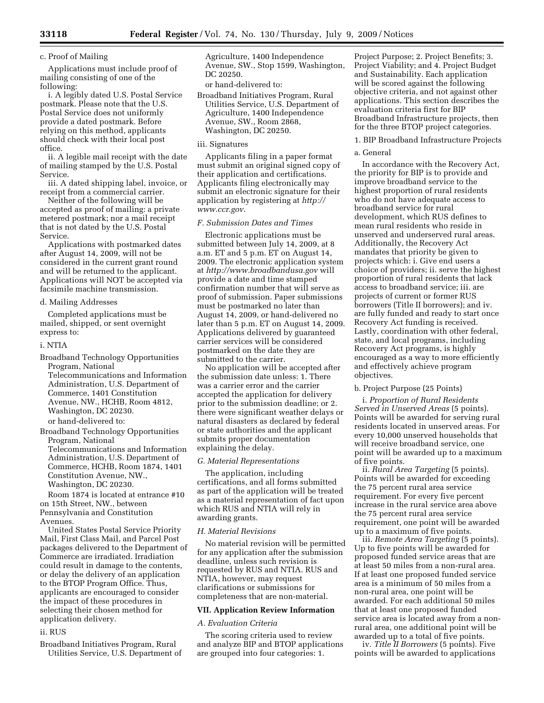#### c. Proof of Mailing

Applications must include proof of mailing consisting of one of the following:

i. A legibly dated U.S. Postal Service postmark. Please note that the U.S. Postal Service does not uniformly provide a dated postmark. Before relying on this method, applicants should check with their local post office.

ii. A legible mail receipt with the date of mailing stamped by the U.S. Postal Service.

iii. A dated shipping label, invoice, or receipt from a commercial carrier.

Neither of the following will be accepted as proof of mailing: a private metered postmark; nor a mail receipt that is not dated by the U.S. Postal Service.

Applications with postmarked dates after August 14, 2009, will not be considered in the current grant round and will be returned to the applicant. Applications will NOT be accepted via facsimile machine transmission.

#### d. Mailing Addresses

Completed applications must be mailed, shipped, or sent overnight express to:

#### i. NTIA

Broadband Technology Opportunities Program, National Telecommunications and Information Administration, U.S. Department of Commerce, 1401 Constitution Avenue, NW., HCHB, Room 4812, Washington, DC 20230.

or hand-delivered to:

Broadband Technology Opportunities Program, National Telecommunications and Information Administration, U.S. Department of Commerce, HCHB, Room 1874, 1401 Constitution Avenue, NW., Washington, DC 20230.

Room 1874 is located at entrance #10 on 15th Street, NW., between Pennsylvania and Constitution

Avenues.

United States Postal Service Priority Mail, First Class Mail, and Parcel Post packages delivered to the Department of Commerce are irradiated. Irradiation could result in damage to the contents, or delay the delivery of an application to the BTOP Program Office. Thus, applicants are encouraged to consider the impact of these procedures in selecting their chosen method for application delivery.

#### ii. RUS

Broadband Initiatives Program, Rural Utilities Service, U.S. Department of Agriculture, 1400 Independence Avenue, SW., Stop 1599, Washington, DC 20250.

or hand-delivered to:

Broadband Initiatives Program, Rural Utilities Service, U.S. Department of Agriculture, 1400 Independence Avenue, SW., Room 2868, Washington, DC 20250.

#### iii. Signatures

Applicants filing in a paper format must submit an original signed copy of their application and certifications. Applicants filing electronically may submit an electronic signature for their application by registering at *http:// www.ccr.gov*.

#### *F. Submission Dates and Times*

Electronic applications must be submitted between July 14, 2009, at 8 a.m. ET and 5 p.m. ET on August 14, 2009. The electronic application system at *http://www.broadbandusa.gov* will provide a date and time stamped confirmation number that will serve as proof of submission. Paper submissions must be postmarked no later than August 14, 2009, or hand-delivered no later than 5 p.m. ET on August 14, 2009. Applications delivered by guaranteed carrier services will be considered postmarked on the date they are submitted to the carrier.

No application will be accepted after the submission date unless: 1. There was a carrier error and the carrier accepted the application for delivery prior to the submission deadline; or 2. there were significant weather delays or natural disasters as declared by federal or state authorities and the applicant submits proper documentation explaining the delay.

#### *G. Material Representations*

The application, including certifications, and all forms submitted as part of the application will be treated as a material representation of fact upon which RUS and NTIA will rely in awarding grants.

#### *H. Material Revisions*

No material revision will be permitted for any application after the submission deadline, unless such revision is requested by RUS and NTIA. RUS and NTIA, however, may request clarifications or submissions for completeness that are non-material.

#### **VII. Application Review Information**

#### *A. Evaluation Criteria*

The scoring criteria used to review and analyze BIP and BTOP applications are grouped into four categories: 1.

Project Purpose; 2. Project Benefits; 3. Project Viability; and 4. Project Budget and Sustainability. Each application will be scored against the following objective criteria, and not against other applications. This section describes the evaluation criteria first for BIP Broadband Infrastructure projects, then for the three BTOP project categories.

#### 1. BIP Broadband Infrastructure Projects

#### a. General

In accordance with the Recovery Act, the priority for BIP is to provide and improve broadband service to the highest proportion of rural residents who do not have adequate access to broadband service for rural development, which RUS defines to mean rural residents who reside in unserved and underserved rural areas. Additionally, the Recovery Act mandates that priority be given to projects which: i. Give end users a choice of providers; ii. serve the highest proportion of rural residents that lack access to broadband service; iii. are projects of current or former RUS borrowers (Title II borrowers); and iv. are fully funded and ready to start once Recovery Act funding is received. Lastly, coordination with other federal, state, and local programs, including Recovery Act programs, is highly encouraged as a way to more efficiently and effectively achieve program objectives.

#### b. Project Purpose (25 Points)

i. *Proportion of Rural Residents Served in Unserved Areas* (5 points). Points will be awarded for serving rural residents located in unserved areas. For every 10,000 unserved households that will receive broadband service, one point will be awarded up to a maximum of five points.

ii. *Rural Area Targeting* (5 points). Points will be awarded for exceeding the 75 percent rural area service requirement. For every five percent increase in the rural service area above the 75 percent rural area service requirement, one point will be awarded up to a maximum of five points.

iii. *Remote Area Targeting* (5 points). Up to five points will be awarded for proposed funded service areas that are at least 50 miles from a non-rural area. If at least one proposed funded service area is a minimum of 50 miles from a non-rural area, one point will be awarded. For each additional 50 miles that at least one proposed funded service area is located away from a nonrural area, one additional point will be awarded up to a total of five points.

iv. *Title II Borrowers* (5 points). Five points will be awarded to applications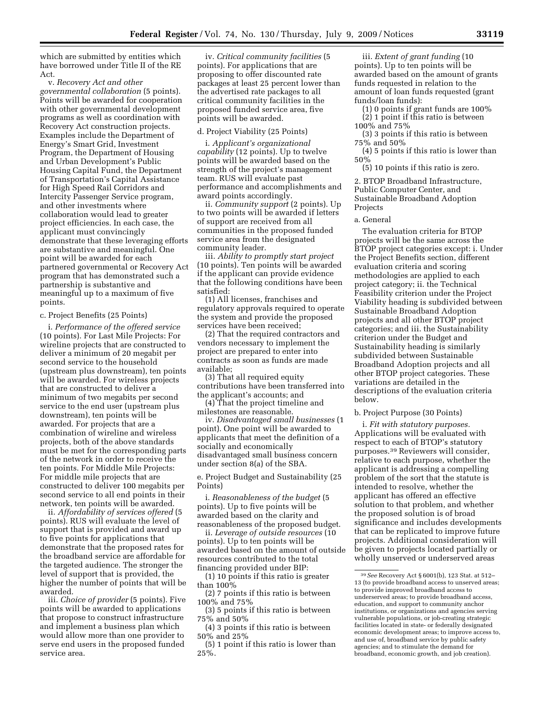which are submitted by entities which have borrowed under Title II of the RE Act.

v. *Recovery Act and other governmental collaboration* (5 points). Points will be awarded for cooperation with other governmental development programs as well as coordination with Recovery Act construction projects. Examples include the Department of Energy's Smart Grid, Investment Program, the Department of Housing and Urban Development's Public Housing Capital Fund, the Department of Transportation's Capital Assistance for High Speed Rail Corridors and Intercity Passenger Service program, and other investments where collaboration would lead to greater project efficiencies. In each case, the applicant must convincingly demonstrate that these leveraging efforts are substantive and meaningful. One point will be awarded for each partnered governmental or Recovery Act program that has demonstrated such a partnership is substantive and meaningful up to a maximum of five points.

#### c. Project Benefits (25 Points)

i. *Performance of the offered service*  (10 points). For Last Mile Projects: For wireline projects that are constructed to deliver a minimum of 20 megabit per second service to the household (upstream plus downstream), ten points will be awarded. For wireless projects that are constructed to deliver a minimum of two megabits per second service to the end user (upstream plus downstream), ten points will be awarded. For projects that are a combination of wireline and wireless projects, both of the above standards must be met for the corresponding parts of the network in order to receive the ten points. For Middle Mile Projects: For middle mile projects that are constructed to deliver 100 megabits per second service to all end points in their network, ten points will be awarded.

ii. *Affordability of services offered* (5 points). RUS will evaluate the level of support that is provided and award up to five points for applications that demonstrate that the proposed rates for the broadband service are affordable for the targeted audience. The stronger the level of support that is provided, the higher the number of points that will be awarded.

iii. *Choice of provider* (5 points). Five points will be awarded to applications that propose to construct infrastructure and implement a business plan which would allow more than one provider to serve end users in the proposed funded service area.

iv. *Critical community facilities* (5 points). For applications that are proposing to offer discounted rate packages at least 25 percent lower than the advertised rate packages to all critical community facilities in the proposed funded service area, five points will be awarded.

#### d. Project Viability (25 Points)

i. *Applicant's organizational capability* (12 points). Up to twelve points will be awarded based on the strength of the project's management team. RUS will evaluate past performance and accomplishments and award points accordingly.

ii. *Community support* (2 points). Up to two points will be awarded if letters of support are received from all communities in the proposed funded service area from the designated community leader.

iii. *Ability to promptly start project*  (10 points). Ten points will be awarded if the applicant can provide evidence that the following conditions have been satisfied:

(1) All licenses, franchises and regulatory approvals required to operate the system and provide the proposed services have been received;

(2) That the required contractors and vendors necessary to implement the project are prepared to enter into contracts as soon as funds are made available;

(3) That all required equity contributions have been transferred into the applicant's accounts; and

(4) That the project timeline and milestones are reasonable.

iv. *Disadvantaged small businesses* (1 point). One point will be awarded to applicants that meet the definition of a socially and economically disadvantaged small business concern under section 8(a) of the SBA.

e. Project Budget and Sustainability (25 Points)

i. *Reasonableness of the budget* (5 points). Up to five points will be awarded based on the clarity and reasonableness of the proposed budget.

ii. *Leverage of outside resources* (10 points). Up to ten points will be awarded based on the amount of outside resources contributed to the total financing provided under BIP:

(1) 10 points if this ratio is greater than 100%

(2) 7 points if this ratio is between 100% and 75%

(3) 5 points if this ratio is between 75% and 50%

(4) 3 points if this ratio is between 50% and 25%

(5) 1 point if this ratio is lower than 25%.

iii. *Extent of grant funding* (10 points). Up to ten points will be awarded based on the amount of grants funds requested in relation to the amount of loan funds requested (grant funds/loan funds):

(1) 0 points if grant funds are 100% (2) 1 point if this ratio is between 100% and 75%

(3) 3 points if this ratio is between 75% and 50%

(4) 5 points if this ratio is lower than 50%

(5) 10 points if this ratio is zero.

2. BTOP Broadband Infrastructure, Public Computer Center, and Sustainable Broadband Adoption Projects

a. General

The evaluation criteria for BTOP projects will be the same across the BTOP project categories except: i. Under the Project Benefits section, different evaluation criteria and scoring methodologies are applied to each project category; ii. the Technical Feasibility criterion under the Project Viability heading is subdivided between Sustainable Broadband Adoption projects and all other BTOP project categories; and iii. the Sustainability criterion under the Budget and Sustainability heading is similarly subdivided between Sustainable Broadband Adoption projects and all other BTOP project categories. These variations are detailed in the descriptions of the evaluation criteria below.

#### b. Project Purpose (30 Points)

i. *Fit with statutory purposes.*  Applications will be evaluated with respect to each of BTOP's statutory purposes.39 Reviewers will consider, relative to each purpose, whether the applicant is addressing a compelling problem of the sort that the statute is intended to resolve, whether the applicant has offered an effective solution to that problem, and whether the proposed solution is of broad significance and includes developments that can be replicated to improve future projects. Additional consideration will be given to projects located partially or wholly unserved or underserved areas

<sup>39</sup>*See* Recovery Act § 6001(b), 123 Stat. at 512– 13 (to provide broadband access to unserved areas; to provide improved broadband access to underserved areas; to provide broadband access, education, and support to community anchor institutions, or organizations and agencies serving vulnerable populations, or job-creating strategic facilities located in state- or federally designated economic development areas; to improve access to, and use of, broadband service by public safety agencies; and to stimulate the demand for broadband, economic growth, and job creation).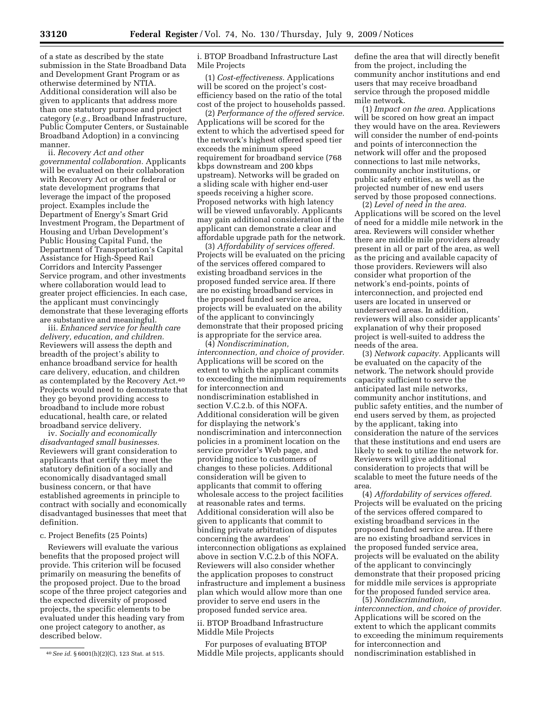of a state as described by the state submission in the State Broadband Data and Development Grant Program or as otherwise determined by NTIA. Additional consideration will also be given to applicants that address more than one statutory purpose and project category (*e.g.*, Broadband Infrastructure, Public Computer Centers, or Sustainable Broadband Adoption) in a convincing manner.

ii. *Recovery Act and other governmental collaboration.* Applicants will be evaluated on their collaboration with Recovery Act or other federal or state development programs that leverage the impact of the proposed project. Examples include the Department of Energy's Smart Grid Investment Program, the Department of Housing and Urban Development's Public Housing Capital Fund, the Department of Transportation's Capital Assistance for High-Speed Rail Corridors and Intercity Passenger Service program, and other investments where collaboration would lead to greater project efficiencies. In each case, the applicant must convincingly demonstrate that these leveraging efforts are substantive and meaningful.

iii. *Enhanced service for health care delivery, education, and children.*  Reviewers will assess the depth and breadth of the project's ability to enhance broadband service for health care delivery, education, and children as contemplated by the Recovery Act.40 Projects would need to demonstrate that they go beyond providing access to broadband to include more robust educational, health care, or related broadband service delivery.

iv. *Socially and economically disadvantaged small businesses.*  Reviewers will grant consideration to applicants that certify they meet the statutory definition of a socially and economically disadvantaged small business concern, or that have established agreements in principle to contract with socially and economically disadvantaged businesses that meet that definition.

#### c. Project Benefits (25 Points)

Reviewers will evaluate the various benefits that the proposed project will provide. This criterion will be focused primarily on measuring the benefits of the proposed project. Due to the broad scope of the three project categories and the expected diversity of proposed projects, the specific elements to be evaluated under this heading vary from one project category to another, as described below.

i. BTOP Broadband Infrastructure Last Mile Projects

(1) *Cost-effectiveness.* Applications will be scored on the project's costefficiency based on the ratio of the total cost of the project to households passed.

(2) *Performance of the offered service.*  Applications will be scored for the extent to which the advertised speed for the network's highest offered speed tier exceeds the minimum speed requirement for broadband service (768 kbps downstream and 200 kbps upstream). Networks will be graded on a sliding scale with higher end-user speeds receiving a higher score. Proposed networks with high latency will be viewed unfavorably. Applicants may gain additional consideration if the applicant can demonstrate a clear and affordable upgrade path for the network.

(3) *Affordability of services offered.*  Projects will be evaluated on the pricing of the services offered compared to existing broadband services in the proposed funded service area. If there are no existing broadband services in the proposed funded service area, projects will be evaluated on the ability of the applicant to convincingly demonstrate that their proposed pricing is appropriate for the service area.

(4) *Nondiscrimination, interconnection, and choice of provider.*  Applications will be scored on the extent to which the applicant commits to exceeding the minimum requirements for interconnection and nondiscrimination established in section V.C.2.b. of this NOFA. Additional consideration will be given for displaying the network's nondiscrimination and interconnection policies in a prominent location on the service provider's Web page, and providing notice to customers of changes to these policies. Additional consideration will be given to applicants that commit to offering wholesale access to the project facilities at reasonable rates and terms. Additional consideration will also be given to applicants that commit to binding private arbitration of disputes concerning the awardees' interconnection obligations as explained above in section V.C.2.b of this NOFA. Reviewers will also consider whether the application proposes to construct infrastructure and implement a business plan which would allow more than one provider to serve end users in the proposed funded service area.

#### ii. BTOP Broadband Infrastructure Middle Mile Projects

For purposes of evaluating BTOP Middle Mile projects, applicants should

define the area that will directly benefit from the project, including the community anchor institutions and end users that may receive broadband service through the proposed middle mile network.

(1) *Impact on the area.* Applications will be scored on how great an impact they would have on the area. Reviewers will consider the number of end-points and points of interconnection the network will offer and the proposed connections to last mile networks, community anchor institutions, or public safety entities, as well as the projected number of new end users served by those proposed connections.

(2) *Level of need in the area.*  Applications will be scored on the level of need for a middle mile network in the area. Reviewers will consider whether there are middle mile providers already present in all or part of the area, as well as the pricing and available capacity of those providers. Reviewers will also consider what proportion of the network's end-points, points of interconnection, and projected end users are located in unserved or underserved areas. In addition, reviewers will also consider applicants' explanation of why their proposed project is well-suited to address the needs of the area.

(3) *Network capacity.* Applicants will be evaluated on the capacity of the network. The network should provide capacity sufficient to serve the anticipated last mile networks, community anchor institutions, and public safety entities, and the number of end users served by them, as projected by the applicant, taking into consideration the nature of the services that these institutions and end users are likely to seek to utilize the network for. Reviewers will give additional consideration to projects that will be scalable to meet the future needs of the area.

(4) *Affordability of services offered.*  Projects will be evaluated on the pricing of the services offered compared to existing broadband services in the proposed funded service area. If there are no existing broadband services in the proposed funded service area, projects will be evaluated on the ability of the applicant to convincingly demonstrate that their proposed pricing for middle mile services is appropriate for the proposed funded service area. (5) *Nondiscrimination,* 

*interconnection, and choice of provider.*  Applications will be scored on the extent to which the applicant commits to exceeding the minimum requirements for interconnection and nondiscrimination established in

<sup>40</sup>*See id.* § 6001(h)(2)(C), 123 Stat. at 515.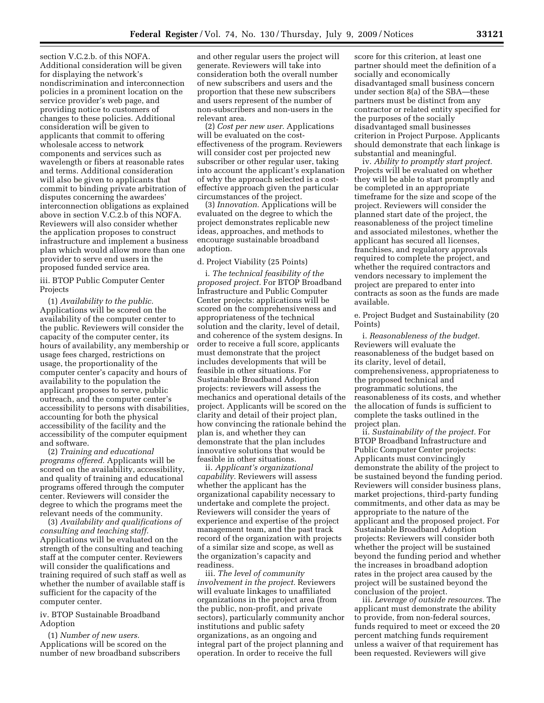section V.C.2.b. of this NOFA. Additional consideration will be given for displaying the network's nondiscrimination and interconnection policies in a prominent location on the service provider's web page, and providing notice to customers of changes to these policies. Additional consideration will be given to applicants that commit to offering wholesale access to network components and services such as wavelength or fibers at reasonable rates and terms. Additional consideration will also be given to applicants that commit to binding private arbitration of disputes concerning the awardees' interconnection obligations as explained above in section V.C.2.b of this NOFA. Reviewers will also consider whether the application proposes to construct infrastructure and implement a business plan which would allow more than one provider to serve end users in the proposed funded service area.

#### iii. BTOP Public Computer Center Projects

(1) *Availability to the public.*  Applications will be scored on the availability of the computer center to the public. Reviewers will consider the capacity of the computer center, its hours of availability, any membership or usage fees charged, restrictions on usage, the proportionality of the computer center's capacity and hours of availability to the population the applicant proposes to serve, public outreach, and the computer center's accessibility to persons with disabilities, accounting for both the physical accessibility of the facility and the accessibility of the computer equipment and software.

(2) *Training and educational programs offered.* Applicants will be scored on the availability, accessibility, and quality of training and educational programs offered through the computer center. Reviewers will consider the degree to which the programs meet the relevant needs of the community.

(3) *Availability and qualifications of consulting and teaching staff.*  Applications will be evaluated on the strength of the consulting and teaching staff at the computer center. Reviewers will consider the qualifications and training required of such staff as well as whether the number of available staff is sufficient for the capacity of the computer center.

#### iv. BTOP Sustainable Broadband Adoption

(1) *Number of new users.*  Applications will be scored on the number of new broadband subscribers

and other regular users the project will generate. Reviewers will take into consideration both the overall number of new subscribers and users and the proportion that these new subscribers and users represent of the number of non-subscribers and non-users in the relevant area.

(2) *Cost per new user.* Applications will be evaluated on the costeffectiveness of the program. Reviewers will consider cost per projected new subscriber or other regular user, taking into account the applicant's explanation of why the approach selected is a costeffective approach given the particular circumstances of the project.

(3) *Innovation.* Applications will be evaluated on the degree to which the project demonstrates replicable new ideas, approaches, and methods to encourage sustainable broadband adoption.

#### d. Project Viability (25 Points)

i. *The technical feasibility of the proposed project.* For BTOP Broadband Infrastructure and Public Computer Center projects: applications will be scored on the comprehensiveness and appropriateness of the technical solution and the clarity, level of detail, and coherence of the system designs. In order to receive a full score, applicants must demonstrate that the project includes developments that will be feasible in other situations. For Sustainable Broadband Adoption projects: reviewers will assess the mechanics and operational details of the project. Applicants will be scored on the clarity and detail of their project plan, how convincing the rationale behind the plan is, and whether they can demonstrate that the plan includes innovative solutions that would be feasible in other situations.

ii. *Applicant's organizational capability.* Reviewers will assess whether the applicant has the organizational capability necessary to undertake and complete the project. Reviewers will consider the years of experience and expertise of the project management team, and the past track record of the organization with projects of a similar size and scope, as well as the organization's capacity and readiness.

iii. *The level of community involvement in the project.* Reviewers will evaluate linkages to unaffiliated organizations in the project area (from the public, non-profit, and private sectors), particularly community anchor institutions and public safety organizations, as an ongoing and integral part of the project planning and operation. In order to receive the full

score for this criterion, at least one partner should meet the definition of a socially and economically disadvantaged small business concern under section 8(a) of the SBA—these partners must be distinct from any contractor or related entity specified for the purposes of the socially disadvantaged small businesses criterion in Project Purpose. Applicants should demonstrate that each linkage is substantial and meaningful.

iv. *Ability to promptly start project.*  Projects will be evaluated on whether they will be able to start promptly and be completed in an appropriate timeframe for the size and scope of the project. Reviewers will consider the planned start date of the project, the reasonableness of the project timeline and associated milestones, whether the applicant has secured all licenses, franchises, and regulatory approvals required to complete the project, and whether the required contractors and vendors necessary to implement the project are prepared to enter into contracts as soon as the funds are made available.

e. Project Budget and Sustainability (20 Points)

i. *Reasonableness of the budget.*  Reviewers will evaluate the reasonableness of the budget based on its clarity, level of detail, comprehensiveness, appropriateness to the proposed technical and programmatic solutions, the reasonableness of its costs, and whether the allocation of funds is sufficient to complete the tasks outlined in the project plan.

ii. *Sustainability of the project.* For BTOP Broadband Infrastructure and Public Computer Center projects: Applicants must convincingly demonstrate the ability of the project to be sustained beyond the funding period. Reviewers will consider business plans, market projections, third-party funding commitments, and other data as may be appropriate to the nature of the applicant and the proposed project. For Sustainable Broadband Adoption projects: Reviewers will consider both whether the project will be sustained beyond the funding period and whether the increases in broadband adoption rates in the project area caused by the project will be sustained beyond the conclusion of the project.

iii. *Leverage of outside resources.* The applicant must demonstrate the ability to provide, from non-federal sources, funds required to meet or exceed the 20 percent matching funds requirement unless a waiver of that requirement has been requested. Reviewers will give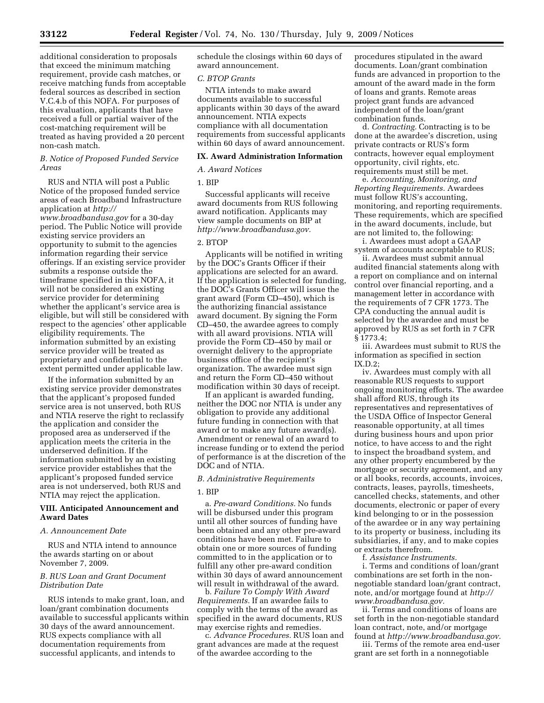additional consideration to proposals that exceed the minimum matching requirement, provide cash matches, or receive matching funds from acceptable federal sources as described in section V.C.4.b of this NOFA. For purposes of this evaluation, applicants that have received a full or partial waiver of the cost-matching requirement will be treated as having provided a 20 percent non-cash match.

#### *B. Notice of Proposed Funded Service Areas*

RUS and NTIA will post a Public Notice of the proposed funded service areas of each Broadband Infrastructure application at *http:// www.broadbandusa.gov* for a 30-day period. The Public Notice will provide existing service providers an opportunity to submit to the agencies information regarding their service offerings. If an existing service provider submits a response outside the timeframe specified in this NOFA, it will not be considered an existing service provider for determining whether the applicant's service area is eligible, but will still be considered with respect to the agencies' other applicable eligibility requirements. The information submitted by an existing service provider will be treated as proprietary and confidential to the extent permitted under applicable law.

If the information submitted by an existing service provider demonstrates that the applicant's proposed funded service area is not unserved, both RUS and NTIA reserve the right to reclassify the application and consider the proposed area as underserved if the application meets the criteria in the underserved definition. If the information submitted by an existing service provider establishes that the applicant's proposed funded service area is not underserved, both RUS and NTIA may reject the application.

#### **VIII. Anticipated Announcement and Award Dates**

#### *A. Announcement Date*

RUS and NTIA intend to announce the awards starting on or about November 7, 2009.

#### *B. RUS Loan and Grant Document Distribution Date*

RUS intends to make grant, loan, and loan/grant combination documents available to successful applicants within 30 days of the award announcement. RUS expects compliance with all documentation requirements from successful applicants, and intends to

schedule the closings within 60 days of award announcement.

#### *C. BTOP Grants*

NTIA intends to make award documents available to successful applicants within 30 days of the award announcement. NTIA expects compliance with all documentation requirements from successful applicants within 60 days of award announcement.

#### **IX. Award Administration Information**

#### *A. Award Notices*

#### 1. BIP

Successful applicants will receive award documents from RUS following award notification. Applicants may view sample documents on BIP at *http://www.broadbandusa.gov.* 

#### 2. BTOP

Applicants will be notified in writing by the DOC's Grants Officer if their applications are selected for an award. If the application is selected for funding, the DOC's Grants Officer will issue the grant award (Form CD–450), which is the authorizing financial assistance award document. By signing the Form CD–450, the awardee agrees to comply with all award provisions. NTIA will provide the Form CD–450 by mail or overnight delivery to the appropriate business office of the recipient's organization. The awardee must sign and return the Form CD–450 without modification within 30 days of receipt.

If an applicant is awarded funding, neither the DOC nor NTIA is under any obligation to provide any additional future funding in connection with that award or to make any future award(s). Amendment or renewal of an award to increase funding or to extend the period of performance is at the discretion of the DOC and of NTIA.

#### *B. Administrative Requirements*

#### 1. BIP

a. *Pre-award Conditions.* No funds will be disbursed under this program until all other sources of funding have been obtained and any other pre-award conditions have been met. Failure to obtain one or more sources of funding committed to in the application or to fulfill any other pre-award condition within 30 days of award announcement will result in withdrawal of the award.

b*. Failure To Comply With Award Requirements.* If an awardee fails to comply with the terms of the award as specified in the award documents, RUS may exercise rights and remedies.

c. *Advance Procedures.* RUS loan and grant advances are made at the request of the awardee according to the

procedures stipulated in the award documents. Loan/grant combination funds are advanced in proportion to the amount of the award made in the form of loans and grants. Remote areas project grant funds are advanced independent of the loan/grant combination funds.

d. *Contracting.* Contracting is to be done at the awardee's discretion, using private contracts or RUS's form contracts, however equal employment opportunity, civil rights, etc. requirements must still be met.

e. *Accounting, Monitoring, and Reporting Requirements.* Awardees must follow RUS's accounting, monitoring, and reporting requirements. These requirements, which are specified in the award documents, include, but are not limited to, the following: i. Awardees must adopt a GAAP

system of accounts acceptable to RUS;

ii. Awardees must submit annual audited financial statements along with a report on compliance and on internal control over financial reporting, and a management letter in accordance with the requirements of 7 CFR 1773. The CPA conducting the annual audit is selected by the awardee and must be approved by RUS as set forth in 7 CFR § 1773.4;

iii. Awardees must submit to RUS the information as specified in section IX.D.2;

iv. Awardees must comply with all reasonable RUS requests to support ongoing monitoring efforts. The awardee shall afford RUS, through its representatives and representatives of the USDA Office of Inspector General reasonable opportunity, at all times during business hours and upon prior notice, to have access to and the right to inspect the broadband system, and any other property encumbered by the mortgage or security agreement, and any or all books, records, accounts, invoices, contracts, leases, payrolls, timesheets, cancelled checks, statements, and other documents, electronic or paper of every kind belonging to or in the possession of the awardee or in any way pertaining to its property or business, including its subsidiaries, if any, and to make copies or extracts therefrom.

f. *Assistance Instruments.* 

i. Terms and conditions of loan/grant combinations are set forth in the nonnegotiable standard loan/grant contract, note, and/or mortgage found at *http:// www.broadbandusa.gov.* 

ii. Terms and conditions of loans are set forth in the non-negotiable standard loan contract, note, and/or mortgage found at *http://www.broadbandusa.gov.* 

iii. Terms of the remote area end-user grant are set forth in a nonnegotiable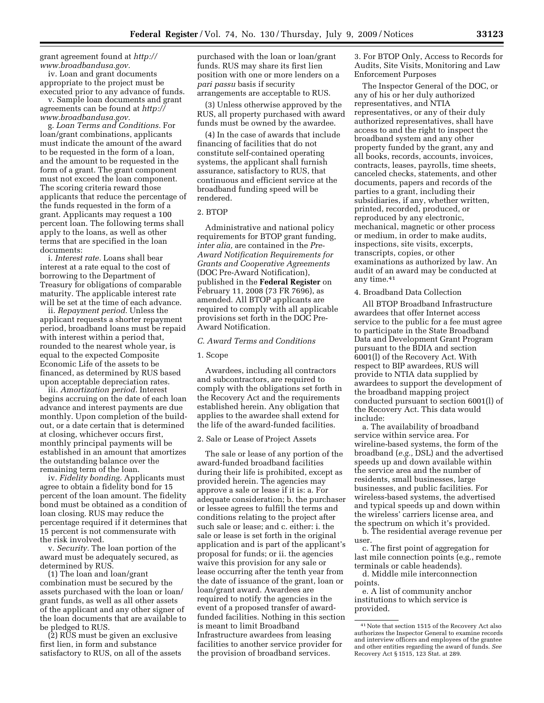grant agreement found at *http:// www.broadbandusa.gov.* 

iv. Loan and grant documents appropriate to the project must be executed prior to any advance of funds.

v. Sample loan documents and grant agreements can be found at *http:// www.broadbandusa.gov.* 

g. *Loan Terms and Conditions.* For loan/grant combinations, applicants must indicate the amount of the award to be requested in the form of a loan, and the amount to be requested in the form of a grant. The grant component must not exceed the loan component. The scoring criteria reward those applicants that reduce the percentage of the funds requested in the form of a grant. Applicants may request a 100 percent loan. The following terms shall apply to the loans, as well as other terms that are specified in the loan documents:

i. *Interest rate.* Loans shall bear interest at a rate equal to the cost of borrowing to the Department of Treasury for obligations of comparable maturity. The applicable interest rate will be set at the time of each advance.

ii. *Repayment period.* Unless the applicant requests a shorter repayment period, broadband loans must be repaid with interest within a period that, rounded to the nearest whole year, is equal to the expected Composite Economic Life of the assets to be financed, as determined by RUS based upon acceptable depreciation rates.

iii. *Amortization period.* Interest begins accruing on the date of each loan advance and interest payments are due monthly. Upon completion of the buildout, or a date certain that is determined at closing, whichever occurs first, monthly principal payments will be established in an amount that amortizes the outstanding balance over the remaining term of the loan.

iv. *Fidelity bonding.* Applicants must agree to obtain a fidelity bond for 15 percent of the loan amount. The fidelity bond must be obtained as a condition of loan closing. RUS may reduce the percentage required if it determines that 15 percent is not commensurate with the risk involved.

v. *Security.* The loan portion of the award must be adequately secured, as determined by RUS.

(1) The loan and loan/grant combination must be secured by the assets purchased with the loan or loan/ grant funds, as well as all other assets of the applicant and any other signer of the loan documents that are available to be pledged to RUS.

(2) RUS must be given an exclusive first lien, in form and substance satisfactory to RUS, on all of the assets

purchased with the loan or loan/grant funds. RUS may share its first lien position with one or more lenders on a *pari passu* basis if security arrangements are acceptable to RUS.

(3) Unless otherwise approved by the RUS, all property purchased with award funds must be owned by the awardee.

(4) In the case of awards that include financing of facilities that do not constitute self-contained operating systems, the applicant shall furnish assurance, satisfactory to RUS, that continuous and efficient service at the broadband funding speed will be rendered.

#### 2. BTOP

Administrative and national policy requirements for BTOP grant funding, *inter alia,* are contained in the *Pre-Award Notification Requirements for Grants and Cooperative Agreements*  (DOC Pre-Award Notification), published in the **Federal Register** on February 11, 2008 (73 FR 7696), as amended. All BTOP applicants are required to comply with all applicable provisions set forth in the DOC Pre-Award Notification.

#### *C. Award Terms and Conditions*

#### 1. Scope

Awardees, including all contractors and subcontractors, are required to comply with the obligations set forth in the Recovery Act and the requirements established herein. Any obligation that applies to the awardee shall extend for the life of the award-funded facilities.

#### 2. Sale or Lease of Project Assets

The sale or lease of any portion of the award-funded broadband facilities during their life is prohibited, except as provided herein. The agencies may approve a sale or lease if it is: a. For adequate consideration; b. the purchaser or lessee agrees to fulfill the terms and conditions relating to the project after such sale or lease; and c. either: i. the sale or lease is set forth in the original application and is part of the applicant's proposal for funds; or ii. the agencies waive this provision for any sale or lease occurring after the tenth year from the date of issuance of the grant, loan or loan/grant award. Awardees are required to notify the agencies in the event of a proposed transfer of awardfunded facilities. Nothing in this section is meant to limit Broadband Infrastructure awardees from leasing facilities to another service provider for the provision of broadband services.

3. For BTOP Only, Access to Records for Audits, Site Visits, Monitoring and Law Enforcement Purposes

The Inspector General of the DOC, or any of his or her duly authorized representatives, and NTIA representatives, or any of their duly authorized representatives, shall have access to and the right to inspect the broadband system and any other property funded by the grant, any and all books, records, accounts, invoices, contracts, leases, payrolls, time sheets, canceled checks, statements, and other documents, papers and records of the parties to a grant, including their subsidiaries, if any, whether written, printed, recorded, produced, or reproduced by any electronic, mechanical, magnetic or other process or medium, in order to make audits, inspections, site visits, excerpts, transcripts, copies, or other examinations as authorized by law. An audit of an award may be conducted at any time.41

#### 4. Broadband Data Collection

All BTOP Broadband Infrastructure awardees that offer Internet access service to the public for a fee must agree to participate in the State Broadband Data and Development Grant Program pursuant to the BDIA and section 6001(l) of the Recovery Act. With respect to BIP awardees, RUS will provide to NTIA data supplied by awardees to support the development of the broadband mapping project conducted pursuant to section 6001(l) of the Recovery Act. This data would include:

a. The availability of broadband service within service area. For wireline-based systems, the form of the broadband (*e.g.,* DSL) and the advertised speeds up and down available within the service area and the number of residents, small businesses, large businesses, and public facilities. For wireless-based systems, the advertised and typical speeds up and down within the wireless' carriers license area, and the spectrum on which it's provided.

b. The residential average revenue per user.

c. The first point of aggregation for last mile connection points (e.g., remote terminals or cable headends).

d. Middle mile interconnection points.

e. A list of community anchor institutions to which service is provided.

<sup>41</sup>Note that section 1515 of the Recovery Act also authorizes the Inspector General to examine records and interview officers and employees of the grantee and other entities regarding the award of funds. *See*  Recovery Act § 1515, 123 Stat. at 289.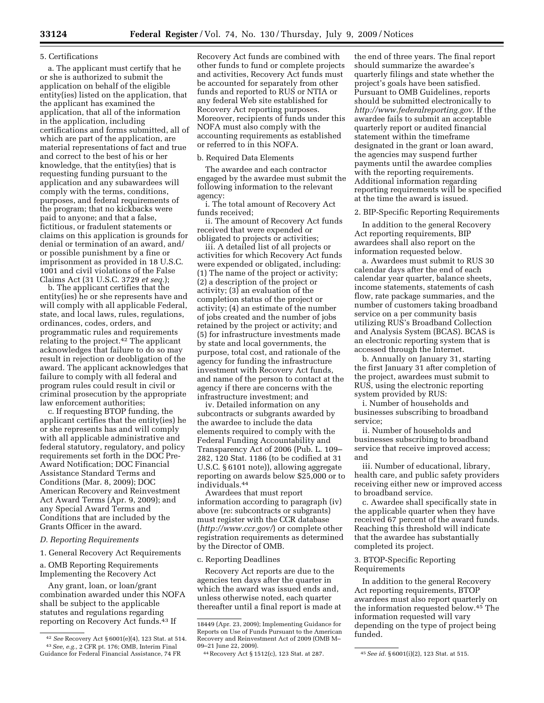#### 5. Certifications

a. The applicant must certify that he or she is authorized to submit the application on behalf of the eligible entity(ies) listed on the application, that the applicant has examined the application, that all of the information in the application, including certifications and forms submitted, all of which are part of the application, are material representations of fact and true and correct to the best of his or her knowledge, that the entity(ies) that is requesting funding pursuant to the application and any subawardees will comply with the terms, conditions, purposes, and federal requirements of the program; that no kickbacks were paid to anyone; and that a false, fictitious, or fradulent statements or claims on this application is grounds for denial or termination of an award, and/ or possible punishment by a fine or imprisonment as provided in 18 U.S.C. 1001 and civil violations of the False Claims Act (31 U.S.C. 3729 *et seq.*);

b. The applicant certifies that the entity(ies) he or she represents have and will comply with all applicable Federal, state, and local laws, rules, regulations, ordinances, codes, orders, and programmatic rules and requirements relating to the project.<sup>42</sup> The applicant acknowledges that failure to do so may result in rejection or deobligation of the award. The applicant acknowledges that failure to comply with all federal and program rules could result in civil or criminal prosecution by the appropriate law enforcement authorities;

c. If requesting BTOP funding, the applicant certifies that the entity(ies) he or she represents has and will comply with all applicable administrative and federal statutory, regulatory, and policy requirements set forth in the DOC Pre-Award Notification; DOC Financial Assistance Standard Terms and Conditions (Mar. 8, 2009); DOC American Recovery and Reinvestment Act Award Terms (Apr. 9, 2009); and any Special Award Terms and Conditions that are included by the Grants Officer in the award.

*D. Reporting Requirements* 

1. General Recovery Act Requirements

a. OMB Reporting Requirements Implementing the Recovery Act

Any grant, loan, or loan/grant combination awarded under this NOFA shall be subject to the applicable statutes and regulations regarding reporting on Recovery Act funds.43 If

Recovery Act funds are combined with other funds to fund or complete projects and activities, Recovery Act funds must be accounted for separately from other funds and reported to RUS or NTIA or any federal Web site established for Recovery Act reporting purposes. Moreover, recipients of funds under this NOFA must also comply with the accounting requirements as established or referred to in this NOFA.

#### b. Required Data Elements

The awardee and each contractor engaged by the awardee must submit the following information to the relevant agency:

i. The total amount of Recovery Act funds received;

ii. The amount of Recovery Act funds received that were expended or obligated to projects or activities;

iii. A detailed list of all projects or activities for which Recovery Act funds were expended or obligated, including: (1) The name of the project or activity; (2) a description of the project or activity; (3) an evaluation of the completion status of the project or activity; (4) an estimate of the number of jobs created and the number of jobs retained by the project or activity; and (5) for infrastructure investments made by state and local governments, the purpose, total cost, and rationale of the agency for funding the infrastructure investment with Recovery Act funds, and name of the person to contact at the agency if there are concerns with the infrastructure investment; and

iv. Detailed information on any subcontracts or subgrants awarded by the awardee to include the data elements required to comply with the Federal Funding Accountability and Transparency Act of 2006 (Pub. L. 109– 282, 120 Stat. 1186 (to be codified at 31 U.S.C. § 6101 note)), allowing aggregate reporting on awards below \$25,000 or to individuals.44

Awardees that must report information according to paragraph (iv) above (re: subcontracts or subgrants) must register with the CCR database (*http://www.ccr.gov/*) or complete other registration requirements as determined by the Director of OMB.

c. Reporting Deadlines

Recovery Act reports are due to the agencies ten days after the quarter in which the award was issued ends and, unless otherwise noted, each quarter thereafter until a final report is made at

the end of three years. The final report should summarize the awardee's quarterly filings and state whether the project's goals have been satisfied. Pursuant to OMB Guidelines, reports should be submitted electronically to *http://www.federalreporting.gov*. If the awardee fails to submit an acceptable quarterly report or audited financial statement within the timeframe designated in the grant or loan award, the agencies may suspend further payments until the awardee complies with the reporting requirements. Additional information regarding reporting requirements will be specified at the time the award is issued.

2. BIP-Specific Reporting Requirements

In addition to the general Recovery Act reporting requirements, BIP awardees shall also report on the information requested below.

a. Awardees must submit to RUS 30 calendar days after the end of each calendar year quarter, balance sheets, income statements, statements of cash flow, rate package summaries, and the number of customers taking broadband service on a per community basis utilizing RUS's Broadband Collection and Analysis System (BCAS). BCAS is an electronic reporting system that is accessed through the Internet.

b. Annually on January 31, starting the first January 31 after completion of the project, awardees must submit to RUS, using the electronic reporting system provided by RUS:

i. Number of households and businesses subscribing to broadband service;

ii. Number of households and businesses subscribing to broadband service that receive improved access; and

iii. Number of educational, library, health care, and public safety providers receiving either new or improved access to broadband service.

c. Awardee shall specifically state in the applicable quarter when they have received 67 percent of the award funds. Reaching this threshold will indicate that the awardee has substantially completed its project.

#### 3. BTOP-Specific Reporting Requirements

In addition to the general Recovery Act reporting requirements, BTOP awardees must also report quarterly on the information requested below.45 The information requested will vary depending on the type of project being funded.

<sup>42</sup> *See* Recovery Act § 6001(e)(4), 123 Stat. at 514. 43*See, e.g.,* 2 CFR pt. 176; OMB, Interim Final Guidance for Federal Financial Assistance, 74 FR

<sup>18449 (</sup>Apr. 23, 2009); Implementing Guidance for Reports on Use of Funds Pursuant to the American Recovery and Reinvestment Act of 2009 (OMB M– 09–21 June 22, 2009).

<sup>44</sup>Recovery Act § 1512(c), 123 Stat. at 287. 45*See id.* § 6001(i)(2), 123 Stat. at 515.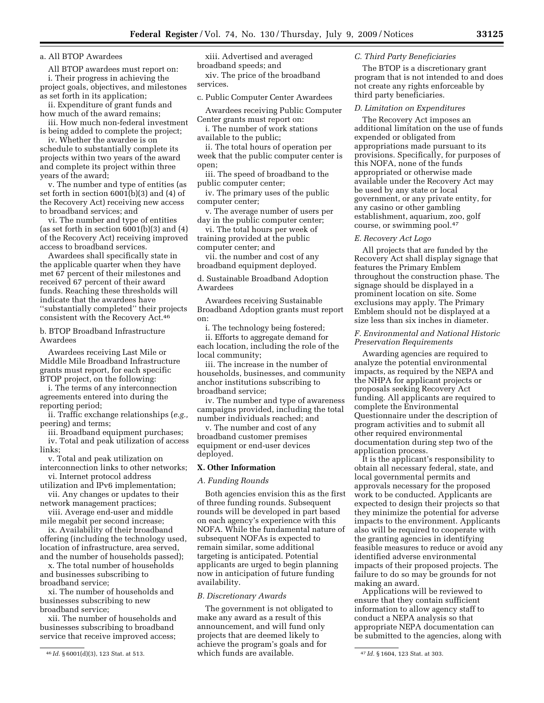a. All BTOP Awardees

All BTOP awardees must report on: i. Their progress in achieving the project goals, objectives, and milestones as set forth in its application;

ii. Expenditure of grant funds and how much of the award remains;

iii. How much non-federal investment is being added to complete the project;

iv. Whether the awardee is on schedule to substantially complete its projects within two years of the award and complete its project within three years of the award;

v. The number and type of entities (as set forth in section 6001(b)(3) and (4) of the Recovery Act) receiving new access to broadband services; and

vi. The number and type of entities (as set forth in section 6001(b)(3) and (4) of the Recovery Act) receiving improved access to broadband services.

Awardees shall specifically state in the applicable quarter when they have met 67 percent of their milestones and received 67 percent of their award funds. Reaching these thresholds will indicate that the awardees have ''substantially completed'' their projects consistent with the Recovery Act.46

b. BTOP Broadband Infrastructure Awardees

Awardees receiving Last Mile or Middle Mile Broadband Infrastructure grants must report, for each specific BTOP project, on the following:

i. The terms of any interconnection agreements entered into during the reporting period;

ii. Traffic exchange relationships (*e.g.,*  peering) and terms;

iii. Broadband equipment purchases; iv. Total and peak utilization of access links;

v. Total and peak utilization on interconnection links to other networks;

vi. Internet protocol address utilization and IPv6 implementation;

vii. Any changes or updates to their network management practices;

viii. Average end-user and middle mile megabit per second increase;

ix. Availability of their broadband offering (including the technology used, location of infrastructure, area served, and the number of households passed);

x. The total number of households and businesses subscribing to broadband service;

xi. The number of households and businesses subscribing to new broadband service;

xii. The number of households and businesses subscribing to broadband service that receive improved access;

xiii. Advertised and averaged broadband speeds; and

xiv. The price of the broadband services.

c. Public Computer Center Awardees

Awardees receiving Public Computer Center grants must report on:

i. The number of work stations available to the public;

ii. The total hours of operation per week that the public computer center is open;

iii. The speed of broadband to the public computer center;

iv. The primary uses of the public computer center;

v. The average number of users per day in the public computer center;

vi. The total hours per week of training provided at the public computer center; and

vii. the number and cost of any broadband equipment deployed.

d. Sustainable Broadband Adoption Awardees

Awardees receiving Sustainable Broadband Adoption grants must report on:

i. The technology being fostered;

ii. Efforts to aggregate demand for each location, including the role of the local community;

iii. The increase in the number of households, businesses, and community anchor institutions subscribing to broadband service;

iv. The number and type of awareness campaigns provided, including the total number individuals reached; and

v. The number and cost of any broadband customer premises equipment or end-user devices deployed.

#### **X. Other Information**

#### *A. Funding Rounds*

Both agencies envision this as the first of three funding rounds. Subsequent rounds will be developed in part based on each agency's experience with this NOFA. While the fundamental nature of subsequent NOFAs is expected to remain similar, some additional targeting is anticipated. Potential applicants are urged to begin planning now in anticipation of future funding availability.

#### *B. Discretionary Awards*

46 *Id.* § 6001(d)(3), 123 Stat. at 513. 47 *Id.* § 1604, 123 Stat. at 303. The government is not obligated to make any award as a result of this announcement, and will fund only projects that are deemed likely to achieve the program's goals and for which funds are available.

#### *C. Third Party Beneficiaries*

The BTOP is a discretionary grant program that is not intended to and does not create any rights enforceable by third party beneficiaries.

#### *D. Limitation on Expenditures*

The Recovery Act imposes an additional limitation on the use of funds expended or obligated from appropriations made pursuant to its provisions. Specifically, for purposes of this NOFA, none of the funds appropriated or otherwise made available under the Recovery Act may be used by any state or local government, or any private entity, for any casino or other gambling establishment, aquarium, zoo, golf course, or swimming pool.47

#### *E. Recovery Act Logo*

All projects that are funded by the Recovery Act shall display signage that features the Primary Emblem throughout the construction phase. The signage should be displayed in a prominent location on site. Some exclusions may apply. The Primary Emblem should not be displayed at a size less than six inches in diameter.

#### *F. Environmental and National Historic Preservation Requirements*

Awarding agencies are required to analyze the potential environmental impacts, as required by the NEPA and the NHPA for applicant projects or proposals seeking Recovery Act funding. All applicants are required to complete the Environmental Questionnaire under the description of program activities and to submit all other required environmental documentation during step two of the application process.

It is the applicant's responsibility to obtain all necessary federal, state, and local governmental permits and approvals necessary for the proposed work to be conducted. Applicants are expected to design their projects so that they minimize the potential for adverse impacts to the environment. Applicants also will be required to cooperate with the granting agencies in identifying feasible measures to reduce or avoid any identified adverse environmental impacts of their proposed projects. The failure to do so may be grounds for not making an award.

Applications will be reviewed to ensure that they contain sufficient information to allow agency staff to conduct a NEPA analysis so that appropriate NEPA documentation can be submitted to the agencies, along with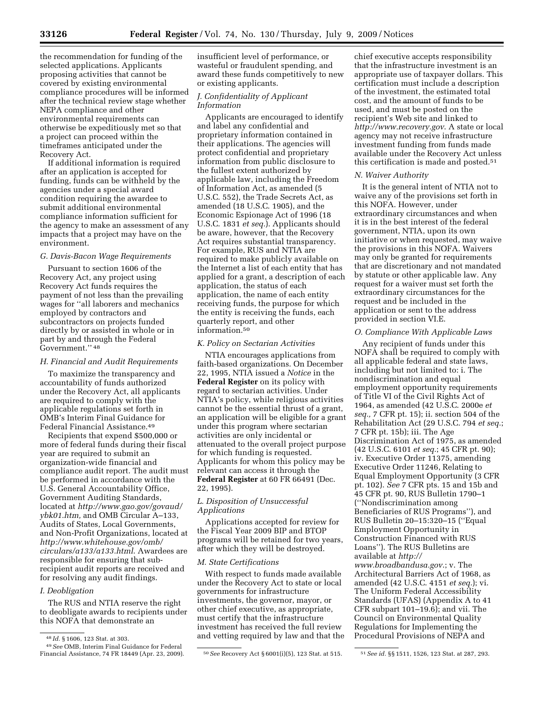the recommendation for funding of the selected applications. Applicants proposing activities that cannot be covered by existing environmental compliance procedures will be informed after the technical review stage whether NEPA compliance and other environmental requirements can otherwise be expeditiously met so that a project can proceed within the timeframes anticipated under the Recovery Act.

If additional information is required after an application is accepted for funding, funds can be withheld by the agencies under a special award condition requiring the awardee to submit additional environmental compliance information sufficient for the agency to make an assessment of any impacts that a project may have on the environment.

#### *G. Davis-Bacon Wage Requirements*

Pursuant to section 1606 of the Recovery Act, any project using Recovery Act funds requires the payment of not less than the prevailing wages for ''all laborers and mechanics employed by contractors and subcontractors on projects funded directly by or assisted in whole or in part by and through the Federal Government.'' 48

#### *H. Financial and Audit Requirements*

To maximize the transparency and accountability of funds authorized under the Recovery Act, all applicants are required to comply with the applicable regulations set forth in OMB's Interim Final Guidance for Federal Financial Assistance.49

Recipients that expend \$500,000 or more of federal funds during their fiscal year are required to submit an organization-wide financial and compliance audit report. The audit must be performed in accordance with the U.S. General Accountability Office, Government Auditing Standards, located at *http://www.gao.gov/govaud/ ybk01.htm,* and OMB Circular A–133, Audits of States, Local Governments, and Non-Profit Organizations, located at *http://www.whitehouse.gov/omb/ circulars/a133/a133.html*. Awardees are responsible for ensuring that subrecipient audit reports are received and for resolving any audit findings.

#### *I. Deobligation*

The RUS and NTIA reserve the right to deobligate awards to recipients under this NOFA that demonstrate an

insufficient level of performance, or wasteful or fraudulent spending, and award these funds competitively to new or existing applicants.

#### *J. Confidentiality of Applicant Information*

Applicants are encouraged to identify and label any confidential and proprietary information contained in their applications. The agencies will protect confidential and proprietary information from public disclosure to the fullest extent authorized by applicable law, including the Freedom of Information Act, as amended (5 U.S.C. 552), the Trade Secrets Act, as amended (18 U.S.C. 1905), and the Economic Espionage Act of 1996 (18 U.S.C. 1831 *et seq.*). Applicants should be aware, however, that the Recovery Act requires substantial transparency. For example, RUS and NTIA are required to make publicly available on the Internet a list of each entity that has applied for a grant, a description of each application, the status of each application, the name of each entity receiving funds, the purpose for which the entity is receiving the funds, each quarterly report, and other information.50

#### *K. Policy on Sectarian Activities*

NTIA encourages applications from faith-based organizations. On December 22, 1995, NTIA issued a *Notice* in the **Federal Register** on its policy with regard to sectarian activities. Under NTIA's policy, while religious activities cannot be the essential thrust of a grant, an application will be eligible for a grant under this program where sectarian activities are only incidental or attenuated to the overall project purpose for which funding is requested. Applicants for whom this policy may be relevant can access it through the **Federal Register** at 60 FR 66491 (Dec. 22, 1995).

#### *L. Disposition of Unsuccessful Applications*

Applications accepted for review for the Fiscal Year 2009 BIP and BTOP programs will be retained for two years, after which they will be destroyed.

#### *M. State Certifications*

With respect to funds made available under the Recovery Act to state or local governments for infrastructure investments, the governor, mayor, or other chief executive, as appropriate, must certify that the infrastructure investment has received the full review and vetting required by law and that the

chief executive accepts responsibility that the infrastructure investment is an appropriate use of taxpayer dollars. This certification must include a description of the investment, the estimated total cost, and the amount of funds to be used, and must be posted on the recipient's Web site and linked to *http://www.recovery.gov*. A state or local agency may not receive infrastructure investment funding from funds made available under the Recovery Act unless this certification is made and posted.51

#### *N. Waiver Authority*

It is the general intent of NTIA not to waive any of the provisions set forth in this NOFA. However, under extraordinary circumstances and when it is in the best interest of the federal government, NTIA, upon its own initiative or when requested, may waive the provisions in this NOFA. Waivers may only be granted for requirements that are discretionary and not mandated by statute or other applicable law. Any request for a waiver must set forth the extraordinary circumstances for the request and be included in the application or sent to the address provided in section VI.E.

#### *O. Compliance With Applicable Laws*

Any recipient of funds under this NOFA shall be required to comply with all applicable federal and state laws, including but not limited to: i. The nondiscrimination and equal employment opportunity requirements of Title VI of the Civil Rights Act of 1964, as amended (42 U.S.C. 2000e *et seq.,* 7 CFR pt. 15); ii. section 504 of the Rehabilitation Act (29 U.S.C. 794 *et seq.*; 7 CFR pt. 15b); iii. The Age Discrimination Act of 1975, as amended (42 U.S.C. 6101 *et seq.*; 45 CFR pt. 90); iv. Executive Order 11375, amending Executive Order 11246, Relating to Equal Employment Opportunity (3 CFR pt. 102). *See* 7 CFR pts. 15 and 15b and 45 CFR pt. 90, RUS Bulletin 1790–1 (''Nondiscrimination among Beneficiaries of RUS Programs''), and RUS Bulletin 20–15:320–15 (''Equal Employment Opportunity in Construction Financed with RUS Loans''). The RUS Bulletins are available at *http:// www.broadbandusa.gov*.; v. The Architectural Barriers Act of 1968, as amended (42 U.S.C. 4151 *et seq.*); vi. The Uniform Federal Accessibility Standards (UFAS) (Appendix A to 41 CFR subpart 101–19.6); and vii. The Council on Environmental Quality Regulations for Implementing the Procedural Provisions of NEPA and

<sup>48</sup> *Id.* § 1606, 123 Stat. at 303.

<sup>49</sup>*See* OMB, Interim Final Guidance for Federal Financial Assistance, 74 FR 18449 (Apr. 23, 2009). 50*See* Recovery Act § 6001(i)(5), 123 Stat. at 515. 51*See id.* §§ 1511, 1526, 123 Stat. at 287, 293.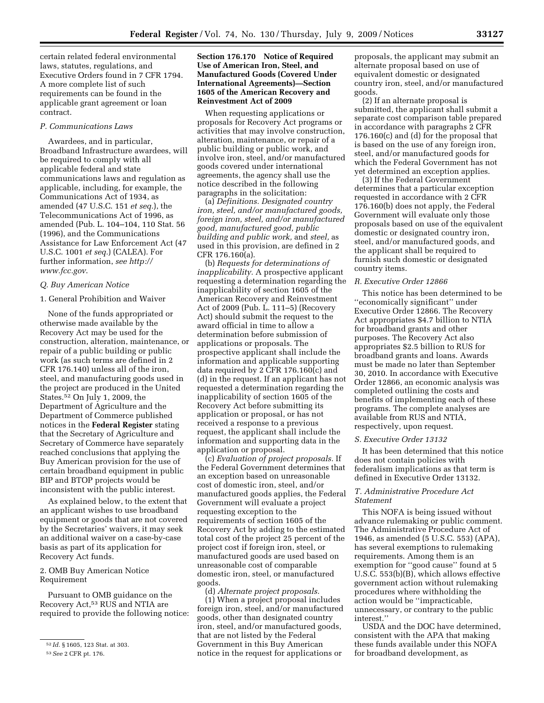certain related federal environmental laws, statutes, regulations, and Executive Orders found in 7 CFR 1794. A more complete list of such requirements can be found in the applicable grant agreement or loan contract.

#### *P. Communications Laws*

Awardees, and in particular, Broadband Infrastructure awardees, will be required to comply with all applicable federal and state communications laws and regulation as applicable, including, for example, the Communications Act of 1934, as amended (47 U.S.C. 151 *et seq.*), the Telecommunications Act of 1996, as amended (Pub. L. 104–104, 110 Stat. 56 (1996), and the Communications Assistance for Law Enforcement Act (47 U.S.C. 1001 *et seq.*) (CALEA). For further information, *see http:// www.fcc.gov*.

#### *Q. Buy American Notice*

#### 1. General Prohibition and Waiver

None of the funds appropriated or otherwise made available by the Recovery Act may be used for the construction, alteration, maintenance, or repair of a public building or public work (as such terms are defined in 2 CFR 176.140) unless all of the iron, steel, and manufacturing goods used in the project are produced in the United States.52 On July 1, 2009, the Department of Agriculture and the Department of Commerce published notices in the **Federal Register** stating that the Secretary of Agriculture and Secretary of Commerce have separately reached conclusions that applying the Buy American provision for the use of certain broadband equipment in public BIP and BTOP projects would be inconsistent with the public interest.

As explained below, to the extent that an applicant wishes to use broadband equipment or goods that are not covered by the Secretaries' waivers, it may seek an additional waiver on a case-by-case basis as part of its application for Recovery Act funds.

#### 2. OMB Buy American Notice Requirement

Pursuant to OMB guidance on the Recovery Act,53 RUS and NTIA are required to provide the following notice:

#### **Section 176.170 Notice of Required Use of American Iron, Steel, and Manufactured Goods (Covered Under International Agreements)—Section 1605 of the American Recovery and Reinvestment Act of 2009**

When requesting applications or proposals for Recovery Act programs or activities that may involve construction, alteration, maintenance, or repair of a public building or public work, and involve iron, steel, and/or manufactured goods covered under international agreements, the agency shall use the notice described in the following paragraphs in the solicitation:

(a) *Definitions. Designated country iron, steel, and/or manufactured goods, foreign iron, steel, and/or manufactured good, manufactured good, public building and public work,* and *steel,* as used in this provision, are defined in 2 CFR 176.160(a).

(b) *Requests for determinations of inapplicability.* A prospective applicant requesting a determination regarding the inapplicability of section 1605 of the American Recovery and Reinvestment Act of 2009 (Pub. L. 111–5) (Recovery Act) should submit the request to the award official in time to allow a determination before submission of applications or proposals. The prospective applicant shall include the information and applicable supporting data required by 2 CFR 176.160(c) and (d) in the request. If an applicant has not requested a determination regarding the inapplicability of section 1605 of the Recovery Act before submitting its application or proposal, or has not received a response to a previous request, the applicant shall include the information and supporting data in the application or proposal.

(c) *Evaluation of project proposals.* If the Federal Government determines that an exception based on unreasonable cost of domestic iron, steel, and/or manufactured goods applies, the Federal Government will evaluate a project requesting exception to the requirements of section 1605 of the Recovery Act by adding to the estimated total cost of the project 25 percent of the project cost if foreign iron, steel, or manufactured goods are used based on unreasonable cost of comparable domestic iron, steel, or manufactured goods.

(d) *Alternate project proposals.*  (1) When a project proposal includes foreign iron, steel, and/or manufactured goods, other than designated country iron, steel, and/or manufactured goods, that are not listed by the Federal Government in this Buy American notice in the request for applications or

proposals, the applicant may submit an alternate proposal based on use of equivalent domestic or designated country iron, steel, and/or manufactured goods.

(2) If an alternate proposal is submitted, the applicant shall submit a separate cost comparison table prepared in accordance with paragraphs 2 CFR 176.160(c) and (d) for the proposal that is based on the use of any foreign iron, steel, and/or manufactured goods for which the Federal Government has not yet determined an exception applies.

(3) If the Federal Government determines that a particular exception requested in accordance with 2 CFR 176.160(b) does not apply, the Federal Government will evaluate only those proposals based on use of the equivalent domestic or designated country iron, steel, and/or manufactured goods, and the applicant shall be required to furnish such domestic or designated country items.

#### *R. Executive Order 12866*

This notice has been determined to be ''economically significant'' under Executive Order 12866. The Recovery Act appropriates \$4.7 billion to NTIA for broadband grants and other purposes. The Recovery Act also appropriates \$2.5 billion to RUS for broadband grants and loans. Awards must be made no later than September 30, 2010. In accordance with Executive Order 12866, an economic analysis was completed outlining the costs and benefits of implementing each of these programs. The complete analyses are available from RUS and NTIA, respectively, upon request.

#### *S. Executive Order 13132*

It has been determined that this notice does not contain policies with federalism implications as that term is defined in Executive Order 13132.

#### *T. Administrative Procedure Act Statement*

This NOFA is being issued without advance rulemaking or public comment. The Administrative Procedure Act of 1946, as amended (5 U.S.C. 553) (APA), has several exemptions to rulemaking requirements. Among them is an exemption for ''good cause'' found at 5 U.S.C. 553(b)(B), which allows effective government action without rulemaking procedures where withholding the action would be ''impracticable, unnecessary, or contrary to the public interest.''

USDA and the DOC have determined, consistent with the APA that making these funds available under this NOFA for broadband development, as

<sup>52</sup> *Id.* § 1605, 123 Stat. at 303.

<sup>53</sup>*See* 2 CFR pt. 176.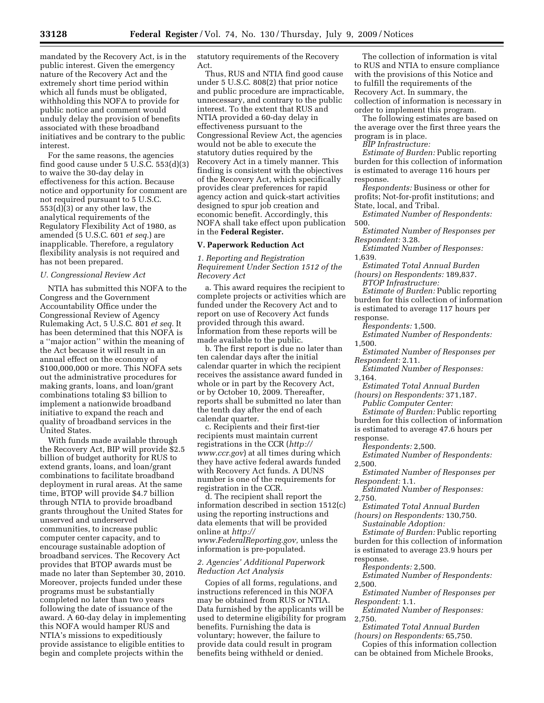mandated by the Recovery Act, is in the public interest. Given the emergency nature of the Recovery Act and the extremely short time period within which all funds must be obligated, withholding this NOFA to provide for public notice and comment would unduly delay the provision of benefits associated with these broadband initiatives and be contrary to the public interest.

For the same reasons, the agencies find good cause under 5 U.S.C. 553(d)(3) to waive the 30-day delay in effectiveness for this action. Because notice and opportunity for comment are not required pursuant to 5 U.S.C. 553(d)(3) or any other law, the analytical requirements of the Regulatory Flexibility Act of 1980, as amended (5 U.S.C. 601 *et seq.*) are inapplicable. Therefore, a regulatory flexibility analysis is not required and has not been prepared.

#### *U. Congressional Review Act*

NTIA has submitted this NOFA to the Congress and the Government Accountability Office under the Congressional Review of Agency Rulemaking Act, 5 U.S.C. 801 *et seq.* It has been determined that this NOFA is a ''major action'' within the meaning of the Act because it will result in an annual effect on the economy of \$100,000,000 or more. This NOFA sets out the administrative procedures for making grants, loans, and loan/grant combinations totaling \$3 billion to implement a nationwide broadband initiative to expand the reach and quality of broadband services in the United States.

With funds made available through the Recovery Act, BIP will provide \$2.5 billion of budget authority for RUS to extend grants, loans, and loan/grant combinations to facilitate broadband deployment in rural areas. At the same time, BTOP will provide \$4.7 billion through NTIA to provide broadband grants throughout the United States for unserved and underserved communities, to increase public computer center capacity, and to encourage sustainable adoption of broadband services. The Recovery Act provides that BTOP awards must be made no later than September 30, 2010. Moreover, projects funded under these programs must be substantially completed no later than two years following the date of issuance of the award. A 60-day delay in implementing this NOFA would hamper RUS and NTIA's missions to expeditiously provide assistance to eligible entities to begin and complete projects within the

statutory requirements of the Recovery Act.

Thus, RUS and NTIA find good cause under 5 U.S.C. 808(2) that prior notice and public procedure are impracticable, unnecessary, and contrary to the public interest. To the extent that RUS and NTIA provided a 60-day delay in effectiveness pursuant to the Congressional Review Act, the agencies would not be able to execute the statutory duties required by the Recovery Act in a timely manner. This finding is consistent with the objectives of the Recovery Act, which specifically provides clear preferences for rapid agency action and quick-start activities designed to spur job creation and economic benefit. Accordingly, this NOFA shall take effect upon publication in the **Federal Register.** 

#### **V. Paperwork Reduction Act**

*1. Reporting and Registration Requirement Under Section 1512 of the Recovery Act* 

a. This award requires the recipient to complete projects or activities which are funded under the Recovery Act and to report on use of Recovery Act funds provided through this award. Information from these reports will be made available to the public.

b. The first report is due no later than ten calendar days after the initial calendar quarter in which the recipient receives the assistance award funded in whole or in part by the Recovery Act, or by October 10, 2009. Thereafter, reports shall be submitted no later than the tenth day after the end of each calendar quarter.

c. Recipients and their first-tier recipients must maintain current registrations in the CCR (*http:// www.ccr.gov*) at all times during which they have active federal awards funded with Recovery Act funds. A DUNS number is one of the requirements for registration in the CCR.

d. The recipient shall report the information described in section 1512(c) using the reporting instructions and data elements that will be provided online at *http:// www.FederalReporting.gov,* unless the information is pre-populated.

#### *2. Agencies' Additional Paperwork Reduction Act Analysis*

Copies of all forms, regulations, and instructions referenced in this NOFA may be obtained from RUS or NTIA. Data furnished by the applicants will be used to determine eligibility for program benefits. Furnishing the data is voluntary; however, the failure to provide data could result in program benefits being withheld or denied.

The collection of information is vital to RUS and NTIA to ensure compliance with the provisions of this Notice and to fulfill the requirements of the Recovery Act. In summary, the collection of information is necessary in order to implement this program.

The following estimates are based on the average over the first three years the program is in place.

*BIP Infrastructure:* 

*Estimate of Burden:* Public reporting burden for this collection of information is estimated to average 116 hours per response.

*Respondents:* Business or other for profits; Not-for-profit institutions; and State, local, and Tribal.

*Estimated Number of Respondents:*  500.

*Estimated Number of Responses per Respondent:* 3.28.

*Estimated Number of Responses:*  1,639.

*Estimated Total Annual Burden (hours) on Respondents:* 189,837.

*BTOP Infrastructure:* 

*Estimate of Burden:* Public reporting burden for this collection of information is estimated to average 117 hours per response.

*Respondents:* 1,500.

*Estimated Number of Respondents:*  1,500.

*Estimated Number of Responses per Respondent:* 2.11.

*Estimated Number of Responses:*  3,164.

*Estimated Total Annual Burden (hours) on Respondents:* 371,187.

*Public Computer Center:* 

*Estimate of Burden:* Public reporting burden for this collection of information is estimated to average 47.6 hours per response.

*Respondents:* 2,500.

*Estimated Number of Respondents:*  2,500.

*Estimated Number of Responses per Respondent:* 1.1.

*Estimated Number of Responses:*  2,750.

*Estimated Total Annual Burden (hours) on Respondents:* 130,750.

*Sustainable Adoption:* 

*Estimate of Burden:* Public reporting burden for this collection of information is estimated to average 23.9 hours per response.

*Respondents:* 2,500.

*Estimated Number of Respondents:*  2,500.

*Estimated Number of Responses per Respondent:* 1.1.

*Estimated Number of Responses:*  2,750.

*Estimated Total Annual Burden (hours) on Respondents:* 65,750.

Copies of this information collection can be obtained from Michele Brooks,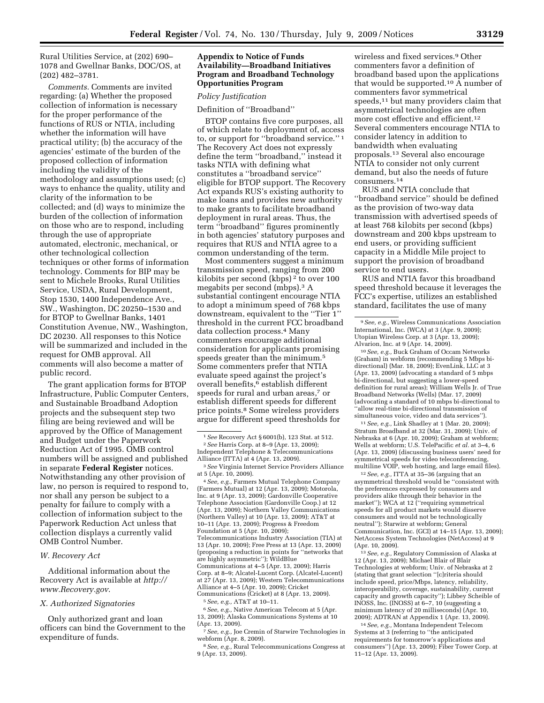Rural Utilities Service, at (202) 690– 1078 and Gwellnar Banks, DOC/OS, at (202) 482–3781.

*Comments.* Comments are invited regarding: (a) Whether the proposed collection of information is necessary for the proper performance of the functions of RUS or NTIA, including whether the information will have practical utility; (b) the accuracy of the agencies' estimate of the burden of the proposed collection of information including the validity of the methodology and assumptions used; (c) ways to enhance the quality, utility and clarity of the information to be collected; and (d) ways to minimize the burden of the collection of information on those who are to respond, including through the use of appropriate automated, electronic, mechanical, or other technological collection techniques or other forms of information technology. Comments for BIP may be sent to Michele Brooks, Rural Utilities Service, USDA, Rural Development, Stop 1530, 1400 Independence Ave., SW., Washington, DC 20250–1530 and for BTOP to Gwellnar Banks, 1401 Constitution Avenue, NW., Washington, DC 20230. All responses to this Notice will be summarized and included in the request for OMB approval. All comments will also become a matter of public record.

The grant application forms for BTOP Infrastructure, Public Computer Centers, and Sustainable Broadband Adoption projects and the subsequent step two filing are being reviewed and will be approved by the Office of Management and Budget under the Paperwork Reduction Act of 1995. OMB control numbers will be assigned and published in separate **Federal Register** notices. Notwithstanding any other provision of law, no person is required to respond to, nor shall any person be subject to a penalty for failure to comply with a collection of information subject to the Paperwork Reduction Act unless that collection displays a currently valid OMB Control Number.

#### *W. Recovery Act*

Additional information about the Recovery Act is available at *http:// www.Recovery.gov*.

#### *X. Authorized Signatories*

Only authorized grant and loan officers can bind the Government to the expenditure of funds.

#### **Appendix to Notice of Funds Availability—Broadband Initiatives Program and Broadband Technology Opportunities Program**

#### *Policy Justification*

Definition of ''Broadband''

BTOP contains five core purposes, all of which relate to deployment of, access to, or support for ''broadband service.'' 1 The Recovery Act does not expressly define the term ''broadband,'' instead it tasks NTIA with defining what constitutes a ''broadband service'' eligible for BTOP support. The Recovery Act expands RUS's existing authority to make loans and provides new authority to make grants to facilitate broadband deployment in rural areas. Thus, the term ''broadband'' figures prominently in both agencies' statutory purposes and requires that RUS and NTIA agree to a common understanding of the term.

Most commenters suggest a minimum transmission speed, ranging from 200 kilobits per second (kbps) 2 to over 100 megabits per second (mbps).3 A substantial contingent encourage NTIA to adopt a minimum speed of 768 kbps downstream, equivalent to the ''Tier 1'' threshold in the current FCC broadband data collection process.4 Many commenters encourage additional consideration for applicants promising speeds greater than the minimum.5 Some commenters prefer that NTIA evaluate speed against the project's overall benefits,6 establish different speeds for rural and urban areas,<sup>7</sup> or establish different speeds for different price points.8 Some wireless providers argue for different speed thresholds for

2*See* Harris Corp. at 8–9 (Apr. 13, 2009); Independent Telephone & Telecommunications Alliance (ITTA) at 4 (Apr. 13, 2009).

4*See, e.g.,* Farmers Mutual Telephone Company (Farmers Mutual) at 12 (Apr. 13, 2009); Motorola, Inc. at 9 (Apr. 13, 2009); Gardonville Cooperative Telephone Association (Gardonville Coop.) at 12 (Apr. 13, 2009); Northern Valley Communications (Northern Valley) at 10 (Apr. 13, 2009); AT&T at 10–11 (Apr. 13, 2009); Progress & Freedom Foundation at 5 (Apr. 10, 2009); Telecommunications Industry Association (TIA) at 13 (Apr. 10, 2009); Free Press at 13 (Apr. 13, 2009) (proposing a reduction in points for ''networks that are highly asymmetric''); WildBlue Communications at 4–5 (Apr. 13, 2009); Harris Corp. at 8–9; Alcatel-Lucent Corp. (Alcatel-Lucent) at 27 (Apr. 13, 2009); Western Telecommunications Alliance at 4–5 (Apr. 10, 2009); Cricket Communications (Cricket) at 8 (Apr. 13, 2009).

5*See, e.g.,* AT&T at 10–11.

6*See, e.g.,* Native American Telecom at 5 (Apr. 13, 2009); Alaska Communications Systems at 10 (Apr. 13, 2009).

7*See, e.g.,* Joe Cremin of Starwire Technologies in webform (Apr. 8, 2009).

8*See, e.g.,* Rural Telecommunications Congress at 9 (Apr. 13, 2009).

wireless and fixed services.9 Other commenters favor a definition of broadband based upon the applications that would be supported.10 A number of commenters favor symmetrical speeds,<sup>11</sup> but many providers claim that asymmetrical technologies are often more cost effective and efficient.12 Several commenters encourage NTIA to consider latency in addition to bandwidth when evaluating proposals.13 Several also encourage NTIA to consider not only current demand, but also the needs of future consumers.14

RUS and NTIA conclude that ''broadband service'' should be defined as the provision of two-way data transmission with advertised speeds of at least 768 kilobits per second (kbps) downstream and 200 kbps upstream to end users, or providing sufficient capacity in a Middle Mile project to support the provision of broadband service to end users.

RUS and NTIA favor this broadband speed threshold because it leverages the FCC's expertise, utilizes an established standard, facilitates the use of many

10*See, e.g.,* Buck Graham of Occam Networks (Graham) in webform (recommending 5 Mbps bidirectional) (Mar. 18, 2009); EvenLink, LLC at 3 (Apr. 13, 2009) (advocating a standard of 5 mbps bi-directional, but suggesting a lower-speed definition for rural areas); William Wells Jr. of True Broadband Networks (Wells) (Mar. 17, 2009) (advocating a standard of 10 mbps bi-directional to ''allow real-time bi-directional transmission of simultaneous voice, video and data services'').

11*See, e.g.,* Link Shadley at 1 (Mar. 20, 2009); Stratum Broadband at 32 (Mar. 31, 2009); Univ. of Nebraska at 6 (Apr. 10, 2009); Graham at webform; Wells at webform; U.S. TelePacific *et al.* at 3–4, 6 (Apr. 13, 2009) (discussing business users' need for symmetrical speeds for video teleconferencing, multiline VOIP, web hosting, and large email files).

12*See, e.g.,* ITTA at 35–36 (arguing that an asymmetrical threshold would be ''consistent with the preferences expressed by consumers and providers alike through their behavior in the market''); WCA at 12 (''requiring symmetrical speeds for all product markets would disserve consumers and would not be technologically neutral''); Starwire at webform; General Communication, Inc. (GCI) at 14–15 (Apr. 13, 2009); NetAccess System Technologies (NetAccess) at 9 (Apr. 10, 2009).

13*See, e.g.,* Regulatory Commission of Alaska at 12 (Apr. 13, 2009); Michael Blair of Blair Technologies at webform; Univ. of Nebraska at 2 (stating that grant selection ''[c]riteria should include speed, price/Mbps, latency, reliability, interoperability, coverage, sustainability, current capacity and growth capacity''); Libbey Scheible of INOSS, Inc. (INOSS) at 6–7, 10 (suggesting a minimum latency of 20 milliseconds) (Apr. 10, 2009); ADTRAN at Appendix 1 (Apr. 13, 2009).

14*See, e.g.,* Montana Independent Telecom Systems at 3 (referring to ''the anticipated requirements for tomorrow's applications and consumers'') (Apr. 13, 2009); Fiber Tower Corp. at 11–12 (Apr. 13, 2009).

<sup>1</sup>*See* Recovery Act § 6001(b), 123 Stat. at 512.

<sup>3</sup>*See* Virginia Internet Service Providers Alliance at 5 (Apr. 10, 2009).

<sup>9</sup>*See, e.g.,* Wireless Communications Association International, Inc. (WCA) at 3 (Apr. 9, 2009); Utopian Wireless Corp. at 3 (Apr. 13, 2009); Alvarion, Inc. at 9 (Apr. 14, 2009).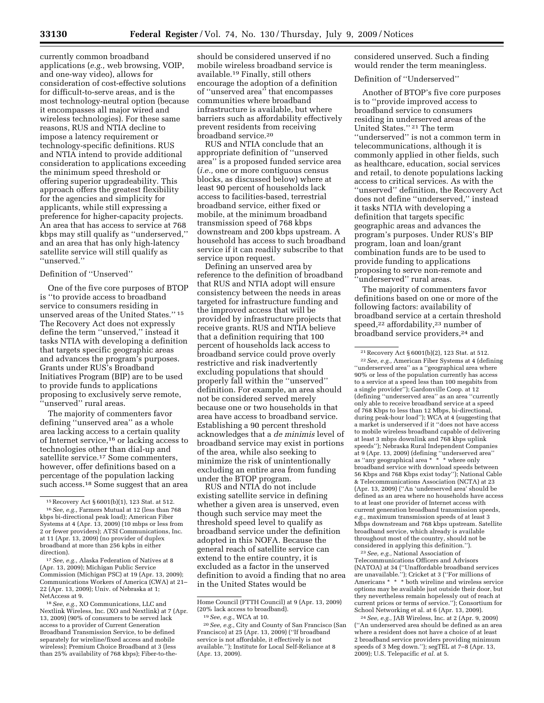currently common broadband applications (*e.g.,* web browsing, VOIP, and one-way video), allows for consideration of cost-effective solutions for difficult-to-serve areas, and is the most technology-neutral option (because it encompasses all major wired and wireless technologies). For these same reasons, RUS and NTIA decline to impose a latency requirement or technology-specific definitions. RUS and NTIA intend to provide additional consideration to applications exceeding the minimum speed threshold or offering superior upgradeability. This approach offers the greatest flexibility for the agencies and simplicity for applicants, while still expressing a preference for higher-capacity projects. An area that has access to service at 768 kbps may still qualify as ''underserved,'' and an area that has only high-latency satellite service will still qualify as ''unserved.''

#### Definition of ''Unserved''

One of the five core purposes of BTOP is ''to provide access to broadband service to consumers residing in unserved areas of the United States.'' 15 The Recovery Act does not expressly define the term ''unserved,'' instead it tasks NTIA with developing a definition that targets specific geographic areas and advances the program's purposes. Grants under RUS's Broadband Initiatives Program (BIP) are to be used to provide funds to applications proposing to exclusively serve remote, 'unserved'' rural areas.

The majority of commenters favor defining ''unserved area'' as a whole area lacking access to a certain quality of Internet service,16 or lacking access to technologies other than dial-up and satellite service.17 Some commenters, however, offer definitions based on a percentage of the population lacking such access.<sup>18</sup> Some suggest that an area

17*See, e.g.,* Alaska Federation of Natives at 8 (Apr. 13, 2009); Michigan Public Service Commission (Michigan PSC) at 19 (Apr. 13, 2009); Communications Workers of America (CWA) at 21– 22 (Apr. 13, 2009); Univ. of Nebraska at 1; NetAccess at 9.

18*See, e.g.,* XO Communications, LLC and Nextlink Wireless, Inc. (XO and Nextlink) at 7 (Apr. 13, 2009) (90% of consumers to be served lack access to a provider of Current Generation Broadband Transmission Service, to be defined separately for wireline/fixed access and mobile wireless); Premium Choice Broadband at 3 (less than 25% availability of 768 kbps); Fiber-to-the-

should be considered unserved if no mobile wireless broadband service is available.19 Finally, still others encourage the adoption of a definition of ''unserved area'' that encompasses communities where broadband infrastructure is available, but where barriers such as affordability effectively prevent residents from receiving broadband service.20

RUS and NTIA conclude that an appropriate definition of ''unserved area'' is a proposed funded service area (*i.e.,* one or more contiguous census blocks, as discussed below) where at least 90 percent of households lack access to facilities-based, terrestrial broadband service, either fixed or mobile, at the minimum broadband transmission speed of 768 kbps downstream and 200 kbps upstream. A household has access to such broadband service if it can readily subscribe to that service upon request.

Defining an unserved area by reference to the definition of broadband that RUS and NTIA adopt will ensure consistency between the needs in areas targeted for infrastructure funding and the improved access that will be provided by infrastructure projects that receive grants. RUS and NTIA believe that a definition requiring that 100 percent of households lack access to broadband service could prove overly restrictive and risk inadvertently excluding populations that should properly fall within the ''unserved'' definition. For example, an area should not be considered served merely because one or two households in that area have access to broadband service. Establishing a 90 percent threshold acknowledges that a *de minimis* level of broadband service may exist in portions of the area, while also seeking to minimize the risk of unintentionally excluding an entire area from funding under the BTOP program.

RUS and NTIA do not include existing satellite service in defining whether a given area is unserved, even though such service may meet the threshold speed level to qualify as broadband service under the definition adopted in this NOFA. Because the general reach of satellite service can extend to the entire country, it is excluded as a factor in the unserved definition to avoid a finding that no area in the United States would be

20*See, e.g.,* City and County of San Francisco (San Francisco) at 25 (Apr. 13, 2009) (''If broadband service is not affordable, it effectively is not available.''); Institute for Local Self-Reliance at 8 (Apr. 13, 2009).

considered unserved. Such a finding would render the term meaningless.

#### Definition of ''Underserved''

Another of BTOP's five core purposes is to ''provide improved access to broadband service to consumers residing in underserved areas of the United States.'' 21 The term ''underserved'' is not a common term in telecommunications, although it is commonly applied in other fields, such as healthcare, education, social services and retail, to denote populations lacking access to critical services. As with the ''unserved'' definition, the Recovery Act does not define ''underserved,'' instead it tasks NTIA with developing a definition that targets specific geographic areas and advances the program's purposes. Under RUS's BIP program, loan and loan/grant combination funds are to be used to provide funding to applications proposing to serve non-remote and ''underserved'' rural areas.

The majority of commenters favor definitions based on one or more of the following factors: availability of broadband service at a certain threshold speed,22 affordability,23 number of broadband service providers,<sup>24</sup> and

23*See, e.g.,* National Association of Telecommunications Officers and Advisors (NATOA) at 34 (''Unaffordable broadband services are unavailable.''); Cricket at 3 (''For millions of Americans \* \* \* both wireline and wireless service options may be available just outside their door, but they nevertheless remain hopelessly out of reach at current prices or terms of service.''); Consortium for School Networking et al. at 6 (Apr. 13, 2009).

24*See, e.g.,* JAB Wireless, Inc. at 2 (Apr. 9, 2009) (''An underserved area should be defined as an area where a resident does not have a choice of at least 2 broadband service providers providing minimum speeds of 3 Meg down.''); segTEL at 7–8 (Apr. 13, 2009); U.S. Telepacific *et al.* at 5.

<sup>15</sup>Recovery Act § 6001(b)(1), 123 Stat. at 512. 16*See, e.g.,* Farmers Mutual at 12 (less than 768 kbps bi-directional peak load); American Fiber Systems at 4 (Apr. 13, 2009) (10 mbps or less from 2 or fewer providers); ATSI Communications, Inc. at 11 (Apr. 13, 2009) (no provider of duplex broadband at more than 256 kpbs in either direction).

Home Council (FTTH Council) at 9 (Apr. 13, 2009) (20% lack access to broadband).

<sup>19</sup>*See, e.g.,* WCA at 10.

<sup>21</sup>Recovery Act § 6001(b)(2), 123 Stat. at 512. 22*See, e.g.,* American Fiber Systems at 4 (defining ''underserved area'' as a ''geographical area where 90% or less of the population currently has access to a service at a speed less than 100 megabits from a single provider''); Gardonville Coop. at 12 (defining ''underserved area'' as an area ''currently only able to receive broadband service at a speed of 768 Kbps to less than 12 Mbps, bi-directional, during peak-hour load''); WCA at 4 (suggesting that a market is underserved if it ''does not have access to mobile wireless broadband capable of delivering at least 3 mbps downlink and 768 kbps uplink speeds''); Nebraska Rural Independent Companies at 9 (Apr. 13, 2009) (defining ''underserved area'' as ''any geographical area \* \* \* where only broadband service with download speeds between 56 Kbps and 768 Kbps exist today''); National Cable & Telecommunications Association (NCTA) at 23 (Apr. 13, 2009) (''An 'underserved area' should be defined as an area where no households have access to at least one provider of Internet access with current generation broadband transmission speeds, *e.g.,* maximum transmission speeds of at least 3 Mbps downstream and 768 kbps upstream. Satellite broadband service, which already is available throughout most of the country, should not be considered in applying this definition.'').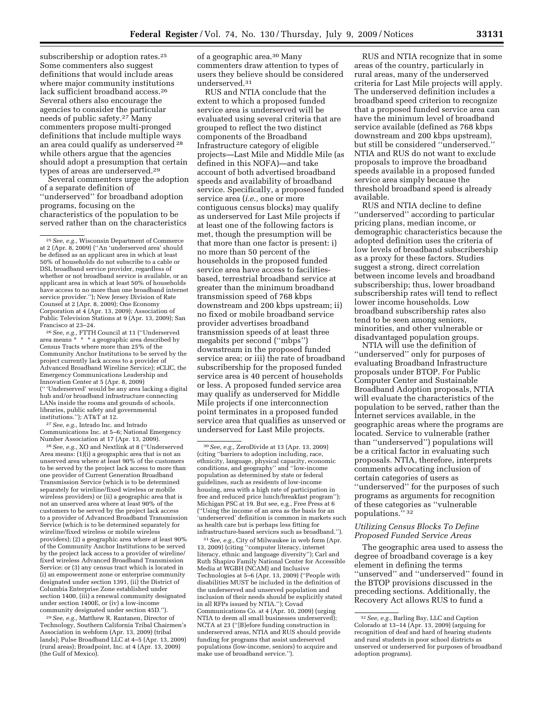subscribership or adoption rates.<sup>25</sup> Some commenters also suggest definitions that would include areas where major community institutions lack sufficient broadband access.26 Several others also encourage the agencies to consider the particular needs of public safety.27 Many commenters propose multi-pronged definitions that include multiple ways an area could qualify as underserved 28 while others argue that the agencies should adopt a presumption that certain types of areas are underserved.29

Several commenters urge the adoption of a separate definition of ''underserved'' for broadband adoption programs, focusing on the characteristics of the population to be served rather than on the characteristics

26*See, e.g.,* FTTH Council at 11 (''Underserved area means \* \* \* a geographic area described by Census Tracts where more than 25% of the Community Anchor Institutions to be served by the project currently lack access to a provider of Advanced Broadband Wireline Service); eCLIC, the Emergency Communications Leadership and Innovation Center at 5 (Apr. 8, 2009) ('' 'Underserved' would be any area lacking a digital hub and/or broadband infrastructure connecting LANs inside the rooms and grounds of schools, libraries, public safety and governmental institutions.''); AT&T at 12.

27*See, e.g.,* Intrado Inc. and Intrado Communications Inc. at 5–6; National Emergency Number Association at 17 (Apr. 13, 2009).

28*See, e.g.,* XO and Nextlink at 8 (''Underserved Area means: (1)(i) a geographic area that is not an unserved area where at least 90% of the customers to be served by the project lack access to more than one provider of Current Generation Broadband Transmission Service (which is to be determined separately for wireline/fixed wireless or mobile wireless providers) or (ii) a geographic area that is not an unserved area where at least 90% of the customers to be served by the project lack access to a provider of Advanced Broadband Transmission Service (which is to be determined separately for wireline/fixed wireless or mobile wireless providers); (2) a geographic area where at least 90% of the Community Anchor Institutions to be served by the project lack access to a provider of wireline/ fixed wireless Advanced Broadband Transmission Service; or (3) any census tract which is located in (i) an empowerment zone or enterprise community designated under section 1391, (ii) the District of Columbia Enterprise Zone established under section 1400, (iii) a renewal community designated under section 1400E, or (iv) a low-income community designated under section 45D.'').

29*See, e.g.,* Matthew R. Rantanen, Director of Technology, Southern California Tribal Chairmen's Association in webform (Apr. 13, 2009) (tribal lands); Pulse Broadband LLC at 4–5 (Apr. 13, 2009) (rural areas); Broadpoint, Inc. at 4 (Apr. 13, 2009) (the Gulf of Mexico).

of a geographic area.30 Many commenters draw attention to types of users they believe should be considered underserved.31

RUS and NTIA conclude that the extent to which a proposed funded service area is underserved will be evaluated using several criteria that are grouped to reflect the two distinct components of the Broadband Infrastructure category of eligible projects—Last Mile and Middle Mile (as defined in this NOFA)—and take account of both advertised broadband speeds and availability of broadband service. Specifically, a proposed funded service area (*i.e.,* one or more contiguous census blocks) may qualify as underserved for Last Mile projects if at least one of the following factors is met, though the presumption will be that more than one factor is present: i) no more than 50 percent of the households in the proposed funded service area have access to facilitiesbased, terrestrial broadband service at greater than the minimum broadband transmission speed of 768 kbps downstream and 200 kbps upstream; ii) no fixed or mobile broadband service provider advertises broadband transmission speeds of at least three megabits per second (''mbps'') downstream in the proposed funded service area; or iii) the rate of broadband subscribership for the proposed funded service area is 40 percent of households or less. A proposed funded service area may qualify as underserved for Middle Mile projects if one interconnection point terminates in a proposed funded service area that qualifies as unserved or underserved for Last Mile projects.

31*See, e.g.,* City of Milwaukee in web form (Apr. 13, 2009) (citing ''computer literacy, internet literacy, ethnic and language diversity''); Carl and Ruth Shapiro Family National Center for Accessible Media at WGBH (NCAM) and Inclusive Technologies at 5–6 (Apr. 13, 2009) (''People with disabilities MUST be included in the definition of the underserved and unserved population and inclusion of their needs should be explicitly stated in all RFPs issued by NTIA.''); Covad Communications Co. at 4 (Apr. 10, 2009) (urging NTIA to deem all small businesses underserved); NCTA at 23 (''[B]efore funding construction in underserved areas, NTIA and RUS should provide funding for programs that assist underserved populations (low-income, seniors) to acquire and make use of broadband service.'').

RUS and NTIA recognize that in some areas of the country, particularly in rural areas, many of the underserved criteria for Last Mile projects will apply. The underserved definition includes a broadband speed criterion to recognize that a proposed funded service area can have the minimum level of broadband service available (defined as 768 kbps downstream and 200 kbps upstream), but still be considered ''underserved.'' NTIA and RUS do not want to exclude proposals to improve the broadband speeds available in a proposed funded service area simply because the threshold broadband speed is already available.

RUS and NTIA decline to define ''underserved'' according to particular pricing plans, median income, or demographic characteristics because the adopted definition uses the criteria of low levels of broadband subscribership as a proxy for these factors. Studies suggest a strong, direct correlation between income levels and broadband subscribership; thus, lower broadband subscribership rates will tend to reflect lower income households. Low broadband subscribership rates also tend to be seen among seniors, minorities, and other vulnerable or disadvantaged population groups.

NTIA will use the definition of ''underserved'' only for purposes of evaluating Broadband Infrastructure proposals under BTOP. For Public Computer Center and Sustainable Broadband Adoption proposals, NTIA will evaluate the characteristics of the population to be served, rather than the Internet services available, in the geographic areas where the programs are located. Service to vulnerable (rather than ''underserved'') populations will be a critical factor in evaluating such proposals. NTIA, therefore, interprets comments advocating inclusion of certain categories of users as ''underserved'' for the purposes of such programs as arguments for recognition of these categories as ''vulnerable populations." 32

#### *Utilizing Census Blocks To Define Proposed Funded Service Areas*

The geographic area used to assess the degree of broadband coverage is a key element in defining the terms ''unserved'' and ''underserved'' found in the BTOP provisions discussed in the preceding sections. Additionally, the Recovery Act allows RUS to fund a

<sup>25</sup>*See, e.g.,* Wisconsin Department of Commerce at 2 (Apr. 8, 2009) (''An 'underserved area' should be defined as an applicant area in which at least 50% of households do not subscribe to a cable or DSL broadband service provider, regardless of whether or not broadband service is available, or an applicant area in which at least 50% of households have access to no more than one broadband internet service provider.''); New Jersey Division of Rate Counsel at 2 (Apr. 8, 2009); One Economy Corporation at 4 (Apr. 13, 2009); Association of Public Television Stations at 9 (Apr. 13, 2009); San Francisco at 23–24.

<sup>30</sup>*See, e.g.,* ZeroDivide at 13 (Apr. 13, 2009) (citing ''barriers to adoption including, race, ethnicity, language, physical capacity, economic conditions, and geography'' and ''low-income population as determined by state or federal guidelines, such as residents of low-income housing, area with a high rate of participation in free and reduced price lunch/breakfast program"); Michigan PSC at 19. But see, e.g., Free Press at 6 (''Using the income of an area as the basis for an 'underserved' definition is common in markets such as health care but is perhaps less fitting for infrastructure-based services such as broadband.'').

<sup>32</sup>*See, e.g.,* Barling Bay, LLC and Caption Colorado at 13–14 (Apr. 13, 2009) (arguing for recognition of deaf and hard of hearing students and rural students in poor school districts as unserved or underserved for purposes of broadband adoption programs).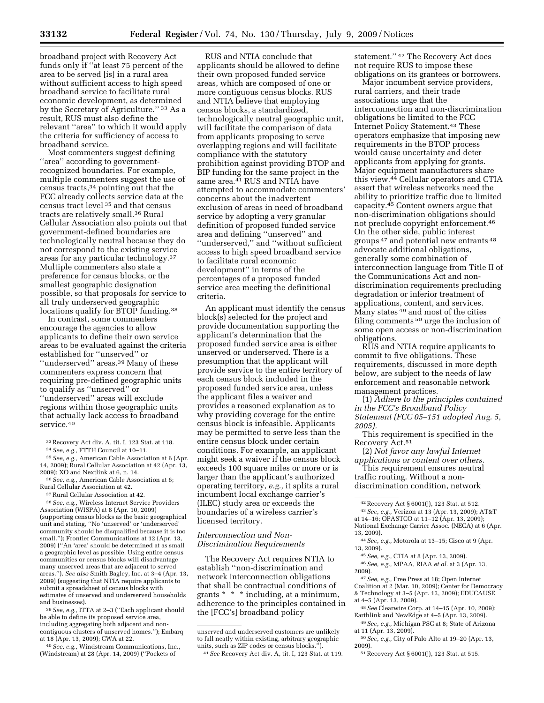broadband project with Recovery Act funds only if ''at least 75 percent of the area to be served [is] in a rural area without sufficient access to high speed broadband service to facilitate rural economic development, as determined by the Secretary of Agriculture.'' 33 As a result, RUS must also define the relevant ''area'' to which it would apply the criteria for sufficiency of access to broadband service.

Most commenters suggest defining ''area'' according to governmentrecognized boundaries. For example, multiple commenters suggest the use of census tracts,34 pointing out that the FCC already collects service data at the census tract level 35 and that census tracts are relatively small.36 Rural Cellular Association also points out that government-defined boundaries are technologically neutral because they do not correspond to the existing service areas for any particular technology.37 Multiple commenters also state a preference for census blocks, or the smallest geographic designation possible, so that proposals for service to all truly underserved geographic locations qualify for BTOP funding.<sup>38</sup>

In contrast, some commenters encourage the agencies to allow applicants to define their own service areas to be evaluated against the criteria established for ''unserved'' or ''underserved'' areas.39 Many of these commenters express concern that requiring pre-defined geographic units to qualify as ''unserved'' or ''underserved'' areas will exclude regions within those geographic units that actually lack access to broadband service.40

37Rural Cellular Association at 42.

38*See, e.g.,* Wireless Internet Service Providers Association (WISPA) at 8 (Apr. 10, 2009) (supporting census blocks as the basic geographical unit and stating, ''No 'unserved' or 'underserved' community should be disqualified because it is too small.''); Frontier Communications at 12 (Apr. 13, 2009) (''An 'area' should be determined at as small a geographic level as possible. Using entire census communities or census blocks will disadvantage many unserved areas that are adjacent to served areas.''). *See also* Smith Bagley, Inc. at 3–4 (Apr. 13, 2009) (suggesting that NTIA require applicants to submit a spreadsheet of census blocks with estimates of unserved and underserved households and businesses).

39*See, e.g.,* ITTA at 2–3 (''Each applicant should be able to define its proposed service area, including aggregating both adjacent and noncontiguous clusters of unserved homes.''); Embarq at 18 (Apr. 13, 2009); CWA at 22.

40*See, e.g.,* Windstream Communications, Inc., (Windstream) at 28 (Apr. 14, 2009) (''Pockets of

RUS and NTIA conclude that applicants should be allowed to define their own proposed funded service areas, which are composed of one or more contiguous census blocks. RUS and NTIA believe that employing census blocks, a standardized, technologically neutral geographic unit, will facilitate the comparison of data from applicants proposing to serve overlapping regions and will facilitate compliance with the statutory prohibition against providing BTOP and BIP funding for the same project in the same area.<sup>41</sup> RUS and NTIA have attempted to accommodate commenters' concerns about the inadvertent exclusion of areas in need of broadband service by adopting a very granular definition of proposed funded service area and defining ''unserved'' and ''underserved,'' and ''without sufficient access to high speed broadband service to facilitate rural economic development'' in terms of the percentages of a proposed funded service area meeting the definitional criteria.

An applicant must identify the census block(s) selected for the project and provide documentation supporting the applicant's determination that the proposed funded service area is either unserved or underserved. There is a presumption that the applicant will provide service to the entire territory of each census block included in the proposed funded service area, unless the applicant files a waiver and provides a reasoned explanation as to why providing coverage for the entire census block is infeasible. Applicants may be permitted to serve less than the entire census block under certain conditions. For example, an applicant might seek a waiver if the census block exceeds 100 square miles or more or is larger than the applicant's authorized operating territory, *e.g.,* it splits a rural incumbent local exchange carrier's (ILEC) study area or exceeds the boundaries of a wireless carrier's licensed territory.

#### *Interconnection and Non-Discrimination Requirements*

The Recovery Act requires NTIA to establish ''non-discrimination and network interconnection obligations that shall be contractual conditions of grants \* \* \* including, at a minimum, adherence to the principles contained in the [FCC's] broadband policy

statement.'' 42 The Recovery Act does not require RUS to impose these obligations on its grantees or borrowers.

Major incumbent service providers, rural carriers, and their trade associations urge that the interconnection and non-discrimination obligations be limited to the FCC Internet Policy Statement.43 These operators emphasize that imposing new requirements in the BTOP process would cause uncertainty and deter applicants from applying for grants. Major equipment manufacturers share this view.44 Cellular operators and CTIA assert that wireless networks need the ability to prioritize traffic due to limited capacity.45 Content owners argue that non-discrimination obligations should not preclude copyright enforcement.46 On the other side, public interest groups 47 and potential new entrants 48 advocate additional obligations, generally some combination of interconnection language from Title II of the Communications Act and nondiscrimination requirements precluding degradation or inferior treatment of applications, content, and services. Many states 49 and most of the cities filing comments 50 urge the inclusion of some open access or non-discrimination obligations.

RUS and NTIA require applicants to commit to five obligations. These requirements, discussed in more depth below, are subject to the needs of law enforcement and reasonable network management practices.

(1) *Adhere to the principles contained in the FCC's Broadband Policy Statement (FCC 05–151 adopted Aug. 5, 2005).* 

(2) *Not favor any lawful Internet applications or content over others.* 

This requirement ensures neutral traffic routing. Without a nondiscrimination condition, network

44*See, e.g.,* Motorola at 13–15; Cisco at 9 (Apr. 13, 2009).

46*See, e.g.,* MPAA, RIAA *et al.* at 3 (Apr. 13, 2009).

47*See, e.g.,* Free Press at 18; Open Internet Coalition at 2 (Mar. 10, 2009); Center for Democracy & Technology at 3–5 (Apr. 13, 2009); EDUCAUSE at 4–5 (Apr. 13, 2009).

48*See* Clearwire Corp. at 14–15 (Apr. 10, 2009); Earthlink and NewEdge at 4–5 (Apr. 13, 2009).

49*See, e.g.,* Michigan PSC at 8; State of Arizona at 11 (Apr. 13, 2009).

50*See, e.g.,* City of Palo Alto at 19–20 (Apr. 13, 2009).

51Recovery Act § 6001(j), 123 Stat. at 515.

<sup>33</sup>Recovery Act div. A, tit. I, 123 Stat. at 118.

<sup>34</sup>*See, e.g.,* FTTH Council at 10–11.

<sup>35</sup>*See, e.g.,* American Cable Association at 6 (Apr. 14, 2009); Rural Cellular Association at 42 (Apr. 13, 2009); XO and Nextlink at 6, n. 14.

<sup>36</sup>*See, e.g.,* American Cable Association at 6; Rural Cellular Association at 42.

unserved and underserved customers are unlikely to fall neatly within existing, arbitrary geographic units, such as ZIP codes or census blocks.'').

<sup>41</sup>*See* Recovery Act div. A, tit. I, 123 Stat. at 119.

This requirement is specified in the Recovery Act.51

<sup>42</sup>Recovery Act § 6001(j), 123 Stat. at 512. 43*See, e.g.,* Verizon at 13 (Apr. 13, 2009); AT&T at 14–16; OPASTCO at 11–12 (Apr. 13, 2009); National Exchange Carrier Assoc. (NECA) at 6 (Apr. 13, 2009).

<sup>45</sup>*See, e.g.,* CTIA at 8 (Apr. 13, 2009).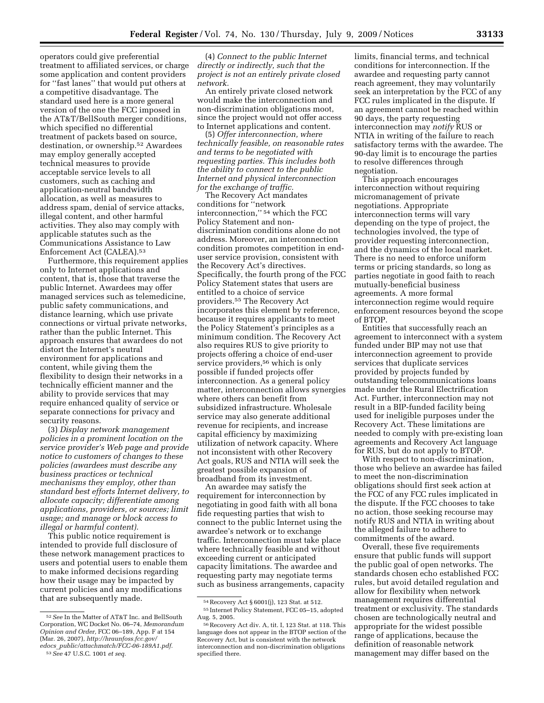operators could give preferential treatment to affiliated services, or charge some application and content providers for ''fast lanes'' that would put others at a competitive disadvantage. The standard used here is a more general version of the one the FCC imposed in the AT&T/BellSouth merger conditions, which specified no differential treatment of packets based on source, destination, or ownership.52 Awardees may employ generally accepted technical measures to provide acceptable service levels to all customers, such as caching and application-neutral bandwidth allocation, as well as measures to address spam, denial of service attacks, illegal content, and other harmful activities. They also may comply with applicable statutes such as the Communications Assistance to Law Enforcement Act (CALEA).53

Furthermore, this requirement applies only to Internet applications and content, that is, those that traverse the public Internet. Awardees may offer managed services such as telemedicine, public safety communications, and distance learning, which use private connections or virtual private networks, rather than the public Internet. This approach ensures that awardees do not distort the Internet's neutral environment for applications and content, while giving them the flexibility to design their networks in a technically efficient manner and the ability to provide services that may require enhanced quality of service or separate connections for privacy and security reasons.

(3) *Display network management policies in a prominent location on the service provider's Web page and provide notice to customers of changes to these policies (awardees must describe any business practices or technical mechanisms they employ, other than standard best efforts Internet delivery, to allocate capacity; differentiate among applications, providers, or sources; limit usage; and manage or block access to illegal or harmful content).* 

This public notice requirement is intended to provide full disclosure of these network management practices to users and potential users to enable them to make informed decisions regarding how their usage may be impacted by current policies and any modifications that are subsequently made.

(4) *Connect to the public Internet directly or indirectly, such that the project is not an entirely private closed network.* 

An entirely private closed network would make the interconnection and non-discrimination obligations moot, since the project would not offer access to Internet applications and content.

(5) *Offer interconnection, where technically feasible, on reasonable rates and terms to be negotiated with requesting parties. This includes both the ability to connect to the public Internet and physical interconnection for the exchange of traffic.* 

The Recovery Act mandates conditions for ''network interconnection,'' 54 which the FCC Policy Statement and nondiscrimination conditions alone do not address. Moreover, an interconnection condition promotes competition in enduser service provision, consistent with the Recovery Act's directives. Specifically, the fourth prong of the FCC Policy Statement states that users are entitled to a choice of service providers.55 The Recovery Act incorporates this element by reference, because it requires applicants to meet the Policy Statement's principles as a minimum condition. The Recovery Act also requires RUS to give priority to projects offering a choice of end-user service providers,56 which is only possible if funded projects offer interconnection. As a general policy matter, interconnection allows synergies where others can benefit from subsidized infrastructure. Wholesale service may also generate additional revenue for recipients, and increase capital efficiency by maximizing utilization of network capacity. Where not inconsistent with other Recovery Act goals, RUS and NTIA will seek the greatest possible expansion of broadband from its investment.

An awardee may satisfy the requirement for interconnection by negotiating in good faith with all bona fide requesting parties that wish to connect to the public Internet using the awardee's network or to exchange traffic. Interconnection must take place where technically feasible and without exceeding current or anticipated capacity limitations. The awardee and requesting party may negotiate terms such as business arrangements, capacity

limits, financial terms, and technical conditions for interconnection. If the awardee and requesting party cannot reach agreement, they may voluntarily seek an interpretation by the FCC of any FCC rules implicated in the dispute. If an agreement cannot be reached within 90 days, the party requesting interconnection may *notify* RUS or NTIA in writing of the failure to reach satisfactory terms with the awardee. The 90-day limit is to encourage the parties to resolve differences through negotiation.

This approach encourages interconnection without requiring micromanagement of private negotiations. Appropriate interconnection terms will vary depending on the type of project, the technologies involved, the type of provider requesting interconnection, and the dynamics of the local market. There is no need to enforce uniform terms or pricing standards, so long as parties negotiate in good faith to reach mutually-beneficial business agreements. A more formal interconnection regime would require enforcement resources beyond the scope of BTOP.

Entities that successfully reach an agreement to interconnect with a system funded under BIP may not use that interconnection agreement to provide services that duplicate services provided by projects funded by outstanding telecommunications loans made under the Rural Electrification Act. Further, interconnection may not result in a BIP-funded facility being used for ineligible purposes under the Recovery Act. These limitations are needed to comply with pre-existing loan agreements and Recovery Act language for RUS, but do not apply to BTOP.

With respect to non-discrimination, those who believe an awardee has failed to meet the non-discrimination obligations should first seek action at the FCC of any FCC rules implicated in the dispute. If the FCC chooses to take no action, those seeking recourse may notify RUS and NTIA in writing about the alleged failure to adhere to commitments of the award.

Overall, these five requirements ensure that public funds will support the public goal of open networks. The standards chosen echo established FCC rules, but avoid detailed regulation and allow for flexibility when network management requires differential treatment or exclusivity. The standards chosen are technologically neutral and appropriate for the widest possible range of applications, because the definition of reasonable network management may differ based on the

<sup>52</sup>*See* In the Matter of AT&T Inc. and BellSouth Corporation, WC Docket No. 06–74, *Memorandum Opinion and Order,* FCC 06–189, App. F at 154 (Mar. 26, 2007), *http://hraunfoss.fcc.gov/ edocs*\_*public/attachmatch/FCC-06-189A1.pdf.* 

<sup>53</sup>*See* 47 U.S.C. 1001 *et seq.* 

<sup>54</sup>Recovery Act § 6001(j), 123 Stat. at 512.

<sup>55</sup> Internet Policy Statement, FCC 05–15, adopted Aug. 5, 2005.

<sup>56</sup>Recovery Act div. A, tit. I, 123 Stat. at 118. This language does not appear in the BTOP section of the Recovery Act, but is consistent with the network interconnection and non-discrimination obligations specified there.